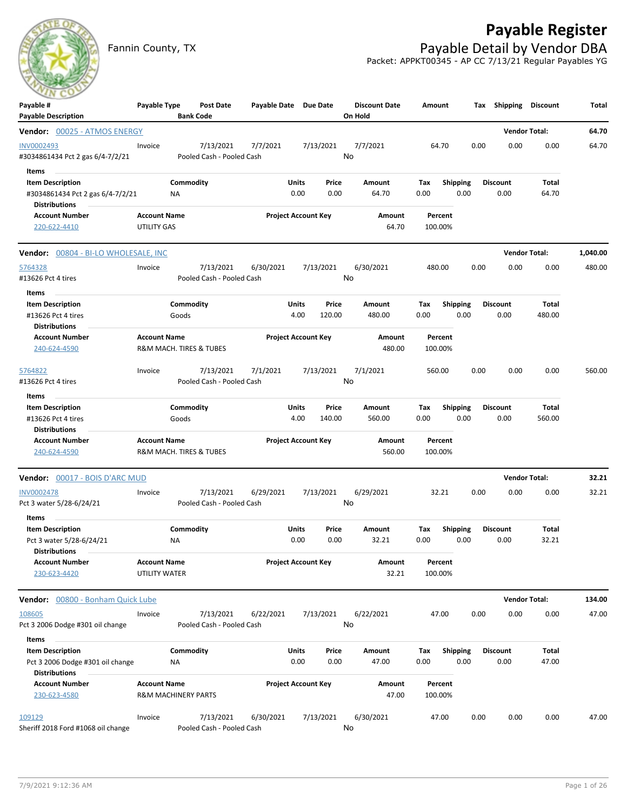# **Payable Register**

Fannin County, TX **Payable Detail by Vendor DBA** Packet: APPKT00345 - AP CC 7/13/21 Regular Payables YG



| Payable #<br><b>Payable Description</b>                                                      | Payable Type                                          |                    | Post Date<br><b>Bank Code</b>          | Payable Date Due Date |                            |                 | <b>Discount Date</b><br>On Hold | Amount             |                         |      | Tax Shipping            | <b>Discount</b>        | Total    |
|----------------------------------------------------------------------------------------------|-------------------------------------------------------|--------------------|----------------------------------------|-----------------------|----------------------------|-----------------|---------------------------------|--------------------|-------------------------|------|-------------------------|------------------------|----------|
| Vendor: 00025 - ATMOS ENERGY                                                                 |                                                       |                    |                                        |                       |                            |                 |                                 |                    |                         |      |                         | <b>Vendor Total:</b>   | 64.70    |
| <b>INV0002493</b><br>#3034861434 Pct 2 gas 6/4-7/2/21                                        | Invoice                                               |                    | 7/13/2021<br>Pooled Cash - Pooled Cash | 7/7/2021              |                            | 7/13/2021       | 7/7/2021<br>No                  | 64.70              |                         | 0.00 | 0.00                    | 0.00                   | 64.70    |
| Items<br><b>Item Description</b><br>#3034861434 Pct 2 gas 6/4-7/2/21<br><b>Distributions</b> |                                                       | Commodity<br>NA    |                                        |                       | Units<br>0.00              | Price<br>0.00   | Amount<br>64.70                 | Tax<br>0.00        | <b>Shipping</b><br>0.00 |      | <b>Discount</b><br>0.00 | Total<br>64.70         |          |
| <b>Account Number</b><br>220-622-4410                                                        | <b>Account Name</b><br>UTILITY GAS                    |                    |                                        |                       | <b>Project Account Key</b> |                 | Amount<br>64.70                 | Percent<br>100.00% |                         |      |                         |                        |          |
| Vendor: 00804 - BI-LO WHOLESALE, INC                                                         |                                                       |                    |                                        |                       |                            |                 |                                 |                    |                         |      |                         | <b>Vendor Total:</b>   | 1,040.00 |
| 5764328<br>#13626 Pct 4 tires                                                                | Invoice                                               |                    | 7/13/2021<br>Pooled Cash - Pooled Cash | 6/30/2021             |                            | 7/13/2021       | 6/30/2021<br>No                 | 480.00             |                         | 0.00 | 0.00                    | 0.00                   | 480.00   |
| Items<br><b>Item Description</b><br>#13626 Pct 4 tires<br><b>Distributions</b>               |                                                       | Commodity<br>Goods |                                        |                       | Units<br>4.00              | Price<br>120.00 | Amount<br>480.00                | Tax<br>0.00        | Shipping<br>0.00        |      | <b>Discount</b><br>0.00 | <b>Total</b><br>480.00 |          |
| <b>Account Number</b><br>240-624-4590                                                        | <b>Account Name</b>                                   |                    | R&M MACH. TIRES & TUBES                |                       | <b>Project Account Key</b> |                 | Amount<br>480.00                | Percent<br>100.00% |                         |      |                         |                        |          |
| 5764822<br>#13626 Pct 4 tires                                                                | Invoice                                               |                    | 7/13/2021<br>Pooled Cash - Pooled Cash | 7/1/2021              |                            | 7/13/2021       | 7/1/2021<br>No                  | 560.00             |                         | 0.00 | 0.00                    | 0.00                   | 560.00   |
| Items<br><b>Item Description</b><br>#13626 Pct 4 tires<br><b>Distributions</b>               |                                                       | Commodity<br>Goods |                                        |                       | Units<br>4.00              | Price<br>140.00 | Amount<br>560.00                | Tax<br>0.00        | <b>Shipping</b><br>0.00 |      | <b>Discount</b><br>0.00 | <b>Total</b><br>560.00 |          |
| <b>Account Number</b><br>240-624-4590                                                        | <b>Account Name</b>                                   |                    | R&M MACH. TIRES & TUBES                |                       | <b>Project Account Key</b> |                 | Amount<br>560.00                | Percent<br>100.00% |                         |      |                         |                        |          |
| Vendor: 00017 - BOIS D'ARC MUD                                                               |                                                       |                    |                                        |                       |                            |                 |                                 |                    |                         |      |                         | <b>Vendor Total:</b>   | 32.21    |
| <b>INV0002478</b><br>Pct 3 water 5/28-6/24/21                                                | Invoice                                               |                    | 7/13/2021<br>Pooled Cash - Pooled Cash | 6/29/2021             |                            | 7/13/2021       | 6/29/2021<br>No                 | 32.21              |                         | 0.00 | 0.00                    | 0.00                   | 32.21    |
| Items<br><b>Item Description</b><br>Pct 3 water 5/28-6/24/21<br><b>Distributions</b>         |                                                       | Commodity<br>NA    |                                        |                       | Units<br>0.00              | Price<br>0.00   | Amount<br>32.21                 | Тах<br>0.00        | <b>Shipping</b><br>0.00 |      | <b>Discount</b><br>0.00 | Total<br>32.21         |          |
| Account Number<br>230-623-4420                                                               | <b>Account Name</b><br>UTILITY WATER                  |                    |                                        |                       | <b>Project Account Key</b> |                 | Amount<br>32.21                 | Percent<br>100.00% |                         |      |                         |                        |          |
| Vendor: 00800 - Bonham Quick Lube                                                            |                                                       |                    |                                        |                       |                            |                 |                                 |                    |                         |      |                         | <b>Vendor Total:</b>   | 134.00   |
| 108605<br>Pct 3 2006 Dodge #301 oil change                                                   | Invoice                                               |                    | 7/13/2021<br>Pooled Cash - Pooled Cash | 6/22/2021             |                            | 7/13/2021       | 6/22/2021<br>No                 | 47.00              |                         | 0.00 | 0.00                    | 0.00                   | 47.00    |
| Items<br><b>Item Description</b><br>Pct 3 2006 Dodge #301 oil change<br><b>Distributions</b> |                                                       | Commodity<br>NA    |                                        |                       | Units<br>0.00              | Price<br>0.00   | Amount<br>47.00                 | Tax<br>0.00        | <b>Shipping</b><br>0.00 |      | <b>Discount</b><br>0.00 | Total<br>47.00         |          |
| <b>Account Number</b><br>230-623-4580                                                        | <b>Account Name</b><br><b>R&amp;M MACHINERY PARTS</b> |                    |                                        |                       | <b>Project Account Key</b> |                 | Amount<br>47.00                 | Percent<br>100.00% |                         |      |                         |                        |          |
| 109129<br>Sheriff 2018 Ford #1068 oil change                                                 | Invoice                                               |                    | 7/13/2021<br>Pooled Cash - Pooled Cash | 6/30/2021             |                            | 7/13/2021       | 6/30/2021<br>No                 | 47.00              |                         | 0.00 | 0.00                    | 0.00                   | 47.00    |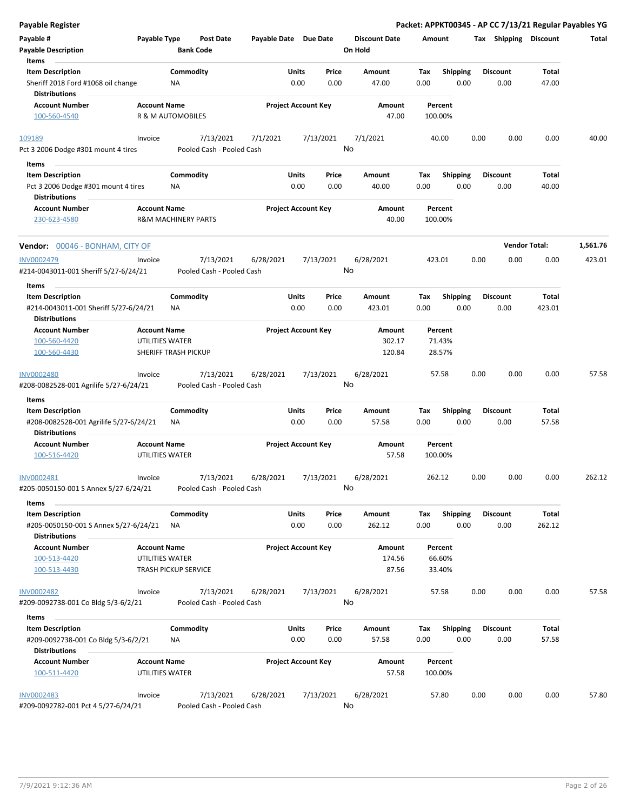| <b>Payable Register</b>                                           |                                        |                                        |                       |                            |                                 | Packet: APPKT00345 - AP CC 7/13/21 Regular Payables YG |                         |                        |          |
|-------------------------------------------------------------------|----------------------------------------|----------------------------------------|-----------------------|----------------------------|---------------------------------|--------------------------------------------------------|-------------------------|------------------------|----------|
| Payable #<br><b>Payable Description</b>                           | Payable Type                           | <b>Post Date</b><br><b>Bank Code</b>   | Payable Date Due Date |                            | <b>Discount Date</b><br>On Hold | Amount                                                 | Tax Shipping Discount   |                        | Total    |
| Items<br><b>Item Description</b>                                  |                                        | Commodity                              | Units                 | Price                      | Amount                          | <b>Shipping</b><br>Tax                                 | <b>Discount</b>         | Total                  |          |
| Sheriff 2018 Ford #1068 oil change<br><b>Distributions</b>        |                                        | ΝA                                     |                       | 0.00<br>0.00               | 47.00                           | 0.00<br>0.00                                           | 0.00                    | 47.00                  |          |
| <b>Account Number</b>                                             | <b>Account Name</b>                    |                                        |                       | <b>Project Account Key</b> | Amount                          | Percent                                                |                         |                        |          |
| 100-560-4540                                                      |                                        | R & M AUTOMOBILES                      |                       |                            | 47.00                           | 100.00%                                                |                         |                        |          |
| 109189                                                            | Invoice                                | 7/13/2021                              | 7/1/2021              | 7/13/2021                  | 7/1/2021                        | 40.00                                                  | 0.00<br>0.00            | 0.00                   | 40.00    |
| Pct 3 2006 Dodge #301 mount 4 tires                               |                                        | Pooled Cash - Pooled Cash              |                       |                            | No                              |                                                        |                         |                        |          |
| Items                                                             |                                        |                                        |                       |                            |                                 |                                                        |                         |                        |          |
| <b>Item Description</b>                                           |                                        | Commodity                              | Units                 | Price                      | Amount                          | <b>Shipping</b><br>Tax                                 | <b>Discount</b>         | Total                  |          |
| Pct 3 2006 Dodge #301 mount 4 tires<br><b>Distributions</b>       |                                        | ΝA                                     |                       | 0.00<br>0.00               | 40.00                           | 0.00<br>0.00                                           | 0.00                    | 40.00                  |          |
| <b>Account Number</b><br>230-623-4580                             | <b>Account Name</b>                    | <b>R&amp;M MACHINERY PARTS</b>         |                       | <b>Project Account Key</b> | Amount<br>40.00                 | Percent<br>100.00%                                     |                         |                        |          |
| Vendor: 00046 - BONHAM, CITY OF                                   |                                        |                                        |                       |                            |                                 |                                                        |                         | <b>Vendor Total:</b>   | 1,561.76 |
| <b>INV0002479</b><br>#214-0043011-001 Sheriff 5/27-6/24/21        | Invoice                                | 7/13/2021<br>Pooled Cash - Pooled Cash | 6/28/2021             | 7/13/2021                  | 6/28/2021<br>No                 | 423.01                                                 | 0.00<br>0.00            | 0.00                   | 423.01   |
| Items                                                             |                                        |                                        |                       |                            |                                 |                                                        |                         |                        |          |
| <b>Item Description</b><br>#214-0043011-001 Sheriff 5/27-6/24/21  |                                        | Commodity<br>ΝA                        | Units                 | Price<br>0.00<br>0.00      | Amount<br>423.01                | <b>Shipping</b><br>Tax<br>0.00<br>0.00                 | <b>Discount</b><br>0.00 | <b>Total</b><br>423.01 |          |
| Distributions                                                     |                                        |                                        |                       |                            |                                 |                                                        |                         |                        |          |
| <b>Account Number</b>                                             | <b>Account Name</b>                    |                                        |                       | <b>Project Account Key</b> | Amount                          | Percent                                                |                         |                        |          |
| 100-560-4420                                                      | UTILITIES WATER                        |                                        |                       |                            | 302.17                          | 71.43%                                                 |                         |                        |          |
| 100-560-4430                                                      |                                        | <b>SHERIFF TRASH PICKUP</b>            |                       |                            | 120.84                          | 28.57%                                                 |                         |                        |          |
| INV0002480<br>#208-0082528-001 Agrilife 5/27-6/24/21              | Invoice                                | 7/13/2021<br>Pooled Cash - Pooled Cash | 6/28/2021             | 7/13/2021                  | 6/28/2021<br>No                 | 57.58                                                  | 0.00<br>0.00            | 0.00                   | 57.58    |
|                                                                   |                                        |                                        |                       |                            |                                 |                                                        |                         |                        |          |
| Items                                                             |                                        |                                        |                       |                            |                                 |                                                        |                         |                        |          |
| <b>Item Description</b><br>#208-0082528-001 Agrilife 5/27-6/24/21 |                                        | Commodity<br>NA                        | Units                 | Price<br>0.00<br>0.00      | Amount<br>57.58                 | Tax<br><b>Shipping</b><br>0.00<br>0.00                 | <b>Discount</b><br>0.00 | Total<br>57.58         |          |
| <b>Distributions</b>                                              |                                        |                                        |                       |                            |                                 |                                                        |                         |                        |          |
| <b>Account Number</b><br>100-516-4420                             | <b>Account Name</b><br>UTILITIES WATER |                                        |                       | <b>Project Account Key</b> | Amount<br>57.58                 | Percent<br>100.00%                                     |                         |                        |          |
| INV0002481<br>#205-0050150-001 S Annex 5/27-6/24/21               | Invoice                                | 7/13/2021<br>Pooled Cash - Pooled Cash | 6/28/2021             | 7/13/2021                  | 6/28/2021<br>No                 | 262.12                                                 | 0.00<br>0.00            | 0.00                   | 262.12   |
| Items                                                             |                                        |                                        |                       |                            |                                 |                                                        |                         |                        |          |
| <b>Item Description</b><br>#205-0050150-001 S Annex 5/27-6/24/21  |                                        | Commodity<br>ΝA                        | Units                 | Price<br>0.00<br>0.00      | Amount<br>262.12                | <b>Shipping</b><br>Tax<br>0.00<br>0.00                 | <b>Discount</b><br>0.00 | Total<br>262.12        |          |
| <b>Distributions</b><br><b>Account Number</b>                     | <b>Account Name</b>                    |                                        |                       | <b>Project Account Key</b> | Amount                          | Percent                                                |                         |                        |          |
| 100-513-4420<br>100-513-4430                                      | UTILITIES WATER                        | <b>TRASH PICKUP SERVICE</b>            |                       |                            | 174.56<br>87.56                 | 66.60%<br>33.40%                                       |                         |                        |          |
| <b>INV0002482</b>                                                 | Invoice                                | 7/13/2021                              | 6/28/2021             | 7/13/2021                  | 6/28/2021                       | 57.58                                                  | 0.00<br>0.00            | 0.00                   | 57.58    |
| #209-0092738-001 Co Bldg 5/3-6/2/21                               |                                        | Pooled Cash - Pooled Cash              |                       |                            | No                              |                                                        |                         |                        |          |
| Items                                                             |                                        |                                        |                       |                            |                                 |                                                        |                         |                        |          |
| <b>Item Description</b><br>#209-0092738-001 Co Bldg 5/3-6/2/21    |                                        | Commodity<br>ΝA                        | Units                 | Price<br>0.00<br>0.00      | Amount<br>57.58                 | Tax<br><b>Shipping</b><br>0.00<br>0.00                 | <b>Discount</b><br>0.00 | Total<br>57.58         |          |
| Distributions                                                     |                                        |                                        |                       |                            |                                 |                                                        |                         |                        |          |
| <b>Account Number</b><br>100-511-4420                             | <b>Account Name</b><br>UTILITIES WATER |                                        |                       | <b>Project Account Key</b> | Amount<br>57.58                 | Percent<br>100.00%                                     |                         |                        |          |
| INV0002483<br>#209-0092782-001 Pct 4 5/27-6/24/21                 | Invoice                                | 7/13/2021<br>Pooled Cash - Pooled Cash | 6/28/2021             | 7/13/2021                  | 6/28/2021<br>No                 | 57.80                                                  | 0.00<br>0.00            | 0.00                   | 57.80    |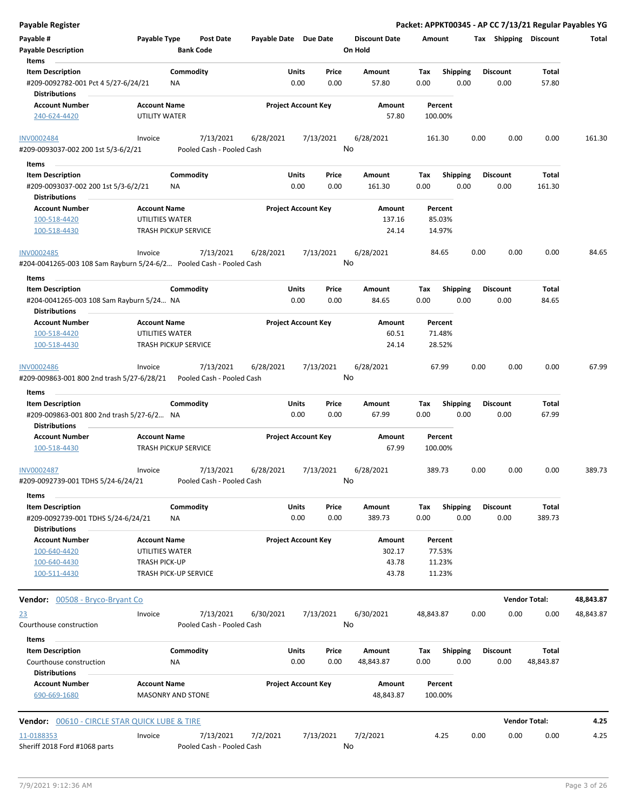| <b>Payable Register</b>                                                                |                                                 |                                      |                       |                                |                                 |                    |                         |      |                         |                      | Packet: APPKT00345 - AP CC 7/13/21 Regular Payables YG |
|----------------------------------------------------------------------------------------|-------------------------------------------------|--------------------------------------|-----------------------|--------------------------------|---------------------------------|--------------------|-------------------------|------|-------------------------|----------------------|--------------------------------------------------------|
| Payable #<br><b>Payable Description</b>                                                | Payable Type                                    | <b>Post Date</b><br><b>Bank Code</b> | Payable Date Due Date |                                | <b>Discount Date</b><br>On Hold | Amount             |                         |      | Tax Shipping Discount   |                      | Total                                                  |
| Items                                                                                  |                                                 |                                      |                       |                                |                                 |                    |                         |      | <b>Discount</b>         |                      |                                                        |
| <b>Item Description</b><br>#209-0092782-001 Pct 4 5/27-6/24/21<br><b>Distributions</b> | <b>NA</b>                                       | Commodity                            |                       | Units<br>Price<br>0.00<br>0.00 | Amount<br>57.80                 | Tax<br>0.00        | <b>Shipping</b><br>0.00 |      | 0.00                    | Total<br>57.80       |                                                        |
| <b>Account Number</b>                                                                  | <b>Account Name</b>                             |                                      |                       | <b>Project Account Key</b>     | Amount                          | Percent            |                         |      |                         |                      |                                                        |
| 240-624-4420                                                                           | UTILITY WATER                                   |                                      |                       |                                | 57.80                           | 100.00%            |                         |      |                         |                      |                                                        |
| <b>INV0002484</b>                                                                      | Invoice                                         | 7/13/2021                            | 6/28/2021             | 7/13/2021                      | 6/28/2021                       | 161.30             |                         | 0.00 | 0.00                    | 0.00                 | 161.30                                                 |
| #209-0093037-002 200 1st 5/3-6/2/21                                                    |                                                 | Pooled Cash - Pooled Cash            |                       |                                | No                              |                    |                         |      |                         |                      |                                                        |
| Items                                                                                  |                                                 |                                      |                       |                                |                                 |                    |                         |      |                         |                      |                                                        |
| <b>Item Description</b>                                                                |                                                 | Commodity                            |                       | Units<br>Price                 | Amount                          | Tax                | <b>Shipping</b>         |      | <b>Discount</b>         | Total                |                                                        |
| #209-0093037-002 200 1st 5/3-6/2/21                                                    | ΝA                                              |                                      |                       | 0.00<br>0.00                   | 161.30                          | 0.00               | 0.00                    |      | 0.00                    | 161.30               |                                                        |
| <b>Distributions</b>                                                                   |                                                 |                                      |                       |                                |                                 |                    |                         |      |                         |                      |                                                        |
| <b>Account Number</b>                                                                  | <b>Account Name</b>                             |                                      |                       | <b>Project Account Key</b>     | Amount                          | Percent            |                         |      |                         |                      |                                                        |
| 100-518-4420                                                                           | UTILITIES WATER                                 |                                      |                       |                                | 137.16                          | 85.03%             |                         |      |                         |                      |                                                        |
| 100-518-4430                                                                           | TRASH PICKUP SERVICE                            |                                      |                       |                                | 24.14                           | 14.97%             |                         |      |                         |                      |                                                        |
| INV0002485<br>#204-0041265-003 108 Sam Rayburn 5/24-6/2 Pooled Cash - Pooled Cash      | Invoice                                         | 7/13/2021                            | 6/28/2021             | 7/13/2021                      | 6/28/2021<br>No                 | 84.65              |                         | 0.00 | 0.00                    | 0.00                 | 84.65                                                  |
| Items                                                                                  |                                                 |                                      |                       |                                |                                 |                    |                         |      |                         |                      |                                                        |
| <b>Item Description</b>                                                                |                                                 | Commodity                            | Units                 | Price                          | Amount                          | Tax                | <b>Shipping</b>         |      | <b>Discount</b>         | Total                |                                                        |
| #204-0041265-003 108 Sam Rayburn 5/24 NA<br><b>Distributions</b>                       |                                                 |                                      |                       | 0.00<br>0.00                   | 84.65                           | 0.00               | 0.00                    |      | 0.00                    | 84.65                |                                                        |
| <b>Account Number</b>                                                                  | <b>Account Name</b>                             |                                      |                       | <b>Project Account Key</b>     | Amount                          | Percent            |                         |      |                         |                      |                                                        |
| 100-518-4420                                                                           | UTILITIES WATER                                 |                                      |                       |                                | 60.51                           | 71.48%             |                         |      |                         |                      |                                                        |
| 100-518-4430                                                                           | <b>TRASH PICKUP SERVICE</b>                     |                                      |                       |                                | 24.14                           | 28.52%             |                         |      |                         |                      |                                                        |
| <b>INV0002486</b>                                                                      | Invoice                                         | 7/13/2021                            | 6/28/2021             | 7/13/2021                      | 6/28/2021                       | 67.99              |                         | 0.00 | 0.00                    | 0.00                 | 67.99                                                  |
| #209-009863-001 800 2nd trash 5/27-6/28/21                                             |                                                 | Pooled Cash - Pooled Cash            |                       |                                | No                              |                    |                         |      |                         |                      |                                                        |
| Items<br><b>Item Description</b>                                                       |                                                 | Commodity                            |                       | Units<br>Price                 | Amount                          | Tax                | <b>Shipping</b>         |      | <b>Discount</b>         | Total                |                                                        |
| #209-009863-001 800 2nd trash 5/27-6/2 NA<br><b>Distributions</b>                      |                                                 |                                      |                       | 0.00<br>0.00                   | 67.99                           | 0.00               | 0.00                    |      | 0.00                    | 67.99                |                                                        |
| <b>Account Number</b>                                                                  | <b>Account Name</b>                             |                                      |                       | <b>Project Account Key</b>     | Amount                          | Percent            |                         |      |                         |                      |                                                        |
| 100-518-4430                                                                           | <b>TRASH PICKUP SERVICE</b>                     |                                      |                       |                                | 67.99                           | 100.00%            |                         |      |                         |                      |                                                        |
| <b>INV0002487</b>                                                                      | Invoice                                         | 7/13/2021                            | 6/28/2021             | 7/13/2021                      | 6/28/2021                       | 389.73             |                         | 0.00 | 0.00                    | 0.00                 | 389.73                                                 |
| #209-0092739-001 TDHS 5/24-6/24/21                                                     |                                                 | Pooled Cash - Pooled Cash            |                       |                                | No                              |                    |                         |      |                         |                      |                                                        |
| Items                                                                                  |                                                 |                                      |                       |                                |                                 |                    |                         |      |                         |                      |                                                        |
| <b>Item Description</b><br>#209-0092739-001 TDHS 5/24-6/24/21                          | ΝA                                              | Commodity                            |                       | Units<br>Price<br>0.00<br>0.00 | Amount<br>389.73                | Tax<br>0.00        | Shipping<br>0.00        |      | <b>Discount</b><br>0.00 | Total<br>389.73      |                                                        |
| <b>Distributions</b>                                                                   |                                                 |                                      |                       |                                |                                 |                    |                         |      |                         |                      |                                                        |
| <b>Account Number</b>                                                                  | <b>Account Name</b>                             |                                      |                       | <b>Project Account Key</b>     | Amount                          | Percent            |                         |      |                         |                      |                                                        |
| 100-640-4420                                                                           | UTILITIES WATER                                 |                                      |                       |                                | 302.17                          | 77.53%             |                         |      |                         |                      |                                                        |
| 100-640-4430                                                                           | <b>TRASH PICK-UP</b>                            |                                      |                       |                                | 43.78                           | 11.23%             |                         |      |                         |                      |                                                        |
| 100-511-4430                                                                           | TRASH PICK-UP SERVICE                           |                                      |                       |                                | 43.78                           | 11.23%             |                         |      |                         |                      |                                                        |
| <b>Vendor:</b> 00508 - Bryco-Bryant Co                                                 |                                                 |                                      |                       |                                |                                 |                    |                         |      |                         | <b>Vendor Total:</b> | 48,843.87                                              |
| 23                                                                                     | Invoice                                         | 7/13/2021                            | 6/30/2021             | 7/13/2021                      | 6/30/2021                       | 48,843.87          |                         | 0.00 | 0.00                    | 0.00                 | 48,843.87                                              |
| Courthouse construction                                                                |                                                 | Pooled Cash - Pooled Cash            |                       |                                | No                              |                    |                         |      |                         |                      |                                                        |
| Items                                                                                  |                                                 |                                      |                       |                                |                                 |                    |                         |      |                         |                      |                                                        |
| <b>Item Description</b><br>Courthouse construction                                     | ΝA                                              | Commodity                            |                       | Units<br>Price<br>0.00<br>0.00 | Amount<br>48,843.87             | Tax<br>0.00        | <b>Shipping</b><br>0.00 |      | <b>Discount</b><br>0.00 | Total<br>48,843.87   |                                                        |
| <b>Distributions</b>                                                                   |                                                 |                                      |                       |                                |                                 |                    |                         |      |                         |                      |                                                        |
| <b>Account Number</b><br>690-669-1680                                                  | <b>Account Name</b><br><b>MASONRY AND STONE</b> |                                      |                       | <b>Project Account Key</b>     | Amount<br>48,843.87             | Percent<br>100.00% |                         |      |                         |                      |                                                        |
| <b>Vendor: 00610 - CIRCLE STAR QUICK LUBE &amp; TIRE</b>                               |                                                 |                                      |                       |                                |                                 |                    |                         |      |                         | <b>Vendor Total:</b> | 4.25                                                   |
| 11-0188353                                                                             | Invoice                                         | 7/13/2021                            | 7/2/2021              | 7/13/2021                      | 7/2/2021                        | 4.25               |                         | 0.00 | 0.00                    | 0.00                 | 4.25                                                   |
| Sheriff 2018 Ford #1068 parts                                                          |                                                 | Pooled Cash - Pooled Cash            |                       |                                | No                              |                    |                         |      |                         |                      |                                                        |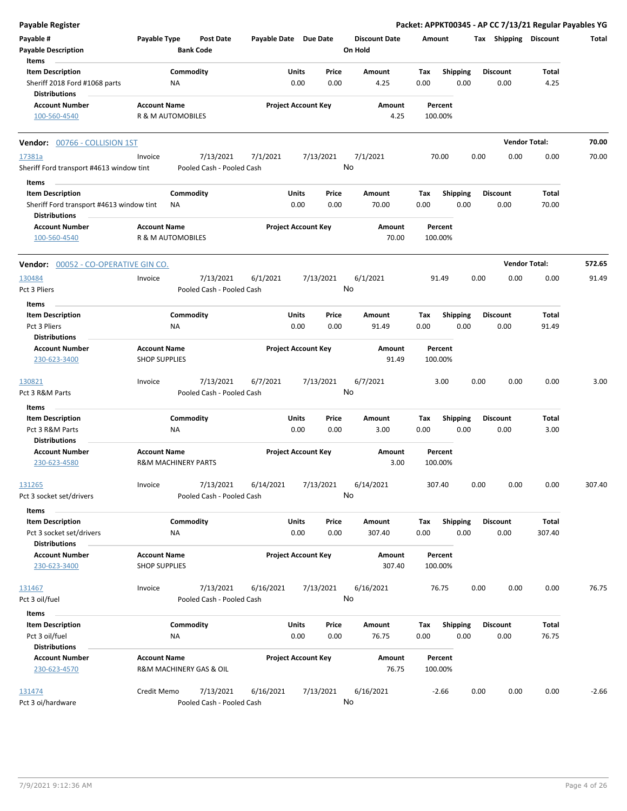| <b>Payable Register</b>                                                                              |                                                       |                                        |                       |                                       |                                 | Packet: APPKT00345 - AP CC 7/13/21 Regular Payables YG |      |                         |                      |         |
|------------------------------------------------------------------------------------------------------|-------------------------------------------------------|----------------------------------------|-----------------------|---------------------------------------|---------------------------------|--------------------------------------------------------|------|-------------------------|----------------------|---------|
| Payable #<br><b>Payable Description</b>                                                              | Payable Type                                          | <b>Post Date</b><br><b>Bank Code</b>   | Payable Date Due Date |                                       | <b>Discount Date</b><br>On Hold | Amount                                                 |      | Tax Shipping Discount   |                      | Total   |
| Items<br><b>Item Description</b><br>Sheriff 2018 Ford #1068 parts<br><b>Distributions</b>            | ΝA                                                    | Commodity                              |                       | Units<br>Price<br>0.00<br>0.00        | Amount<br>4.25                  | <b>Shipping</b><br>Tax<br>0.00                         | 0.00 | <b>Discount</b><br>0.00 | Total<br>4.25        |         |
| <b>Account Number</b><br>100-560-4540                                                                | <b>Account Name</b><br>R & M AUTOMOBILES              |                                        |                       | <b>Project Account Key</b>            | Amount<br>4.25                  | Percent<br>100.00%                                     |      |                         |                      |         |
| Vendor: 00766 - COLLISION 1ST                                                                        |                                                       |                                        |                       |                                       |                                 |                                                        |      |                         | <b>Vendor Total:</b> | 70.00   |
| 17381a<br>Sheriff Ford transport #4613 window tint                                                   | Invoice                                               | 7/13/2021<br>Pooled Cash - Pooled Cash | 7/1/2021              | 7/13/2021                             | 7/1/2021<br>No                  | 70.00                                                  | 0.00 | 0.00                    | 0.00                 | 70.00   |
| Items<br><b>Item Description</b><br>Sheriff Ford transport #4613 window tint<br><b>Distributions</b> | ΝA                                                    | Commodity                              |                       | Units<br>Price<br>0.00<br>0.00        | Amount<br>70.00                 | Shipping<br>Tax<br>0.00                                | 0.00 | <b>Discount</b><br>0.00 | Total<br>70.00       |         |
| <b>Account Number</b><br>100-560-4540                                                                | <b>Account Name</b><br>R & M AUTOMOBILES              |                                        |                       | <b>Project Account Key</b>            | Amount<br>70.00                 | Percent<br>100.00%                                     |      |                         |                      |         |
| Vendor: 00052 - CO-OPERATIVE GIN CO.                                                                 |                                                       |                                        |                       |                                       |                                 |                                                        |      |                         | <b>Vendor Total:</b> | 572.65  |
| 130484<br>Pct 3 Pliers                                                                               | Invoice                                               | 7/13/2021<br>Pooled Cash - Pooled Cash | 6/1/2021              | 7/13/2021                             | 6/1/2021<br>No                  | 91.49                                                  | 0.00 | 0.00                    | 0.00                 | 91.49   |
| Items<br><b>Item Description</b><br>Pct 3 Pliers<br><b>Distributions</b>                             | ΝA                                                    | Commodity                              |                       | Units<br>Price<br>0.00<br>0.00        | Amount<br>91.49                 | Tax<br><b>Shipping</b><br>0.00                         | 0.00 | <b>Discount</b><br>0.00 | Total<br>91.49       |         |
| <b>Account Number</b><br>230-623-3400                                                                | <b>Account Name</b><br><b>SHOP SUPPLIES</b>           |                                        |                       | <b>Project Account Key</b>            | Amount<br>91.49                 | Percent<br>100.00%                                     |      |                         |                      |         |
| 130821<br>Pct 3 R&M Parts                                                                            | Invoice                                               | 7/13/2021<br>Pooled Cash - Pooled Cash | 6/7/2021              | 7/13/2021                             | 6/7/2021<br>No                  | 3.00                                                   | 0.00 | 0.00                    | 0.00                 | 3.00    |
| Items                                                                                                |                                                       |                                        |                       |                                       |                                 |                                                        |      |                         |                      |         |
| <b>Item Description</b><br>Pct 3 R&M Parts<br><b>Distributions</b>                                   | ΝA                                                    | Commodity                              |                       | Units<br>Price<br>0.00<br>0.00        | Amount<br>3.00                  | <b>Shipping</b><br>Tax<br>0.00                         | 0.00 | <b>Discount</b><br>0.00 | Total<br>3.00        |         |
| <b>Account Number</b><br>230-623-4580                                                                | <b>Account Name</b><br><b>R&amp;M MACHINERY PARTS</b> |                                        |                       | <b>Project Account Key</b>            | Amount<br>3.00                  | Percent<br>100.00%                                     |      |                         |                      |         |
| 131265<br>Pct 3 socket set/drivers                                                                   | Invoice                                               | 7/13/2021<br>Pooled Cash - Pooled Cash | 6/14/2021             | 7/13/2021                             | 6/14/2021<br>No                 | 307.40                                                 | 0.00 | 0.00                    | 0.00                 | 307.40  |
| Items<br><b>Item Description</b><br>Pct 3 socket set/drivers                                         | NA                                                    | Commodity                              |                       | <b>Units</b><br>Price<br>0.00<br>0.00 | Amount<br>307.40                | Tax<br>Shipping<br>0.00                                | 0.00 | <b>Discount</b><br>0.00 | Total<br>307.40      |         |
| <b>Distributions</b><br><b>Account Number</b><br>230-623-3400                                        | <b>Account Name</b><br><b>SHOP SUPPLIES</b>           |                                        |                       | <b>Project Account Key</b>            | Amount<br>307.40                | Percent<br>100.00%                                     |      |                         |                      |         |
| 131467<br>Pct 3 oil/fuel                                                                             | Invoice                                               | 7/13/2021<br>Pooled Cash - Pooled Cash | 6/16/2021             | 7/13/2021                             | 6/16/2021<br>No                 | 76.75                                                  | 0.00 | 0.00                    | 0.00                 | 76.75   |
| Items<br><b>Item Description</b><br>Pct 3 oil/fuel<br><b>Distributions</b>                           | NA                                                    | Commodity                              |                       | Units<br>Price<br>0.00<br>0.00        | Amount<br>76.75                 | <b>Shipping</b><br>Tax<br>0.00                         | 0.00 | <b>Discount</b><br>0.00 | Total<br>76.75       |         |
| <b>Account Number</b><br>230-623-4570                                                                | <b>Account Name</b>                                   | R&M MACHINERY GAS & OIL                |                       | <b>Project Account Key</b>            | Amount<br>76.75                 | Percent<br>100.00%                                     |      |                         |                      |         |
| 131474<br>Pct 3 oi/hardware                                                                          | Credit Memo                                           | 7/13/2021<br>Pooled Cash - Pooled Cash | 6/16/2021             | 7/13/2021                             | 6/16/2021<br>No                 | $-2.66$                                                | 0.00 | 0.00                    | 0.00                 | $-2.66$ |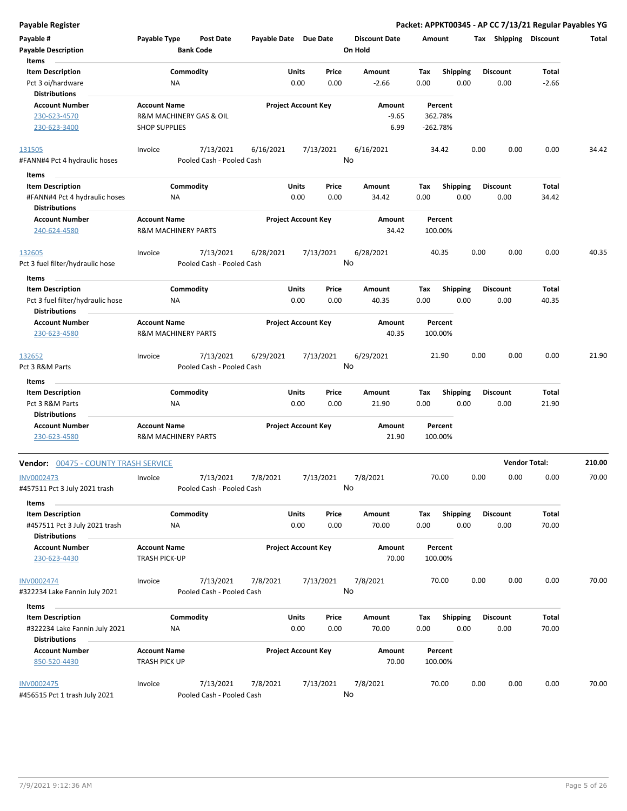|  | <b>Payable Register</b> |
|--|-------------------------|
|  |                         |

| Payable #<br><b>Payable Description</b><br>Items                                          | Payable Type                                                           | <b>Post Date</b><br><b>Bank Code</b>   |           | Payable Date Due Date                 | <b>Discount Date</b><br>On Hold | Amount                         |                         | <b>Tax Shipping Discount</b> |                      | Total  |
|-------------------------------------------------------------------------------------------|------------------------------------------------------------------------|----------------------------------------|-----------|---------------------------------------|---------------------------------|--------------------------------|-------------------------|------------------------------|----------------------|--------|
| <b>Item Description</b><br>Pct 3 oi/hardware<br><b>Distributions</b>                      | ΝA                                                                     | Commodity                              |           | Price<br>Units<br>0.00<br>0.00        | Amount<br>$-2.66$               | Tax<br>0.00                    | <b>Shipping</b><br>0.00 | <b>Discount</b><br>0.00      | Total<br>$-2.66$     |        |
| <b>Account Number</b><br>230-623-4570<br>230-623-3400                                     | <b>Account Name</b><br>R&M MACHINERY GAS & OIL<br><b>SHOP SUPPLIES</b> |                                        |           | <b>Project Account Key</b>            | Amount<br>$-9.65$<br>6.99       | Percent<br>362.78%<br>-262.78% |                         |                              |                      |        |
| 131505<br>#FANN#4 Pct 4 hydraulic hoses                                                   | Invoice                                                                | 7/13/2021<br>Pooled Cash - Pooled Cash | 6/16/2021 | 7/13/2021                             | 6/16/2021<br>No                 | 34.42                          |                         | 0.00<br>0.00                 | 0.00                 | 34.42  |
| Items<br><b>Item Description</b><br>#FANN#4 Pct 4 hydraulic hoses                         | ΝA                                                                     | Commodity                              |           | Units<br>Price<br>0.00<br>0.00        | Amount<br>34.42                 | Tax<br>0.00                    | <b>Shipping</b><br>0.00 | <b>Discount</b><br>0.00      | Total<br>34.42       |        |
| <b>Distributions</b><br><b>Account Number</b><br>240-624-4580                             | <b>Account Name</b><br><b>R&amp;M MACHINERY PARTS</b>                  |                                        |           | <b>Project Account Key</b>            | Amount<br>34.42                 | Percent<br>100.00%             |                         |                              |                      |        |
| 132605<br>Pct 3 fuel filter/hydraulic hose                                                | Invoice                                                                | 7/13/2021<br>Pooled Cash - Pooled Cash | 6/28/2021 | 7/13/2021                             | 6/28/2021<br>No                 | 40.35                          |                         | 0.00<br>0.00                 | 0.00                 | 40.35  |
| Items                                                                                     |                                                                        |                                        |           |                                       |                                 |                                |                         |                              |                      |        |
| <b>Item Description</b><br>Pct 3 fuel filter/hydraulic hose<br><b>Distributions</b>       | ΝA                                                                     | Commodity                              |           | <b>Units</b><br>Price<br>0.00<br>0.00 | Amount<br>40.35                 | Tax<br>0.00                    | <b>Shipping</b><br>0.00 | <b>Discount</b><br>0.00      | Total<br>40.35       |        |
| <b>Account Number</b><br>230-623-4580                                                     | <b>Account Name</b><br><b>R&amp;M MACHINERY PARTS</b>                  |                                        |           | <b>Project Account Key</b>            | Amount<br>40.35                 | Percent<br>100.00%             |                         |                              |                      |        |
| 132652<br>Pct 3 R&M Parts                                                                 | Invoice                                                                | 7/13/2021<br>Pooled Cash - Pooled Cash | 6/29/2021 | 7/13/2021                             | 6/29/2021<br>No                 | 21.90                          |                         | 0.00<br>0.00                 | 0.00                 | 21.90  |
| Items                                                                                     |                                                                        |                                        |           |                                       |                                 |                                |                         |                              |                      |        |
| <b>Item Description</b><br>Pct 3 R&M Parts                                                | ΝA                                                                     | Commodity                              |           | Units<br>Price<br>0.00<br>0.00        | Amount<br>21.90                 | Tax<br>0.00                    | <b>Shipping</b><br>0.00 | <b>Discount</b><br>0.00      | Total<br>21.90       |        |
| <b>Distributions</b><br><b>Account Number</b><br>230-623-4580                             | <b>Account Name</b><br><b>R&amp;M MACHINERY PARTS</b>                  |                                        |           | <b>Project Account Key</b>            | Amount<br>21.90                 | Percent<br>100.00%             |                         |                              |                      |        |
| <b>Vendor: 00475 - COUNTY TRASH SERVICE</b>                                               |                                                                        |                                        |           |                                       |                                 |                                |                         |                              | <b>Vendor Total:</b> | 210.00 |
| INV0002473<br>#457511 Pct 3 July 2021 trash                                               | Invoice                                                                | 7/13/2021<br>Pooled Cash - Pooled Cash | 7/8/2021  | 7/13/2021                             | 7/8/2021<br>No                  | 70.00                          |                         | 0.00<br>0.00                 | 0.00                 | 70.00  |
| Items<br><b>Item Description</b><br>#457511 Pct 3 July 2021 trash<br><b>Distributions</b> | NA                                                                     | Commodity                              |           | <b>Units</b><br>Price<br>0.00<br>0.00 | Amount<br>70.00                 | Tax<br>0.00                    | Shipping<br>0.00        | <b>Discount</b><br>0.00      | Total<br>70.00       |        |
| <b>Account Number</b><br>230-623-4430                                                     | <b>Account Name</b><br>TRASH PICK-UP                                   |                                        |           | <b>Project Account Key</b>            | Amount<br>70.00                 | Percent<br>100.00%             |                         |                              |                      |        |
| <b>INV0002474</b><br>#322234 Lake Fannin July 2021                                        | Invoice                                                                | 7/13/2021<br>Pooled Cash - Pooled Cash | 7/8/2021  | 7/13/2021                             | 7/8/2021<br>No                  | 70.00                          |                         | 0.00<br>0.00                 | 0.00                 | 70.00  |
| Items<br><b>Item Description</b><br>#322234 Lake Fannin July 2021<br><b>Distributions</b> | NA                                                                     | Commodity                              |           | <b>Units</b><br>Price<br>0.00<br>0.00 | Amount<br>70.00                 | Tax<br>0.00                    | Shipping<br>0.00        | <b>Discount</b><br>0.00      | Total<br>70.00       |        |
| <b>Account Number</b><br>850-520-4430                                                     | <b>Account Name</b><br>TRASH PICK UP                                   |                                        |           | <b>Project Account Key</b>            | Amount<br>70.00                 | Percent<br>100.00%             |                         |                              |                      |        |
| <b>INV0002475</b><br>#456515 Pct 1 trash July 2021                                        | Invoice                                                                | 7/13/2021<br>Pooled Cash - Pooled Cash | 7/8/2021  | 7/13/2021                             | 7/8/2021<br>No                  | 70.00                          |                         | 0.00<br>0.00                 | 0.00                 | 70.00  |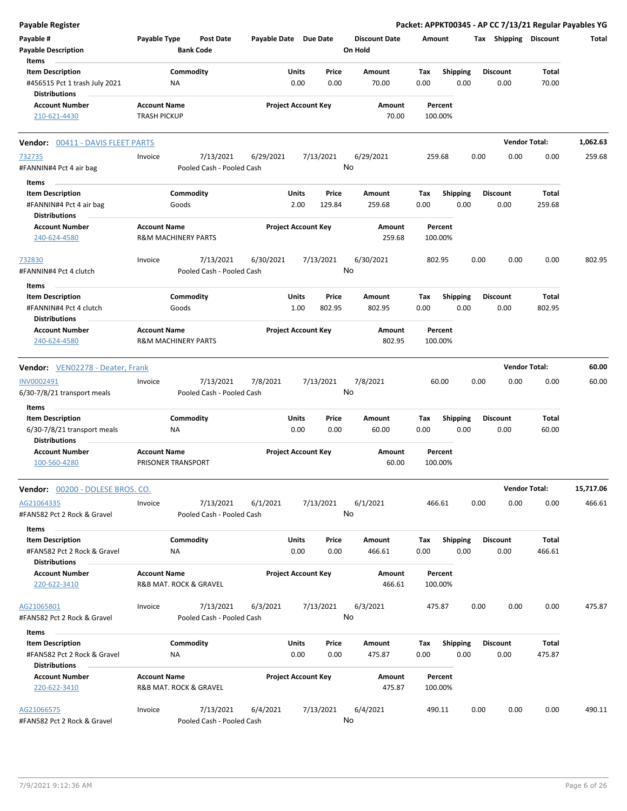| <b>Payable Register</b>                               |                     |                                |                       |                            |        |                      |        |                    |      |                       |                      | Packet: APPKT00345 - AP CC 7/13/21 Regular Payables YG |
|-------------------------------------------------------|---------------------|--------------------------------|-----------------------|----------------------------|--------|----------------------|--------|--------------------|------|-----------------------|----------------------|--------------------------------------------------------|
| Payable #                                             | Payable Type        | <b>Post Date</b>               | Payable Date Due Date |                            |        | <b>Discount Date</b> | Amount |                    |      | Tax Shipping Discount |                      | Total                                                  |
| <b>Payable Description</b>                            |                     | <b>Bank Code</b>               |                       |                            |        | On Hold              |        |                    |      |                       |                      |                                                        |
| Items                                                 |                     |                                |                       |                            |        |                      |        |                    |      |                       |                      |                                                        |
| <b>Item Description</b>                               |                     | Commodity                      |                       | Units                      | Price  | Amount               | Tax    | Shipping           |      | <b>Discount</b>       | Total                |                                                        |
| #456515 Pct 1 trash July 2021<br><b>Distributions</b> |                     | NA                             |                       | 0.00                       | 0.00   | 70.00                | 0.00   | 0.00               |      | 0.00                  | 70.00                |                                                        |
| <b>Account Number</b>                                 | <b>Account Name</b> |                                |                       | <b>Project Account Key</b> |        | Amount               |        | Percent            |      |                       |                      |                                                        |
| 210-621-4430                                          | <b>TRASH PICKUP</b> |                                |                       |                            |        | 70.00                |        | 100.00%            |      |                       |                      |                                                        |
| <b>Vendor: 00411 - DAVIS FLEET PARTS</b>              |                     |                                |                       |                            |        |                      |        |                    |      |                       | <b>Vendor Total:</b> | 1,062.63                                               |
| 732735                                                | Invoice             | 7/13/2021                      | 6/29/2021             | 7/13/2021                  |        | 6/29/2021            |        | 259.68             | 0.00 | 0.00                  | 0.00                 | 259.68                                                 |
| #FANNIN#4 Pct 4 air bag                               |                     | Pooled Cash - Pooled Cash      |                       |                            |        | No                   |        |                    |      |                       |                      |                                                        |
| Items                                                 |                     |                                |                       |                            |        |                      |        |                    |      |                       |                      |                                                        |
| <b>Item Description</b>                               |                     | Commodity                      |                       | Units                      | Price  | Amount               | Tax    | <b>Shipping</b>    |      | <b>Discount</b>       | Total                |                                                        |
| #FANNIN#4 Pct 4 air bag                               |                     | Goods                          |                       | 2.00                       | 129.84 | 259.68               | 0.00   | 0.00               |      | 0.00                  | 259.68               |                                                        |
| <b>Distributions</b>                                  |                     |                                |                       |                            |        |                      |        |                    |      |                       |                      |                                                        |
| <b>Account Number</b>                                 | <b>Account Name</b> |                                |                       | <b>Project Account Key</b> |        | Amount               |        | Percent            |      |                       |                      |                                                        |
| 240-624-4580                                          |                     | <b>R&amp;M MACHINERY PARTS</b> |                       |                            |        | 259.68               |        | 100.00%            |      |                       |                      |                                                        |
|                                                       |                     |                                |                       |                            |        |                      |        |                    |      |                       |                      |                                                        |
| 732830                                                | Invoice             | 7/13/2021                      | 6/30/2021             | 7/13/2021                  |        | 6/30/2021            |        | 802.95             | 0.00 | 0.00                  | 0.00                 | 802.95                                                 |
| #FANNIN#4 Pct 4 clutch                                |                     | Pooled Cash - Pooled Cash      |                       |                            |        | No                   |        |                    |      |                       |                      |                                                        |
| Items                                                 |                     |                                |                       |                            |        |                      |        |                    |      |                       |                      |                                                        |
| <b>Item Description</b>                               |                     | Commodity                      |                       | Units                      | Price  | Amount               | Tax    | <b>Shipping</b>    |      | <b>Discount</b>       | Total                |                                                        |
| #FANNIN#4 Pct 4 clutch                                |                     | Goods                          |                       | 1.00                       | 802.95 | 802.95               | 0.00   | 0.00               |      | 0.00                  | 802.95               |                                                        |
| <b>Distributions</b>                                  |                     |                                |                       |                            |        |                      |        |                    |      |                       |                      |                                                        |
| <b>Account Number</b>                                 | <b>Account Name</b> |                                |                       | <b>Project Account Key</b> |        | Amount               |        | Percent            |      |                       |                      |                                                        |
| 240-624-4580                                          |                     | <b>R&amp;M MACHINERY PARTS</b> |                       |                            |        | 802.95               |        | 100.00%            |      |                       |                      |                                                        |
|                                                       |                     |                                |                       |                            |        |                      |        |                    |      |                       |                      |                                                        |
| <b>Vendor:</b> VEN02278 - Deater, Frank               |                     |                                |                       |                            |        |                      |        |                    |      |                       | <b>Vendor Total:</b> | 60.00                                                  |
| INV0002491                                            | Invoice             | 7/13/2021                      | 7/8/2021              | 7/13/2021                  |        | 7/8/2021             |        | 60.00              | 0.00 | 0.00                  | 0.00                 | 60.00                                                  |
| 6/30-7/8/21 transport meals                           |                     | Pooled Cash - Pooled Cash      |                       |                            |        | No                   |        |                    |      |                       |                      |                                                        |
| Items                                                 |                     |                                |                       |                            |        |                      |        |                    |      |                       |                      |                                                        |
| <b>Item Description</b>                               |                     | Commodity                      |                       | Units                      | Price  | Amount               | Tax    | <b>Shipping</b>    |      | <b>Discount</b>       | Total                |                                                        |
| 6/30-7/8/21 transport meals                           |                     | NA                             |                       | 0.00                       | 0.00   | 60.00                | 0.00   | 0.00               |      | 0.00                  | 60.00                |                                                        |
| <b>Distributions</b>                                  |                     |                                |                       |                            |        |                      |        |                    |      |                       |                      |                                                        |
| <b>Account Number</b>                                 | <b>Account Name</b> |                                |                       | <b>Project Account Key</b> |        | Amount               |        | Percent            |      |                       |                      |                                                        |
| 100-560-4280                                          |                     | PRISONER TRANSPORT             |                       |                            |        | 60.00                |        | 100.00%            |      |                       |                      |                                                        |
| Vendor: 00200 - DOLESE BROS. CO.                      |                     |                                |                       |                            |        |                      |        |                    |      |                       | <b>Vendor Total:</b> | 15,717.06                                              |
| AG21064335                                            | Invoice             | 7/13/2021                      | 6/1/2021              | 7/13/2021                  |        | 6/1/2021             |        | 466.61             | 0.00 | 0.00                  | 0.00                 | 466.61                                                 |
| #FAN582 Pct 2 Rock & Gravel                           |                     | Pooled Cash - Pooled Cash      |                       |                            |        | No                   |        |                    |      |                       |                      |                                                        |
| Items                                                 |                     |                                |                       |                            |        |                      |        |                    |      |                       |                      |                                                        |
| <b>Item Description</b>                               |                     | Commodity                      |                       | Units                      | Price  | Amount               | Tax    | <b>Shipping</b>    |      | <b>Discount</b>       | Total                |                                                        |
| #FAN582 Pct 2 Rock & Gravel                           |                     | NA                             |                       | 0.00                       | 0.00   | 466.61               | 0.00   | 0.00               |      | 0.00                  | 466.61               |                                                        |
| <b>Distributions</b>                                  |                     |                                |                       |                            |        |                      |        |                    |      |                       |                      |                                                        |
| <b>Account Number</b>                                 | <b>Account Name</b> |                                |                       | <b>Project Account Key</b> |        | Amount               |        | Percent            |      |                       |                      |                                                        |
| 220-622-3410                                          |                     | R&B MAT. ROCK & GRAVEL         |                       |                            |        | 466.61               |        | 100.00%            |      |                       |                      |                                                        |
| AG21065801                                            | Invoice             | 7/13/2021                      | 6/3/2021              | 7/13/2021                  |        | 6/3/2021             |        | 475.87             | 0.00 | 0.00                  | 0.00                 | 475.87                                                 |
| #FAN582 Pct 2 Rock & Gravel                           |                     | Pooled Cash - Pooled Cash      |                       |                            |        | No                   |        |                    |      |                       |                      |                                                        |
|                                                       |                     |                                |                       |                            |        |                      |        |                    |      |                       |                      |                                                        |
| Items                                                 |                     |                                |                       |                            |        |                      |        |                    |      |                       |                      |                                                        |
| <b>Item Description</b>                               |                     | Commodity                      |                       | Units                      | Price  | Amount               | Tax    | <b>Shipping</b>    |      | <b>Discount</b>       | Total                |                                                        |
| #FAN582 Pct 2 Rock & Gravel                           |                     | NA                             |                       | 0.00                       | 0.00   | 475.87               | 0.00   | 0.00               |      | 0.00                  | 475.87               |                                                        |
| <b>Distributions</b>                                  |                     |                                |                       |                            |        |                      |        |                    |      |                       |                      |                                                        |
| <b>Account Number</b><br>220-622-3410                 | <b>Account Name</b> | R&B MAT. ROCK & GRAVEL         |                       | <b>Project Account Key</b> |        | Amount<br>475.87     |        | Percent<br>100.00% |      |                       |                      |                                                        |
| AG21066575                                            | Invoice             | 7/13/2021                      | 6/4/2021              | 7/13/2021                  |        | 6/4/2021             |        | 490.11             | 0.00 | 0.00                  | 0.00                 | 490.11                                                 |
| #FAN582 Pct 2 Rock & Gravel                           |                     | Pooled Cash - Pooled Cash      |                       |                            |        | No                   |        |                    |      |                       |                      |                                                        |
|                                                       |                     |                                |                       |                            |        |                      |        |                    |      |                       |                      |                                                        |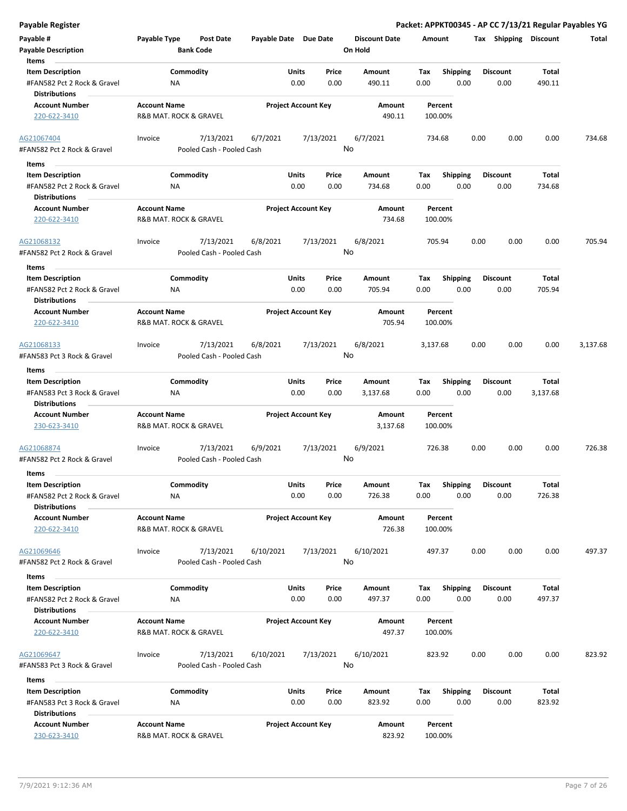| Payable #                                                                      | Payable Type                                  | Post Date                              | Payable Date Due Date |                                | <b>Discount Date</b> | Amount             |                         |      | Tax Shipping            | Discount        | Total    |
|--------------------------------------------------------------------------------|-----------------------------------------------|----------------------------------------|-----------------------|--------------------------------|----------------------|--------------------|-------------------------|------|-------------------------|-----------------|----------|
| <b>Payable Description</b><br>Items                                            |                                               | <b>Bank Code</b>                       |                       |                                | On Hold              |                    |                         |      |                         |                 |          |
| <b>Item Description</b>                                                        |                                               | Commodity                              |                       | Units<br>Price                 | Amount               | Tax                | <b>Shipping</b>         |      | <b>Discount</b>         | Total           |          |
| #FAN582 Pct 2 Rock & Gravel<br><b>Distributions</b>                            | ΝA                                            |                                        |                       | 0.00<br>0.00                   | 490.11               | 0.00               | 0.00                    |      | 0.00                    | 490.11          |          |
| <b>Account Number</b>                                                          | <b>Account Name</b>                           |                                        |                       | <b>Project Account Key</b>     | Amount               | Percent            |                         |      |                         |                 |          |
| 220-622-3410                                                                   | R&B MAT. ROCK & GRAVEL                        |                                        |                       |                                | 490.11               | 100.00%            |                         |      |                         |                 |          |
| AG21067404<br>#FAN582 Pct 2 Rock & Gravel                                      | Invoice                                       | 7/13/2021<br>Pooled Cash - Pooled Cash | 6/7/2021              | 7/13/2021                      | 6/7/2021<br>No       | 734.68             |                         | 0.00 | 0.00                    | 0.00            | 734.68   |
|                                                                                |                                               |                                        |                       |                                |                      |                    |                         |      |                         |                 |          |
| Items<br><b>Item Description</b>                                               |                                               | Commodity                              |                       | Units<br>Price                 | Amount               | Tax                | <b>Shipping</b>         |      | <b>Discount</b>         | Total           |          |
| #FAN582 Pct 2 Rock & Gravel<br><b>Distributions</b>                            | ΝA                                            |                                        |                       | 0.00<br>0.00                   | 734.68               | 0.00               | 0.00                    |      | 0.00                    | 734.68          |          |
| <b>Account Number</b>                                                          | <b>Account Name</b>                           |                                        |                       | <b>Project Account Key</b>     | Amount               | Percent            |                         |      |                         |                 |          |
| 220-622-3410                                                                   | R&B MAT. ROCK & GRAVEL                        |                                        |                       |                                | 734.68               | 100.00%            |                         |      |                         |                 |          |
| AG21068132                                                                     | Invoice                                       | 7/13/2021                              | 6/8/2021              | 7/13/2021                      | 6/8/2021             | 705.94             |                         | 0.00 | 0.00                    | 0.00            | 705.94   |
| #FAN582 Pct 2 Rock & Gravel<br><b>Items</b>                                    |                                               | Pooled Cash - Pooled Cash              |                       |                                | No                   |                    |                         |      |                         |                 |          |
| <b>Item Description</b>                                                        |                                               | Commodity                              |                       | Units<br>Price                 | Amount               | Tax                | <b>Shipping</b>         |      | <b>Discount</b>         | Total           |          |
| #FAN582 Pct 2 Rock & Gravel<br><b>Distributions</b>                            | ΝA                                            |                                        |                       | 0.00<br>0.00                   | 705.94               | 0.00               | 0.00                    |      | 0.00                    | 705.94          |          |
| <b>Account Number</b>                                                          | <b>Account Name</b>                           |                                        |                       | <b>Project Account Key</b>     | Amount               | Percent            |                         |      |                         |                 |          |
| 220-622-3410                                                                   | R&B MAT. ROCK & GRAVEL                        |                                        |                       |                                | 705.94               | 100.00%            |                         |      |                         |                 |          |
| AG21068133                                                                     | Invoice                                       | 7/13/2021                              | 6/8/2021              | 7/13/2021                      | 6/8/2021             | 3,137.68           |                         | 0.00 | 0.00                    | 0.00            | 3,137.68 |
| #FAN583 Pct 3 Rock & Gravel                                                    |                                               | Pooled Cash - Pooled Cash              |                       |                                | No                   |                    |                         |      |                         |                 |          |
| Items<br><b>Item Description</b>                                               |                                               | Commodity                              |                       | Units<br>Price                 | Amount               | Tax                | <b>Shipping</b>         |      | Discount                | Total           |          |
| #FAN583 Pct 3 Rock & Gravel<br><b>Distributions</b>                            | ΝA                                            |                                        |                       | 0.00<br>0.00                   | 3,137.68             | 0.00               | 0.00                    |      | 0.00                    | 3,137.68        |          |
| <b>Account Number</b>                                                          | <b>Account Name</b>                           |                                        |                       | <b>Project Account Key</b>     | Amount               | Percent            |                         |      |                         |                 |          |
| 230-623-3410                                                                   | R&B MAT. ROCK & GRAVEL                        |                                        |                       |                                | 3,137.68             | 100.00%            |                         |      |                         |                 |          |
| AG21068874<br>#FAN582 Pct 2 Rock & Gravel                                      | Invoice                                       | 7/13/2021<br>Pooled Cash - Pooled Cash | 6/9/2021              | 7/13/2021                      | 6/9/2021<br>No       | 726.38             |                         | 0.00 | 0.00                    | 0.00            | 726.38   |
| Items                                                                          |                                               |                                        |                       |                                |                      |                    |                         |      |                         |                 |          |
| <b>Item Description</b><br>#FAN582 Pct 2 Rock & Gravel<br><b>Distributions</b> | ΝA                                            | Commodity                              |                       | Units<br>Price<br>0.00<br>0.00 | Amount<br>726.38     | Tax<br>0.00        | <b>Shipping</b><br>0.00 |      | <b>Discount</b><br>0.00 | Total<br>726.38 |          |
| <b>Account Number</b><br>220-622-3410                                          | <b>Account Name</b><br>R&B MAT. ROCK & GRAVEL |                                        |                       | <b>Project Account Key</b>     | Amount<br>726.38     | Percent<br>100.00% |                         |      |                         |                 |          |
| AG21069646<br>#FAN582 Pct 2 Rock & Gravel                                      | Invoice                                       | 7/13/2021<br>Pooled Cash - Pooled Cash | 6/10/2021             | 7/13/2021                      | 6/10/2021<br>No      | 497.37             |                         | 0.00 | 0.00                    | 0.00            | 497.37   |
| Items                                                                          |                                               |                                        |                       |                                |                      |                    |                         |      |                         |                 |          |
| <b>Item Description</b><br>#FAN582 Pct 2 Rock & Gravel                         | ΝA                                            | Commodity                              |                       | Units<br>Price<br>0.00<br>0.00 | Amount<br>497.37     | Тах<br>0.00        | <b>Shipping</b><br>0.00 |      | <b>Discount</b><br>0.00 | Total<br>497.37 |          |
| <b>Distributions</b>                                                           |                                               |                                        |                       |                                |                      |                    |                         |      |                         |                 |          |
| <b>Account Number</b>                                                          | <b>Account Name</b>                           |                                        |                       | <b>Project Account Key</b>     | Amount               | Percent            |                         |      |                         |                 |          |
| 220-622-3410                                                                   | R&B MAT. ROCK & GRAVEL                        |                                        |                       |                                | 497.37               | 100.00%            |                         |      |                         |                 |          |
| AG21069647<br>#FAN583 Pct 3 Rock & Gravel                                      | Invoice                                       | 7/13/2021<br>Pooled Cash - Pooled Cash | 6/10/2021             | 7/13/2021                      | 6/10/2021<br>No      | 823.92             |                         | 0.00 | 0.00                    | 0.00            | 823.92   |
| Items                                                                          |                                               |                                        |                       |                                |                      |                    |                         |      |                         |                 |          |
| <b>Item Description</b><br>#FAN583 Pct 3 Rock & Gravel                         | ΝA                                            | Commodity                              |                       | Units<br>Price<br>0.00<br>0.00 | Amount<br>823.92     | Tax<br>0.00        | <b>Shipping</b><br>0.00 |      | Discount<br>0.00        | Total<br>823.92 |          |
| <b>Distributions</b><br><b>Account Number</b>                                  | <b>Account Name</b>                           |                                        |                       | <b>Project Account Key</b>     | Amount               | Percent            |                         |      |                         |                 |          |
| 230-623-3410                                                                   | R&B MAT. ROCK & GRAVEL                        |                                        |                       |                                | 823.92               | 100.00%            |                         |      |                         |                 |          |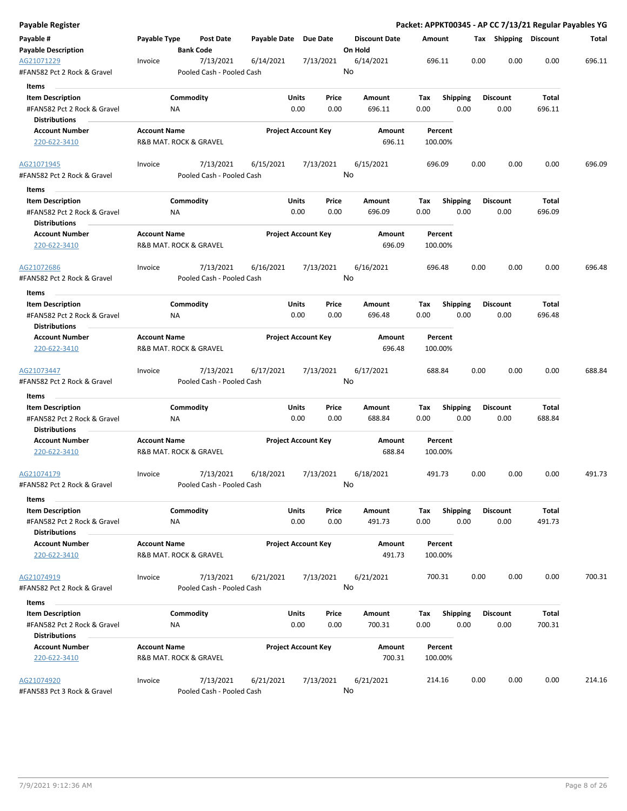| Payable Register                          |                                               |                  |                                        |                       |                            |           |                      |        |                    |      |      |                       |        | Packet: APPKT00345 - AP CC 7/13/21 Regular Payables YG |
|-------------------------------------------|-----------------------------------------------|------------------|----------------------------------------|-----------------------|----------------------------|-----------|----------------------|--------|--------------------|------|------|-----------------------|--------|--------------------------------------------------------|
| Payable #                                 | Payable Type                                  |                  | Post Date                              | Payable Date Due Date |                            |           | <b>Discount Date</b> | Amount |                    |      |      | Tax Shipping Discount |        | Total                                                  |
| <b>Payable Description</b>                |                                               | <b>Bank Code</b> |                                        |                       |                            |           | On Hold              |        |                    |      |      |                       |        |                                                        |
| AG21071229<br>#FAN582 Pct 2 Rock & Gravel | Invoice                                       |                  | 7/13/2021<br>Pooled Cash - Pooled Cash | 6/14/2021             |                            | 7/13/2021 | 6/14/2021<br>No      |        | 696.11             |      | 0.00 | 0.00                  | 0.00   | 696.11                                                 |
| Items                                     |                                               |                  |                                        |                       |                            |           |                      |        |                    |      |      |                       |        |                                                        |
| <b>Item Description</b>                   |                                               | Commodity        |                                        |                       | Units                      | Price     | Amount               | Tax    | <b>Shipping</b>    |      |      | <b>Discount</b>       | Total  |                                                        |
| #FAN582 Pct 2 Rock & Gravel               |                                               | ΝA               |                                        |                       | 0.00                       | 0.00      | 696.11               | 0.00   |                    | 0.00 |      | 0.00                  | 696.11 |                                                        |
| <b>Distributions</b>                      |                                               |                  |                                        |                       |                            |           |                      |        |                    |      |      |                       |        |                                                        |
| <b>Account Number</b>                     | <b>Account Name</b>                           |                  |                                        |                       | <b>Project Account Key</b> |           | Amount               |        | Percent            |      |      |                       |        |                                                        |
| 220-622-3410                              | R&B MAT. ROCK & GRAVEL                        |                  |                                        |                       |                            |           | 696.11               |        | 100.00%            |      |      |                       |        |                                                        |
| AG21071945                                | Invoice                                       |                  | 7/13/2021                              | 6/15/2021             |                            | 7/13/2021 | 6/15/2021            |        | 696.09             |      | 0.00 | 0.00                  | 0.00   | 696.09                                                 |
| #FAN582 Pct 2 Rock & Gravel<br>Items      |                                               |                  | Pooled Cash - Pooled Cash              |                       |                            |           | No                   |        |                    |      |      |                       |        |                                                        |
| <b>Item Description</b>                   |                                               | Commodity        |                                        |                       | Units                      | Price     | Amount               | Tax    | <b>Shipping</b>    |      |      | <b>Discount</b>       | Total  |                                                        |
| #FAN582 Pct 2 Rock & Gravel               |                                               | <b>NA</b>        |                                        |                       | 0.00                       | 0.00      | 696.09               | 0.00   |                    | 0.00 |      | 0.00                  | 696.09 |                                                        |
| <b>Distributions</b>                      |                                               |                  |                                        |                       |                            |           |                      |        |                    |      |      |                       |        |                                                        |
| <b>Account Number</b><br>220-622-3410     | <b>Account Name</b><br>R&B MAT. ROCK & GRAVEL |                  |                                        |                       | <b>Project Account Key</b> |           | Amount<br>696.09     |        | Percent<br>100.00% |      |      |                       |        |                                                        |
| AG21072686                                | Invoice                                       |                  | 7/13/2021                              | 6/16/2021             |                            | 7/13/2021 | 6/16/2021            |        | 696.48             |      | 0.00 | 0.00                  | 0.00   | 696.48                                                 |
| #FAN582 Pct 2 Rock & Gravel               |                                               |                  | Pooled Cash - Pooled Cash              |                       |                            |           | No                   |        |                    |      |      |                       |        |                                                        |
|                                           |                                               |                  |                                        |                       |                            |           |                      |        |                    |      |      |                       |        |                                                        |
| Items<br><b>Item Description</b>          |                                               | Commodity        |                                        |                       | Units                      | Price     | Amount               | Tax    | <b>Shipping</b>    |      |      | <b>Discount</b>       | Total  |                                                        |
| #FAN582 Pct 2 Rock & Gravel               |                                               | ΝA               |                                        |                       | 0.00                       | 0.00      | 696.48               | 0.00   |                    | 0.00 |      | 0.00                  | 696.48 |                                                        |
| <b>Distributions</b>                      |                                               |                  |                                        |                       |                            |           |                      |        |                    |      |      |                       |        |                                                        |
| <b>Account Number</b>                     | <b>Account Name</b>                           |                  |                                        |                       | <b>Project Account Key</b> |           | Amount               |        | Percent            |      |      |                       |        |                                                        |
| 220-622-3410                              | R&B MAT. ROCK & GRAVEL                        |                  |                                        |                       |                            |           | 696.48               |        | 100.00%            |      |      |                       |        |                                                        |
| AG21073447<br>#FAN582 Pct 2 Rock & Gravel | Invoice                                       |                  | 7/13/2021<br>Pooled Cash - Pooled Cash | 6/17/2021             |                            | 7/13/2021 | 6/17/2021<br>No      |        | 688.84             |      | 0.00 | 0.00                  | 0.00   | 688.84                                                 |
| Items                                     |                                               |                  |                                        |                       |                            |           |                      |        |                    |      |      |                       |        |                                                        |
| <b>Item Description</b>                   |                                               | Commodity        |                                        |                       | Units                      | Price     | Amount               | Tax    | Shipping           |      |      | <b>Discount</b>       | Total  |                                                        |
| #FAN582 Pct 2 Rock & Gravel               |                                               | ΝA               |                                        |                       | 0.00                       | 0.00      | 688.84               | 0.00   |                    | 0.00 |      | 0.00                  | 688.84 |                                                        |
| <b>Distributions</b>                      |                                               |                  |                                        |                       |                            |           |                      |        |                    |      |      |                       |        |                                                        |
| <b>Account Number</b>                     | <b>Account Name</b>                           |                  |                                        |                       | <b>Project Account Key</b> |           | Amount               |        | Percent            |      |      |                       |        |                                                        |
| 220-622-3410                              | R&B MAT. ROCK & GRAVEL                        |                  |                                        |                       |                            |           | 688.84               |        | 100.00%            |      |      |                       |        |                                                        |
| AG21074179                                | Invoice                                       |                  | 7/13/2021                              | 6/18/2021             |                            | 7/13/2021 | 6/18/2021            |        | 491.73             |      | 0.00 | 0.00                  | 0.00   | 491.73                                                 |
| #FAN582 Pct 2 Rock & Gravel<br>Items      |                                               |                  | Pooled Cash - Pooled Cash              |                       |                            |           | No                   |        |                    |      |      |                       |        |                                                        |
| <b>Item Description</b>                   |                                               | Commodity        |                                        |                       | Units                      | Price     | Amount               | Tax    | Shipping           |      |      | <b>Discount</b>       | Total  |                                                        |
| #FAN582 Pct 2 Rock & Gravel               |                                               | <b>NA</b>        |                                        |                       | 0.00                       | 0.00      | 491.73               | 0.00   |                    | 0.00 |      | 0.00                  | 491.73 |                                                        |
| <b>Distributions</b>                      |                                               |                  |                                        |                       |                            |           |                      |        |                    |      |      |                       |        |                                                        |
| <b>Account Number</b>                     | <b>Account Name</b>                           |                  |                                        |                       | <b>Project Account Key</b> |           | Amount               |        | Percent            |      |      |                       |        |                                                        |
| 220-622-3410                              | R&B MAT. ROCK & GRAVEL                        |                  |                                        |                       |                            |           | 491.73               |        | 100.00%            |      |      |                       |        |                                                        |
| AG21074919                                | Invoice                                       |                  | 7/13/2021                              | 6/21/2021             |                            | 7/13/2021 | 6/21/2021            |        | 700.31             |      | 0.00 | 0.00                  | 0.00   | 700.31                                                 |
| #FAN582 Pct 2 Rock & Gravel               |                                               |                  | Pooled Cash - Pooled Cash              |                       |                            |           | No                   |        |                    |      |      |                       |        |                                                        |
| Items                                     |                                               |                  |                                        |                       |                            |           |                      |        |                    |      |      |                       |        |                                                        |
| <b>Item Description</b>                   |                                               | Commodity        |                                        |                       | Units                      | Price     | Amount               | Tax    | <b>Shipping</b>    |      |      | <b>Discount</b>       | Total  |                                                        |
| #FAN582 Pct 2 Rock & Gravel               |                                               | ΝA               |                                        |                       | 0.00                       | 0.00      | 700.31               | 0.00   |                    | 0.00 |      | 0.00                  | 700.31 |                                                        |
| <b>Distributions</b>                      |                                               |                  |                                        |                       |                            |           |                      |        |                    |      |      |                       |        |                                                        |
| <b>Account Number</b>                     | <b>Account Name</b>                           |                  |                                        |                       | <b>Project Account Key</b> |           | Amount               |        | Percent            |      |      |                       |        |                                                        |
| 220-622-3410                              | R&B MAT. ROCK & GRAVEL                        |                  |                                        |                       |                            |           | 700.31               |        | 100.00%            |      |      |                       |        |                                                        |
| AG21074920                                | Invoice                                       |                  | 7/13/2021                              | 6/21/2021             |                            | 7/13/2021 | 6/21/2021            |        | 214.16             |      | 0.00 | 0.00                  | 0.00   | 214.16                                                 |
| #FAN583 Pct 3 Rock & Gravel               |                                               |                  | Pooled Cash - Pooled Cash              |                       |                            |           | No                   |        |                    |      |      |                       |        |                                                        |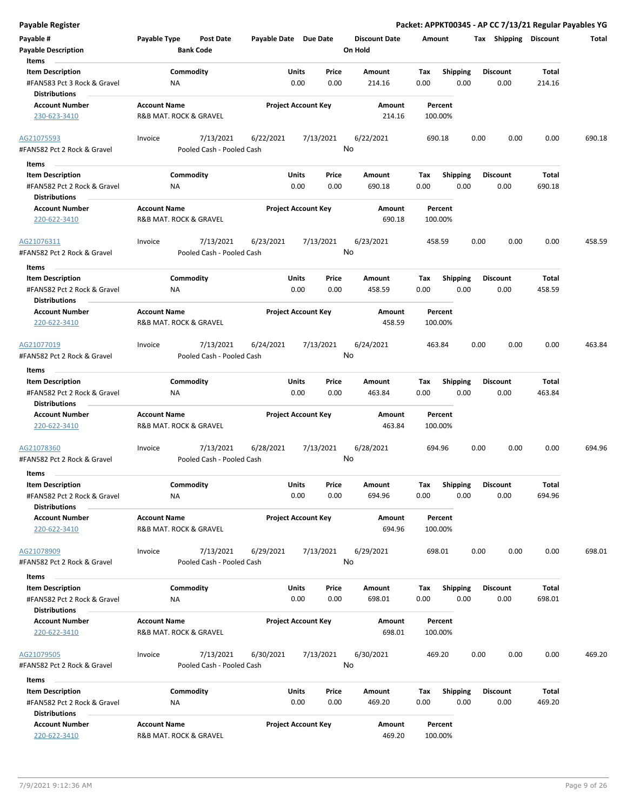| Payable #                                                                      | Payable Type                                  | <b>Post Date</b>                       | Payable Date Due Date |                                       | <b>Discount Date</b> | Amount             |                         |      |                 | Tax Shipping Discount | Total  |
|--------------------------------------------------------------------------------|-----------------------------------------------|----------------------------------------|-----------------------|---------------------------------------|----------------------|--------------------|-------------------------|------|-----------------|-----------------------|--------|
| <b>Payable Description</b><br>Items                                            |                                               | <b>Bank Code</b>                       |                       |                                       | On Hold              |                    |                         |      |                 |                       |        |
| <b>Item Description</b>                                                        |                                               | Commodity                              |                       | Units<br>Price                        | Amount               | Tax                | <b>Shipping</b>         |      | <b>Discount</b> | Total                 |        |
| #FAN583 Pct 3 Rock & Gravel<br><b>Distributions</b>                            | ΝA                                            |                                        |                       | 0.00<br>0.00                          | 214.16               | 0.00               | 0.00                    |      | 0.00            | 214.16                |        |
| <b>Account Number</b>                                                          | <b>Account Name</b>                           |                                        |                       | <b>Project Account Key</b>            | Amount               | Percent            |                         |      |                 |                       |        |
| 230-623-3410                                                                   | R&B MAT. ROCK & GRAVEL                        |                                        |                       |                                       | 214.16               | 100.00%            |                         |      |                 |                       |        |
| AG21075593<br>#FAN582 Pct 2 Rock & Gravel                                      | Invoice                                       | 7/13/2021<br>Pooled Cash - Pooled Cash | 6/22/2021             | 7/13/2021                             | 6/22/2021<br>No      | 690.18             |                         | 0.00 | 0.00            | 0.00                  | 690.18 |
|                                                                                |                                               |                                        |                       |                                       |                      |                    |                         |      |                 |                       |        |
| Items                                                                          |                                               |                                        |                       |                                       |                      |                    |                         |      |                 |                       |        |
| <b>Item Description</b>                                                        |                                               | Commodity                              |                       | Units<br>Price                        | Amount               | Tax                | <b>Shipping</b>         |      | <b>Discount</b> | Total                 |        |
| #FAN582 Pct 2 Rock & Gravel<br><b>Distributions</b>                            | ΝA                                            |                                        |                       | 0.00<br>0.00                          | 690.18               | 0.00               | 0.00                    |      | 0.00            | 690.18                |        |
| <b>Account Number</b><br>220-622-3410                                          | <b>Account Name</b><br>R&B MAT. ROCK & GRAVEL |                                        |                       | <b>Project Account Key</b>            | Amount<br>690.18     | Percent<br>100.00% |                         |      |                 |                       |        |
| AG21076311                                                                     | Invoice                                       | 7/13/2021                              | 6/23/2021             | 7/13/2021                             | 6/23/2021            | 458.59             |                         | 0.00 | 0.00            | 0.00                  | 458.59 |
| #FAN582 Pct 2 Rock & Gravel<br>Items                                           |                                               | Pooled Cash - Pooled Cash              |                       |                                       | No                   |                    |                         |      |                 |                       |        |
| <b>Item Description</b>                                                        |                                               | Commodity                              |                       | Units<br>Price                        | <b>Amount</b>        | Tax                | <b>Shipping</b>         |      | <b>Discount</b> | Total                 |        |
| #FAN582 Pct 2 Rock & Gravel<br><b>Distributions</b>                            | NA                                            |                                        |                       | 0.00<br>0.00                          | 458.59               | 0.00               | 0.00                    |      | 0.00            | 458.59                |        |
| <b>Account Number</b>                                                          | <b>Account Name</b>                           |                                        |                       | <b>Project Account Key</b>            | Amount               | Percent            |                         |      |                 |                       |        |
| 220-622-3410                                                                   | R&B MAT. ROCK & GRAVEL                        |                                        |                       |                                       | 458.59               | 100.00%            |                         |      |                 |                       |        |
| AG21077019<br>#FAN582 Pct 2 Rock & Gravel                                      | Invoice                                       | 7/13/2021<br>Pooled Cash - Pooled Cash | 6/24/2021             | 7/13/2021                             | 6/24/2021<br>No      | 463.84             |                         | 0.00 | 0.00            | 0.00                  | 463.84 |
| Items                                                                          |                                               |                                        |                       |                                       |                      |                    |                         |      |                 |                       |        |
| <b>Item Description</b>                                                        |                                               | Commodity                              |                       | Units<br>Price                        | Amount               | Tax                | <b>Shipping</b>         |      | Discount        | Total                 |        |
| #FAN582 Pct 2 Rock & Gravel<br><b>Distributions</b>                            | ΝA                                            |                                        |                       | 0.00<br>0.00                          | 463.84               | 0.00               | 0.00                    |      | 0.00            | 463.84                |        |
| <b>Account Number</b><br>220-622-3410                                          | <b>Account Name</b><br>R&B MAT. ROCK & GRAVEL |                                        |                       | <b>Project Account Key</b>            | Amount<br>463.84     | Percent<br>100.00% |                         |      |                 |                       |        |
| AG21078360<br>#FAN582 Pct 2 Rock & Gravel                                      | Invoice                                       | 7/13/2021<br>Pooled Cash - Pooled Cash | 6/28/2021             | 7/13/2021                             | 6/28/2021<br>No      | 694.96             |                         | 0.00 | 0.00            | 0.00                  | 694.96 |
| Items                                                                          |                                               |                                        |                       |                                       |                      |                    |                         |      | <b>Discount</b> | Total                 |        |
| <b>Item Description</b><br>#FAN582 Pct 2 Rock & Gravel<br><b>Distributions</b> | <b>NA</b>                                     | Commodity                              |                       | <b>Units</b><br>Price<br>0.00<br>0.00 | Amount<br>694.96     | Tax<br>0.00        | <b>Shipping</b><br>0.00 |      | 0.00            | 694.96                |        |
| <b>Account Number</b>                                                          | <b>Account Name</b>                           |                                        |                       | <b>Project Account Key</b>            | Amount               | Percent            |                         |      |                 |                       |        |
| 220-622-3410                                                                   | R&B MAT. ROCK & GRAVEL                        |                                        |                       |                                       | 694.96               | 100.00%            |                         |      |                 |                       |        |
| AG21078909<br>#FAN582 Pct 2 Rock & Gravel                                      | Invoice                                       | 7/13/2021<br>Pooled Cash - Pooled Cash | 6/29/2021             | 7/13/2021                             | 6/29/2021<br>No      | 698.01             |                         | 0.00 | 0.00            | 0.00                  | 698.01 |
| Items                                                                          |                                               |                                        |                       |                                       |                      |                    |                         |      |                 |                       |        |
| <b>Item Description</b>                                                        |                                               | Commodity                              |                       | Units<br>Price                        | Amount               | Тах                | <b>Shipping</b>         |      | <b>Discount</b> | Total                 |        |
| #FAN582 Pct 2 Rock & Gravel<br><b>Distributions</b>                            | ΝA                                            |                                        |                       | 0.00<br>0.00                          | 698.01               | 0.00               | 0.00                    |      | 0.00            | 698.01                |        |
| <b>Account Number</b>                                                          | <b>Account Name</b>                           |                                        |                       | <b>Project Account Key</b>            | Amount               | Percent            |                         |      |                 |                       |        |
| 220-622-3410                                                                   | R&B MAT. ROCK & GRAVEL                        |                                        |                       |                                       | 698.01               | 100.00%            |                         |      |                 |                       |        |
| AG21079505<br>#FAN582 Pct 2 Rock & Gravel                                      | Invoice                                       | 7/13/2021<br>Pooled Cash - Pooled Cash | 6/30/2021             | 7/13/2021                             | 6/30/2021<br>No      | 469.20             |                         | 0.00 | 0.00            | 0.00                  | 469.20 |
| Items                                                                          |                                               |                                        |                       |                                       |                      |                    |                         |      |                 |                       |        |
| <b>Item Description</b>                                                        |                                               | Commodity                              |                       | Units<br>Price                        | Amount               | Tax                | <b>Shipping</b>         |      | <b>Discount</b> | Total                 |        |
| #FAN582 Pct 2 Rock & Gravel<br><b>Distributions</b>                            | ΝA                                            |                                        |                       | 0.00<br>0.00                          | 469.20               | 0.00               | 0.00                    |      | 0.00            | 469.20                |        |
| <b>Account Number</b>                                                          | <b>Account Name</b>                           |                                        |                       | <b>Project Account Key</b>            | Amount               | Percent            |                         |      |                 |                       |        |
| 220-622-3410                                                                   | R&B MAT. ROCK & GRAVEL                        |                                        |                       |                                       | 469.20               | 100.00%            |                         |      |                 |                       |        |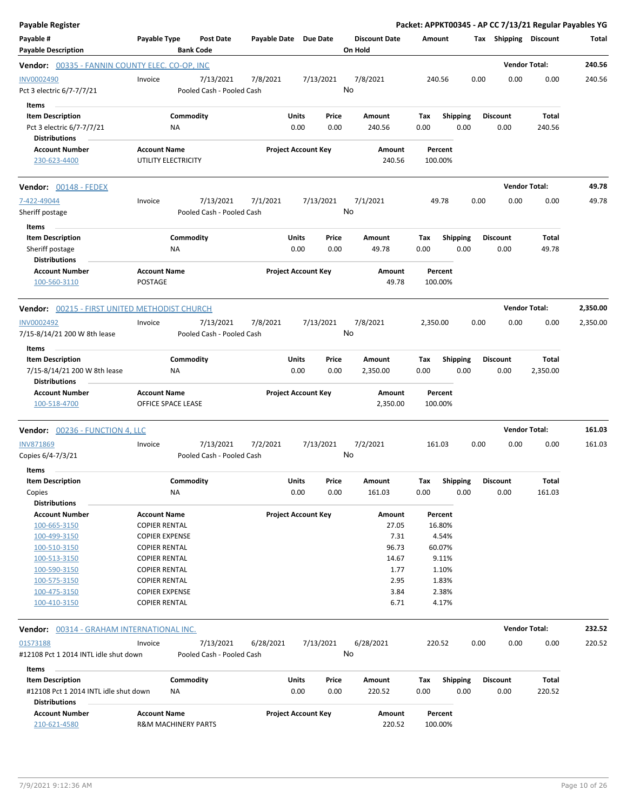| Payable Register                                              |                                            |           |                                        |                       |                            |           |                                 |                    |                   |      |                       | Packet: APPKT00345 - AP CC 7/13/21 Regular Payables YG |          |
|---------------------------------------------------------------|--------------------------------------------|-----------|----------------------------------------|-----------------------|----------------------------|-----------|---------------------------------|--------------------|-------------------|------|-----------------------|--------------------------------------------------------|----------|
| Payable #<br><b>Payable Description</b>                       | Payable Type                               |           | <b>Post Date</b><br><b>Bank Code</b>   | Payable Date Due Date |                            |           | <b>Discount Date</b><br>On Hold | Amount             |                   |      | Tax Shipping Discount |                                                        | Total    |
| Vendor: 00335 - FANNIN COUNTY ELEC. CO-OP, INC                |                                            |           |                                        |                       |                            |           |                                 |                    |                   |      |                       | <b>Vendor Total:</b>                                   | 240.56   |
| INV0002490<br>Pct 3 electric 6/7-7/7/21                       | Invoice                                    |           | 7/13/2021<br>Pooled Cash - Pooled Cash | 7/8/2021              |                            | 7/13/2021 | 7/8/2021<br>No                  | 240.56             |                   | 0.00 | 0.00                  | 0.00                                                   | 240.56   |
| Items<br><b>Item Description</b>                              |                                            | Commodity |                                        |                       | <b>Units</b>               | Price     | Amount                          | Tax                | <b>Shipping</b>   |      | <b>Discount</b>       | <b>Total</b>                                           |          |
| Pct 3 electric 6/7-7/7/21<br><b>Distributions</b>             |                                            | NA        |                                        |                       | 0.00                       | 0.00      | 240.56                          | 0.00               | 0.00              |      | 0.00                  | 240.56                                                 |          |
| <b>Account Number</b>                                         | <b>Account Name</b>                        |           |                                        |                       | <b>Project Account Key</b> |           | Amount                          | Percent            |                   |      |                       |                                                        |          |
| 230-623-4400                                                  | UTILITY ELECTRICITY                        |           |                                        |                       |                            |           | 240.56                          | 100.00%            |                   |      |                       |                                                        |          |
| Vendor: 00148 - FEDEX                                         |                                            |           |                                        |                       |                            |           |                                 |                    |                   |      |                       | <b>Vendor Total:</b>                                   | 49.78    |
| 7-422-49044                                                   | Invoice                                    |           | 7/13/2021                              | 7/1/2021              |                            | 7/13/2021 | 7/1/2021                        | 49.78              |                   | 0.00 | 0.00                  | 0.00                                                   | 49.78    |
| Sheriff postage<br>Items                                      |                                            |           | Pooled Cash - Pooled Cash              |                       |                            |           | No                              |                    |                   |      |                       |                                                        |          |
| <b>Item Description</b>                                       |                                            | Commodity |                                        |                       | <b>Units</b>               | Price     | Amount                          | Tax                | <b>Shipping</b>   |      | <b>Discount</b>       | Total                                                  |          |
| Sheriff postage<br><b>Distributions</b>                       |                                            | NA        |                                        |                       | 0.00                       | 0.00      | 49.78                           | 0.00               | 0.00              |      | 0.00                  | 49.78                                                  |          |
| <b>Account Number</b>                                         | <b>Account Name</b>                        |           |                                        |                       | <b>Project Account Key</b> |           | Amount                          | Percent            |                   |      |                       |                                                        |          |
| 100-560-3110                                                  | <b>POSTAGE</b>                             |           |                                        |                       |                            |           | 49.78                           | 100.00%            |                   |      |                       |                                                        |          |
| <b>Vendor:</b> 00215 - FIRST UNITED METHODIST CHURCH          |                                            |           |                                        |                       |                            |           |                                 |                    |                   |      |                       | <b>Vendor Total:</b>                                   | 2,350.00 |
| <b>INV0002492</b>                                             | Invoice                                    |           | 7/13/2021                              | 7/8/2021              |                            | 7/13/2021 | 7/8/2021                        | 2,350.00           |                   | 0.00 | 0.00                  | 0.00                                                   | 2,350.00 |
| 7/15-8/14/21 200 W 8th lease<br>Items                         |                                            |           | Pooled Cash - Pooled Cash              |                       |                            |           | No                              |                    |                   |      |                       |                                                        |          |
| <b>Item Description</b>                                       |                                            | Commodity |                                        |                       | <b>Units</b>               | Price     | Amount                          | Tax                | <b>Shipping</b>   |      | <b>Discount</b>       | Total                                                  |          |
| 7/15-8/14/21 200 W 8th lease<br><b>Distributions</b>          |                                            | <b>NA</b> |                                        |                       | 0.00                       | 0.00      | 2,350.00                        | 0.00               | 0.00              |      | 0.00                  | 2,350.00                                               |          |
| <b>Account Number</b><br>100-518-4700                         | <b>Account Name</b><br>OFFICE SPACE LEASE  |           |                                        |                       | <b>Project Account Key</b> |           | Amount<br>2,350.00              | Percent<br>100.00% |                   |      |                       |                                                        |          |
| Vendor: 00236 - FUNCTION 4, LLC                               |                                            |           |                                        |                       |                            |           |                                 |                    |                   |      |                       | <b>Vendor Total:</b>                                   | 161.03   |
| <b>INV871869</b>                                              | Invoice                                    |           | 7/13/2021                              | 7/2/2021              |                            | 7/13/2021 | 7/2/2021                        | 161.03             |                   | 0.00 | 0.00                  | 0.00                                                   | 161.03   |
| Copies 6/4-7/3/21                                             |                                            |           | Pooled Cash - Pooled Cash              |                       |                            |           | No                              |                    |                   |      |                       |                                                        |          |
| Items<br><b>Item Description</b>                              |                                            | Commodity |                                        |                       | <b>Units</b>               | Price     | Amount                          | Tax                | Shipping Discount |      |                       | <b>Total</b>                                           |          |
| Copies<br><b>Distributions</b>                                |                                            | NA        |                                        |                       | 0.00                       | 0.00      | 161.03                          | 0.00               | 0.00              |      | 0.00                  | 161.03                                                 |          |
| <b>Account Number</b>                                         | <b>Account Name</b>                        |           |                                        |                       | <b>Project Account Key</b> |           | Amount                          | Percent            |                   |      |                       |                                                        |          |
| 100-665-3150                                                  | <b>COPIER RENTAL</b>                       |           |                                        |                       |                            |           | 27.05                           | 16.80%             |                   |      |                       |                                                        |          |
| 100-499-3150                                                  | <b>COPIER EXPENSE</b>                      |           |                                        |                       |                            |           | 7.31                            |                    | 4.54%             |      |                       |                                                        |          |
| 100-510-3150                                                  | <b>COPIER RENTAL</b>                       |           |                                        |                       |                            |           | 96.73                           | 60.07%             |                   |      |                       |                                                        |          |
| 100-513-3150                                                  | <b>COPIER RENTAL</b>                       |           |                                        |                       |                            |           | 14.67                           |                    | 9.11%             |      |                       |                                                        |          |
| 100-590-3150                                                  | <b>COPIER RENTAL</b>                       |           |                                        |                       |                            |           | 1.77                            |                    | 1.10%             |      |                       |                                                        |          |
| 100-575-3150                                                  | <b>COPIER RENTAL</b>                       |           |                                        |                       |                            |           | 2.95                            |                    | 1.83%             |      |                       |                                                        |          |
| 100-475-3150                                                  | <b>COPIER EXPENSE</b>                      |           |                                        |                       |                            |           | 3.84                            |                    | 2.38%             |      |                       |                                                        |          |
| 100-410-3150                                                  | <b>COPIER RENTAL</b>                       |           |                                        |                       |                            |           | 6.71                            |                    | 4.17%             |      |                       |                                                        |          |
| Vendor: 00314 - GRAHAM INTERNATIONAL INC.                     |                                            |           |                                        |                       |                            |           |                                 |                    |                   |      |                       | <b>Vendor Total:</b>                                   | 232.52   |
| 01S73188                                                      | Invoice                                    |           | 7/13/2021                              | 6/28/2021             |                            | 7/13/2021 | 6/28/2021                       | 220.52             |                   | 0.00 | 0.00                  | 0.00                                                   | 220.52   |
| #12108 Pct 1 2014 INTL idle shut down<br>Items                |                                            |           | Pooled Cash - Pooled Cash              |                       |                            |           | No                              |                    |                   |      |                       |                                                        |          |
| <b>Item Description</b>                                       |                                            | Commodity |                                        |                       | <b>Units</b>               | Price     | Amount                          | Tax                | <b>Shipping</b>   |      | <b>Discount</b>       | Total                                                  |          |
| #12108 Pct 1 2014 INTL idle shut down<br><b>Distributions</b> |                                            | NA        |                                        |                       | 0.00                       | 0.00      | 220.52                          | 0.00               | 0.00              |      | 0.00                  | 220.52                                                 |          |
| <b>Account Number</b><br>210-621-4580                         | <b>Account Name</b><br>R&M MACHINERY PARTS |           |                                        |                       | <b>Project Account Key</b> |           | Amount<br>220.52                | Percent<br>100.00% |                   |      |                       |                                                        |          |
|                                                               |                                            |           |                                        |                       |                            |           |                                 |                    |                   |      |                       |                                                        |          |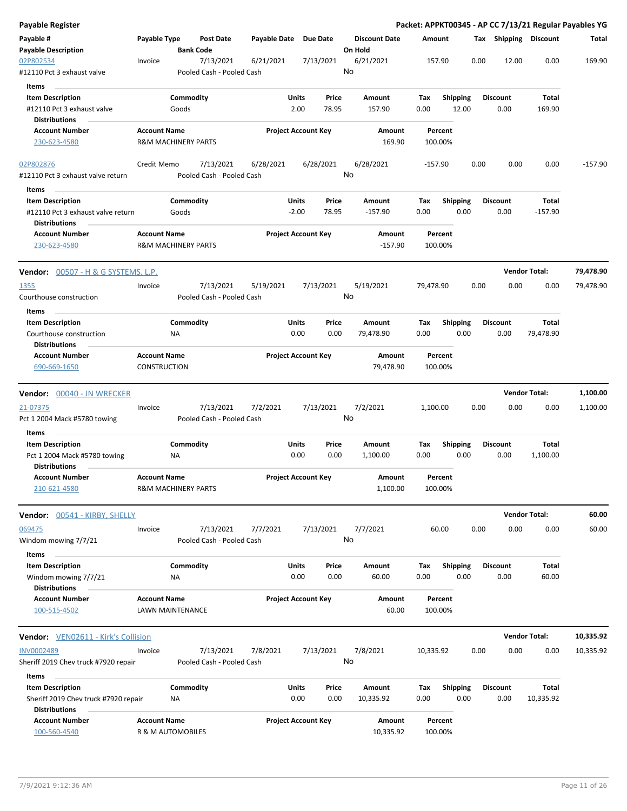| <b>Payable Register</b>                                                         |                                                       |                    |                                        |                       |                                 |    |                                 |                    |                          |      |                         |                       | Packet: APPKT00345 - AP CC 7/13/21 Regular Payables YG |
|---------------------------------------------------------------------------------|-------------------------------------------------------|--------------------|----------------------------------------|-----------------------|---------------------------------|----|---------------------------------|--------------------|--------------------------|------|-------------------------|-----------------------|--------------------------------------------------------|
| Payable #<br><b>Payable Description</b>                                         | Payable Type                                          | <b>Bank Code</b>   | Post Date                              | Payable Date Due Date |                                 |    | <b>Discount Date</b><br>On Hold | Amount             |                          |      |                         | Tax Shipping Discount | Total                                                  |
| 02P802534                                                                       | Invoice                                               |                    | 7/13/2021                              | 6/21/2021             | 7/13/2021                       |    | 6/21/2021                       | 157.90             |                          | 0.00 | 12.00                   | 0.00                  | 169.90                                                 |
| #12110 Pct 3 exhaust valve                                                      |                                                       |                    | Pooled Cash - Pooled Cash              |                       |                                 | No |                                 |                    |                          |      |                         |                       |                                                        |
| Items                                                                           |                                                       |                    |                                        |                       |                                 |    |                                 |                    |                          |      |                         |                       |                                                        |
| <b>Item Description</b><br>#12110 Pct 3 exhaust valve<br><b>Distributions</b>   |                                                       | Commodity<br>Goods |                                        |                       | Units<br>Price<br>2.00<br>78.95 |    | Amount<br>157.90                | Tax<br>0.00        | <b>Shipping</b><br>12.00 |      | <b>Discount</b><br>0.00 | Total<br>169.90       |                                                        |
| <b>Account Number</b>                                                           | <b>Account Name</b>                                   |                    |                                        |                       | <b>Project Account Key</b>      |    | Amount                          | Percent            |                          |      |                         |                       |                                                        |
| 230-623-4580                                                                    | <b>R&amp;M MACHINERY PARTS</b>                        |                    |                                        |                       |                                 |    | 169.90                          | 100.00%            |                          |      |                         |                       |                                                        |
| 02P802876<br>#12110 Pct 3 exhaust valve return                                  | Credit Memo                                           |                    | 7/13/2021<br>Pooled Cash - Pooled Cash | 6/28/2021             | 6/28/2021                       | No | 6/28/2021                       | $-157.90$          |                          | 0.00 | 0.00                    | 0.00                  | $-157.90$                                              |
| Items                                                                           |                                                       |                    |                                        |                       |                                 |    |                                 |                    |                          |      |                         |                       |                                                        |
| <b>Item Description</b>                                                         |                                                       | Commodity          |                                        |                       | Units<br>Price                  |    | Amount                          | Tax                | <b>Shipping</b>          |      | <b>Discount</b>         | Total                 |                                                        |
| #12110 Pct 3 exhaust valve return<br><b>Distributions</b>                       |                                                       | Goods              |                                        |                       | $-2.00$<br>78.95                |    | $-157.90$                       | 0.00               | 0.00                     |      | 0.00                    | $-157.90$             |                                                        |
| <b>Account Number</b><br>230-623-4580                                           | <b>Account Name</b><br><b>R&amp;M MACHINERY PARTS</b> |                    |                                        |                       | <b>Project Account Key</b>      |    | Amount<br>$-157.90$             | Percent<br>100.00% |                          |      |                         |                       |                                                        |
| <b>Vendor:</b> 00507 - H & G SYSTEMS, L.P.                                      |                                                       |                    |                                        |                       |                                 |    |                                 |                    |                          |      |                         | <b>Vendor Total:</b>  | 79,478.90                                              |
| 1355                                                                            | Invoice                                               |                    | 7/13/2021                              | 5/19/2021             | 7/13/2021                       | No | 5/19/2021                       | 79,478.90          |                          | 0.00 | 0.00                    | 0.00                  | 79,478.90                                              |
| Courthouse construction<br>Items                                                |                                                       |                    | Pooled Cash - Pooled Cash              |                       |                                 |    |                                 |                    |                          |      |                         |                       |                                                        |
| <b>Item Description</b>                                                         |                                                       | Commodity          |                                        |                       | Units<br>Price                  |    | Amount                          | Tax                | <b>Shipping</b>          |      | <b>Discount</b>         | Total                 |                                                        |
| Courthouse construction<br><b>Distributions</b>                                 |                                                       | ΝA                 |                                        |                       | 0.00<br>0.00                    |    | 79,478.90                       | 0.00               | 0.00                     |      | 0.00                    | 79,478.90             |                                                        |
| <b>Account Number</b>                                                           | <b>Account Name</b>                                   |                    |                                        |                       | <b>Project Account Key</b>      |    | Amount                          | Percent            |                          |      |                         |                       |                                                        |
| 690-669-1650                                                                    | CONSTRUCTION                                          |                    |                                        |                       |                                 |    | 79,478.90                       | 100.00%            |                          |      |                         |                       |                                                        |
| Vendor: 00040 - JN WRECKER                                                      |                                                       |                    |                                        |                       |                                 |    |                                 |                    |                          |      |                         | <b>Vendor Total:</b>  | 1,100.00                                               |
| 21-07375<br>Pct 1 2004 Mack #5780 towing                                        | Invoice                                               |                    | 7/13/2021<br>Pooled Cash - Pooled Cash | 7/2/2021              | 7/13/2021                       | No | 7/2/2021                        | 1,100.00           |                          | 0.00 | 0.00                    | 0.00                  | 1,100.00                                               |
| Items                                                                           |                                                       |                    |                                        |                       |                                 |    |                                 |                    |                          |      |                         |                       |                                                        |
| <b>Item Description</b><br>Pct 1 2004 Mack #5780 towing<br><b>Distributions</b> |                                                       | Commodity<br>ΝA    |                                        |                       | Units<br>Price<br>0.00<br>0.00  |    | Amount<br>1,100.00              | Tax<br>0.00        | <b>Shipping</b><br>0.00  |      | <b>Discount</b><br>0.00 | Total<br>1,100.00     |                                                        |
| <b>Account Number</b><br>210-621-4580                                           | <b>Account Name</b><br><b>R&amp;M MACHINERY PARTS</b> |                    |                                        |                       | <b>Project Account Key</b>      |    | <b>Amount</b><br>1,100.00       | Percent<br>100.00% |                          |      |                         |                       |                                                        |
|                                                                                 |                                                       |                    |                                        |                       |                                 |    |                                 |                    |                          |      |                         |                       |                                                        |
| Vendor: 00541 - KIRBY, SHELLY                                                   |                                                       |                    |                                        |                       |                                 |    |                                 |                    |                          |      |                         | <b>Vendor Total:</b>  | 60.00                                                  |
| 069475<br>Windom mowing 7/7/21                                                  | Invoice                                               |                    | 7/13/2021<br>Pooled Cash - Pooled Cash | 7/7/2021              | 7/13/2021                       | No | 7/7/2021                        | 60.00              |                          | 0.00 | 0.00                    | 0.00                  | 60.00                                                  |
| Items<br><b>Item Description</b>                                                |                                                       | Commodity          |                                        |                       | Units<br>Price                  |    | Amount                          | Тах                | Shipping                 |      | <b>Discount</b>         | Total                 |                                                        |
| Windom mowing 7/7/21<br><b>Distributions</b>                                    |                                                       | NA                 |                                        |                       | 0.00<br>0.00                    |    | 60.00                           | 0.00               | 0.00                     |      | 0.00                    | 60.00                 |                                                        |
| <b>Account Number</b><br>100-515-4502                                           | <b>Account Name</b><br><b>LAWN MAINTENANCE</b>        |                    |                                        |                       | <b>Project Account Key</b>      |    | Amount<br>60.00                 | Percent<br>100.00% |                          |      |                         |                       |                                                        |
|                                                                                 |                                                       |                    |                                        |                       |                                 |    |                                 |                    |                          |      |                         |                       |                                                        |
| <b>Vendor:</b> VEN02611 - Kirk's Collision                                      |                                                       |                    |                                        |                       |                                 |    |                                 |                    |                          |      |                         | <b>Vendor Total:</b>  | 10,335.92                                              |
| <b>INV0002489</b><br>Sheriff 2019 Chev truck #7920 repair                       | Invoice                                               |                    | 7/13/2021<br>Pooled Cash - Pooled Cash | 7/8/2021              | 7/13/2021                       | No | 7/8/2021                        | 10,335.92          |                          | 0.00 | 0.00                    | 0.00                  | 10,335.92                                              |
| <b>Items</b><br><b>Item Description</b>                                         |                                                       | Commodity          |                                        |                       | Units<br>Price                  |    | Amount                          | Tax                | <b>Shipping</b>          |      | <b>Discount</b>         | <b>Total</b>          |                                                        |
| Sheriff 2019 Chev truck #7920 repair<br><b>Distributions</b>                    |                                                       | ΝA                 |                                        |                       | 0.00<br>0.00                    |    | 10,335.92                       | 0.00               | 0.00                     |      | 0.00                    | 10,335.92             |                                                        |
| <b>Account Number</b><br>100-560-4540                                           | <b>Account Name</b><br>R & M AUTOMOBILES              |                    |                                        |                       | <b>Project Account Key</b>      |    | Amount<br>10,335.92             | Percent<br>100.00% |                          |      |                         |                       |                                                        |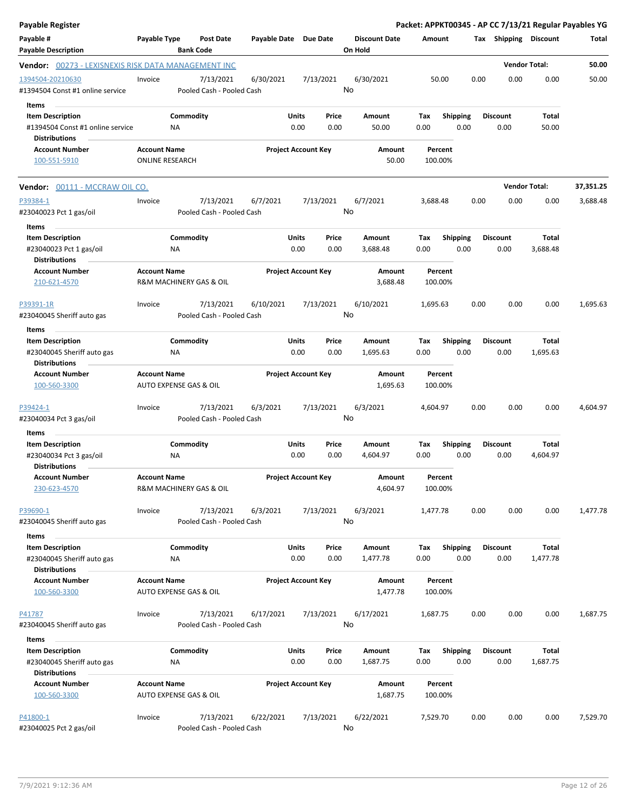| <b>Payable Register</b>                                                                      |                                               |                        |                                        |                       |               |                            | Packet: APPKT00345 - AP CC 7/13/21 Regular Payables YG |                    |             |                 |      |                         |                          |           |
|----------------------------------------------------------------------------------------------|-----------------------------------------------|------------------------|----------------------------------------|-----------------------|---------------|----------------------------|--------------------------------------------------------|--------------------|-------------|-----------------|------|-------------------------|--------------------------|-----------|
| Payable #<br><b>Payable Description</b>                                                      | Payable Type                                  | <b>Bank Code</b>       | <b>Post Date</b>                       | Payable Date Due Date |               |                            | <b>Discount Date</b><br>On Hold                        |                    | Amount      |                 |      | Tax Shipping Discount   |                          | Total     |
| <b>Vendor:</b> 00273 - LEXISNEXIS RISK DATA MANAGEMENT INC                                   |                                               |                        |                                        |                       |               |                            |                                                        |                    |             |                 |      |                         | <b>Vendor Total:</b>     | 50.00     |
| 1394504-20210630<br>#1394504 Const #1 online service                                         | Invoice                                       |                        | 7/13/2021<br>Pooled Cash - Pooled Cash | 6/30/2021             |               | 7/13/2021                  | 6/30/2021<br>No                                        |                    |             | 50.00           | 0.00 | 0.00                    | 0.00                     | 50.00     |
| Items<br><b>Item Description</b><br>#1394504 Const #1 online service<br><b>Distributions</b> |                                               | Commodity<br>ΝA        |                                        |                       | Units<br>0.00 | Price<br>0.00              | Amount                                                 | 50.00              | Tax<br>0.00 | <b>Shipping</b> | 0.00 | <b>Discount</b><br>0.00 | Total<br>50.00           |           |
| <b>Account Number</b><br>100-551-5910                                                        | <b>Account Name</b><br><b>ONLINE RESEARCH</b> |                        |                                        |                       |               | <b>Project Account Key</b> |                                                        | Amount<br>50.00    | 100.00%     | Percent         |      |                         |                          |           |
| <b>Vendor:</b> 00111 - MCCRAW OIL CO.                                                        |                                               |                        |                                        |                       |               |                            |                                                        |                    |             |                 |      |                         | <b>Vendor Total:</b>     | 37,351.25 |
| P39384-1<br>#23040023 Pct 1 gas/oil<br>Items                                                 | Invoice                                       |                        | 7/13/2021<br>Pooled Cash - Pooled Cash | 6/7/2021              |               | 7/13/2021                  | 6/7/2021<br>No                                         |                    | 3,688.48    |                 | 0.00 | 0.00                    | 0.00                     | 3,688.48  |
| <b>Item Description</b><br>#23040023 Pct 1 gas/oil<br><b>Distributions</b>                   |                                               | Commodity<br>ΝA        |                                        |                       | Units<br>0.00 | Price<br>0.00              | Amount<br>3,688.48                                     |                    | Tax<br>0.00 | <b>Shipping</b> | 0.00 | <b>Discount</b><br>0.00 | Total<br>3,688.48        |           |
| <b>Account Number</b><br>210-621-4570                                                        | <b>Account Name</b>                           |                        | R&M MACHINERY GAS & OIL                |                       |               | <b>Project Account Key</b> |                                                        | Amount<br>3,688.48 | 100.00%     | Percent         |      |                         |                          |           |
| P39391-1R<br>#23040045 Sheriff auto gas                                                      | Invoice                                       |                        | 7/13/2021<br>Pooled Cash - Pooled Cash | 6/10/2021             |               | 7/13/2021                  | 6/10/2021<br>No                                        |                    | 1,695.63    |                 | 0.00 | 0.00                    | 0.00                     | 1,695.63  |
| Items<br><b>Item Description</b>                                                             |                                               | Commodity              |                                        |                       | Units         | Price                      | Amount                                                 |                    | Tax         | <b>Shipping</b> |      | Discount                | Total                    |           |
| #23040045 Sheriff auto gas<br><b>Distributions</b>                                           |                                               | ΝA                     |                                        |                       | 0.00          | 0.00                       | 1,695.63                                               |                    | 0.00        |                 | 0.00 | 0.00                    | 1,695.63                 |           |
| <b>Account Number</b><br>100-560-3300                                                        | <b>Account Name</b><br>AUTO EXPENSE GAS & OIL |                        |                                        |                       |               | <b>Project Account Key</b> |                                                        | Amount<br>1,695.63 | 100.00%     | Percent         |      |                         |                          |           |
| P39424-1<br>#23040034 Pct 3 gas/oil                                                          | Invoice                                       |                        | 7/13/2021<br>Pooled Cash - Pooled Cash | 6/3/2021              |               | 7/13/2021                  | 6/3/2021<br>No                                         |                    | 4,604.97    |                 | 0.00 | 0.00                    | 0.00                     | 4,604.97  |
| Items<br><b>Item Description</b><br>#23040034 Pct 3 gas/oil<br><b>Distributions</b>          |                                               | Commodity<br>ΝA        |                                        |                       | Units<br>0.00 | Price<br>0.00              | Amount<br>4,604.97                                     |                    | Тах<br>0.00 | <b>Shipping</b> | 0.00 | Discount<br>0.00        | Total<br>4,604.97        |           |
| <b>Account Number</b><br>230-623-4570                                                        | <b>Account Name</b>                           |                        | R&M MACHINERY GAS & OIL                |                       |               | <b>Project Account Key</b> |                                                        | Amount<br>4,604.97 | 100.00%     | Percent         |      |                         |                          |           |
| P39690-1<br>#23040045 Sheriff auto gas                                                       | Invoice                                       |                        | 7/13/2021<br>Pooled Cash - Pooled Cash | 6/3/2021              |               | 7/13/2021                  | 6/3/2021<br>No                                         |                    | 1,477.78    |                 | 0.00 | 0.00                    | 0.00                     | 1,477.78  |
| Items<br><b>Item Description</b><br>#23040045 Sheriff auto gas                               |                                               | Commodity<br><b>NA</b> |                                        |                       | Units<br>0.00 | Price<br>0.00              | Amount<br>1,477.78                                     |                    | Tax<br>0.00 | <b>Shipping</b> | 0.00 | <b>Discount</b><br>0.00 | Total<br>1,477.78        |           |
| <b>Distributions</b><br><b>Account Number</b><br>100-560-3300                                | <b>Account Name</b><br>AUTO EXPENSE GAS & OIL |                        |                                        |                       |               | <b>Project Account Key</b> |                                                        | Amount<br>1,477.78 | 100.00%     | Percent         |      |                         |                          |           |
| P41787<br>#23040045 Sheriff auto gas                                                         | Invoice                                       |                        | 7/13/2021<br>Pooled Cash - Pooled Cash | 6/17/2021             |               | 7/13/2021                  | 6/17/2021<br>No                                        |                    | 1,687.75    |                 | 0.00 | 0.00                    | 0.00                     | 1,687.75  |
| Items<br><b>Item Description</b><br>#23040045 Sheriff auto gas                               |                                               | Commodity<br>ΝA        |                                        |                       | Units<br>0.00 | Price<br>0.00              | Amount<br>1,687.75                                     |                    | Tax<br>0.00 | <b>Shipping</b> | 0.00 | <b>Discount</b><br>0.00 | <b>Total</b><br>1,687.75 |           |
| <b>Distributions</b><br><b>Account Number</b><br>100-560-3300                                | <b>Account Name</b><br>AUTO EXPENSE GAS & OIL |                        |                                        |                       |               | <b>Project Account Key</b> |                                                        | Amount<br>1,687.75 | 100.00%     | Percent         |      |                         |                          |           |
| P41800-1<br>#23040025 Pct 2 gas/oil                                                          | Invoice                                       |                        | 7/13/2021<br>Pooled Cash - Pooled Cash | 6/22/2021             |               | 7/13/2021                  | 6/22/2021<br>No                                        |                    | 7,529.70    |                 | 0.00 | 0.00                    | 0.00                     | 7,529.70  |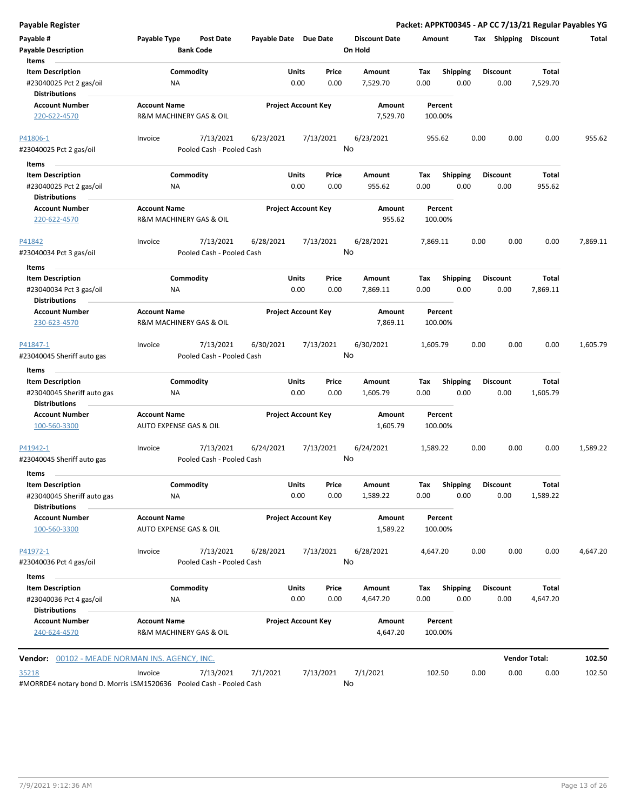|  | Payable Register |  |
|--|------------------|--|
|  |                  |  |

**Payable Register Packet: APPKT00345 - AP CC 7/13/21 Regular Payables YG**

| Payable #                                                                              | Payable Type                                   | <b>Post Date</b>          | Payable Date Due Date |                            |                 | <b>Discount Date</b> | Amount      |                         | Tax  | <b>Shipping</b>         | <b>Discount</b>          | Total    |
|----------------------------------------------------------------------------------------|------------------------------------------------|---------------------------|-----------------------|----------------------------|-----------------|----------------------|-------------|-------------------------|------|-------------------------|--------------------------|----------|
| <b>Payable Description</b>                                                             |                                                | <b>Bank Code</b>          |                       |                            |                 | On Hold              |             |                         |      |                         |                          |          |
| Items                                                                                  |                                                |                           |                       | Units                      | Price           | Amount               |             |                         |      |                         | Total                    |          |
| <b>Item Description</b><br>#23040025 Pct 2 gas/oil                                     | ΝA                                             | Commodity                 |                       | 0.00                       | 0.00            | 7,529.70             | Tax<br>0.00 | <b>Shipping</b><br>0.00 |      | <b>Discount</b><br>0.00 | 7,529.70                 |          |
| <b>Distributions</b>                                                                   |                                                |                           |                       |                            |                 |                      |             |                         |      |                         |                          |          |
| <b>Account Number</b>                                                                  | <b>Account Name</b>                            |                           |                       | <b>Project Account Key</b> |                 | Amount               |             | Percent                 |      |                         |                          |          |
| 220-622-4570                                                                           | R&M MACHINERY GAS & OIL                        |                           |                       |                            |                 | 7,529.70             | 100.00%     |                         |      |                         |                          |          |
| P41806-1                                                                               | Invoice                                        | 7/13/2021                 | 6/23/2021             |                            | 7/13/2021       | 6/23/2021            | 955.62      |                         | 0.00 | 0.00                    | 0.00                     | 955.62   |
| #23040025 Pct 2 gas/oil                                                                |                                                | Pooled Cash - Pooled Cash |                       |                            | No              |                      |             |                         |      |                         |                          |          |
| Items                                                                                  |                                                |                           |                       |                            |                 |                      |             |                         |      |                         |                          |          |
| <b>Item Description</b>                                                                |                                                | Commodity                 |                       | Units                      | Price           | Amount               | Tax         | <b>Shipping</b>         |      | <b>Discount</b>         | Total                    |          |
| #23040025 Pct 2 gas/oil                                                                | <b>NA</b>                                      |                           |                       | 0.00                       | 0.00            | 955.62               | 0.00        | 0.00                    |      | 0.00                    | 955.62                   |          |
| <b>Distributions</b>                                                                   |                                                |                           |                       |                            |                 |                      |             |                         |      |                         |                          |          |
| <b>Account Number</b>                                                                  | <b>Account Name</b>                            |                           |                       | <b>Project Account Key</b> |                 | Amount               |             | Percent                 |      |                         |                          |          |
| 220-622-4570                                                                           | R&M MACHINERY GAS & OIL                        |                           |                       |                            |                 | 955.62               | 100.00%     |                         |      |                         |                          |          |
| P41842                                                                                 | Invoice                                        | 7/13/2021                 | 6/28/2021             |                            | 7/13/2021       | 6/28/2021            | 7,869.11    |                         | 0.00 | 0.00                    | 0.00                     | 7,869.11 |
| #23040034 Pct 3 gas/oil                                                                |                                                | Pooled Cash - Pooled Cash |                       |                            | No              |                      |             |                         |      |                         |                          |          |
| Items                                                                                  |                                                |                           |                       |                            |                 |                      |             |                         |      |                         |                          |          |
| <b>Item Description</b>                                                                |                                                | Commodity                 |                       | Units                      | Price           | Amount               | Tax         | <b>Shipping</b>         |      | <b>Discount</b>         | Total                    |          |
| #23040034 Pct 3 gas/oil<br><b>Distributions</b>                                        | ΝA                                             |                           |                       | 0.00                       | 0.00            | 7,869.11             | 0.00        | 0.00                    |      | 0.00                    | 7,869.11                 |          |
| <b>Account Number</b>                                                                  | <b>Account Name</b>                            |                           |                       | <b>Project Account Key</b> |                 | Amount               |             | Percent                 |      |                         |                          |          |
| 230-623-4570                                                                           | R&M MACHINERY GAS & OIL                        |                           |                       |                            |                 | 7,869.11             | 100.00%     |                         |      |                         |                          |          |
| P41847-1                                                                               | Invoice                                        | 7/13/2021                 | 6/30/2021             |                            | 7/13/2021       | 6/30/2021            | 1,605.79    |                         | 0.00 | 0.00                    | 0.00                     | 1,605.79 |
| #23040045 Sheriff auto gas                                                             |                                                | Pooled Cash - Pooled Cash |                       |                            | No              |                      |             |                         |      |                         |                          |          |
| Items                                                                                  |                                                |                           |                       |                            |                 |                      |             |                         |      |                         |                          |          |
| <b>Item Description</b><br>#23040045 Sheriff auto gas                                  | <b>NA</b>                                      | Commodity                 |                       | Units<br>0.00              | Price<br>0.00   | Amount<br>1,605.79   | Tax<br>0.00 | <b>Shipping</b><br>0.00 |      | <b>Discount</b><br>0.00 | Total<br>1,605.79        |          |
| <b>Distributions</b>                                                                   |                                                |                           |                       |                            |                 |                      |             |                         |      |                         |                          |          |
| <b>Account Number</b>                                                                  | <b>Account Name</b>                            |                           |                       | <b>Project Account Key</b> |                 | Amount               |             | Percent                 |      |                         |                          |          |
| 100-560-3300                                                                           | AUTO EXPENSE GAS & OIL                         |                           |                       |                            |                 | 1,605.79             | 100.00%     |                         |      |                         |                          |          |
| P41942-1                                                                               | Invoice                                        | 7/13/2021                 | 6/24/2021             |                            | 7/13/2021       | 6/24/2021            | 1,589.22    |                         | 0.00 | 0.00                    | 0.00                     | 1,589.22 |
| #23040045 Sheriff auto gas                                                             |                                                | Pooled Cash - Pooled Cash |                       |                            | No              |                      |             |                         |      |                         |                          |          |
| Items                                                                                  |                                                |                           |                       |                            |                 |                      |             |                         |      |                         |                          |          |
| <b>Item Description</b><br>#23040045 Sheriff auto gas                                  | ΝA                                             | Commodity                 |                       | Units<br>0.00              | Price<br>0.00   | Amount<br>1,589.22   | Tax<br>0.00 | <b>Shipping</b><br>0.00 |      | <b>Discount</b><br>0.00 | <b>Total</b><br>1,589.22 |          |
| <b>Distributions</b><br><b>Account Number</b>                                          |                                                |                           |                       |                            |                 |                      |             | Percent                 |      |                         |                          |          |
| 100-560-3300                                                                           | <b>Account Name</b><br>AUTO EXPENSE GAS & OIL  |                           |                       | <b>Project Account Key</b> |                 | Amount<br>1,589.22   | 100.00%     |                         |      |                         |                          |          |
| P41972-1                                                                               | Invoice                                        | 7/13/2021                 | 6/28/2021             |                            | 7/13/2021       | 6/28/2021            | 4,647.20    |                         | 0.00 | 0.00                    | 0.00                     | 4,647.20 |
| #23040036 Pct 4 gas/oil                                                                |                                                | Pooled Cash - Pooled Cash |                       |                            | No              |                      |             |                         |      |                         |                          |          |
| Items                                                                                  |                                                |                           |                       |                            |                 |                      |             |                         |      |                         |                          |          |
| <b>Item Description</b>                                                                |                                                | Commodity                 |                       | Units                      | Price           | Amount               | Tax         | Shipping                |      | <b>Discount</b>         | Total                    |          |
| #23040036 Pct 4 gas/oil<br><b>Distributions</b>                                        | ΝA                                             |                           |                       | 0.00                       | 0.00            | 4,647.20             | 0.00        | 0.00                    |      | 0.00                    | 4,647.20                 |          |
| <b>Account Number</b><br>240-624-4570                                                  | <b>Account Name</b><br>R&M MACHINERY GAS & OIL |                           |                       | <b>Project Account Key</b> |                 | Amount<br>4,647.20   | 100.00%     | Percent                 |      |                         |                          |          |
| <b>Vendor:</b> 00102 - MEADE NORMAN INS. AGENCY, INC.                                  |                                                |                           |                       |                            |                 |                      |             |                         |      |                         | <b>Vendor Total:</b>     | 102.50   |
|                                                                                        |                                                |                           |                       |                            |                 |                      |             |                         |      |                         |                          |          |
| <u>35218</u><br>#MORRDE4 notary bond D. Morris LSM1520636    Pooled Cash - Pooled Cash | Invoice                                        | 7/13/2021                 | 7/1/2021              |                            | 7/13/2021<br>No | 7/1/2021             | 102.50      |                         | 0.00 | 0.00                    | 0.00                     | 102.50   |

#MORRDE4 notary bond D. Morris LSM1520636 Pooled Cash - Pooled Cash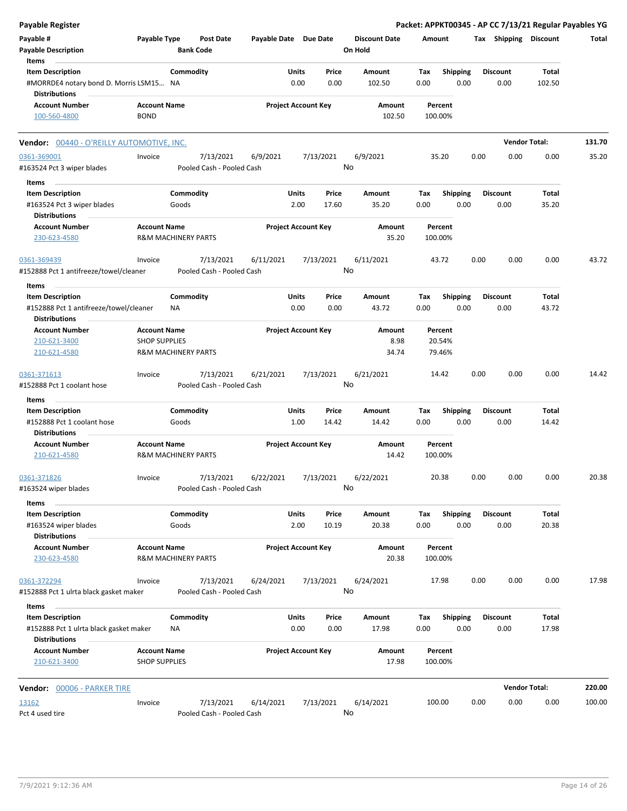| <b>Payable Register</b>                                         |                                             |                                |                                        |       |                            |                 |                      |                    |                 |      |                       | Packet: APPKT00345 - AP CC 7/13/21 Regular Payables YG |        |
|-----------------------------------------------------------------|---------------------------------------------|--------------------------------|----------------------------------------|-------|----------------------------|-----------------|----------------------|--------------------|-----------------|------|-----------------------|--------------------------------------------------------|--------|
| Payable #                                                       | Payable Type                                | Post Date                      |                                        |       | Payable Date Due Date      |                 | <b>Discount Date</b> | Amount             |                 |      | Tax Shipping Discount |                                                        | Total  |
| <b>Payable Description</b>                                      |                                             | <b>Bank Code</b>               |                                        |       |                            | On Hold         |                      |                    |                 |      |                       |                                                        |        |
| Items                                                           |                                             |                                |                                        |       |                            |                 |                      |                    |                 |      |                       |                                                        |        |
| <b>Item Description</b>                                         |                                             | Commodity                      |                                        | Units | Price                      |                 | <b>Amount</b>        | Tax                | <b>Shipping</b> |      | <b>Discount</b>       | Total                                                  |        |
| #MORRDE4 notary bond D. Morris LSM15 NA<br><b>Distributions</b> |                                             |                                |                                        | 0.00  | 0.00                       |                 | 102.50               | 0.00               | 0.00            |      | 0.00                  | 102.50                                                 |        |
| <b>Account Number</b>                                           | <b>Account Name</b>                         |                                |                                        |       | <b>Project Account Key</b> |                 | Amount               | Percent            |                 |      |                       |                                                        |        |
| 100-560-4800                                                    | <b>BOND</b>                                 |                                |                                        |       |                            |                 | 102.50               | 100.00%            |                 |      |                       |                                                        |        |
| Vendor: 00440 - O'REILLY AUTOMOTIVE, INC.                       |                                             |                                |                                        |       |                            |                 |                      |                    |                 |      |                       | <b>Vendor Total:</b>                                   | 131.70 |
| 0361-369001                                                     | Invoice                                     | 7/13/2021                      | 6/9/2021                               |       | 7/13/2021                  | 6/9/2021        |                      | 35.20              |                 | 0.00 | 0.00                  | 0.00                                                   | 35.20  |
| #163524 Pct 3 wiper blades                                      |                                             |                                | Pooled Cash - Pooled Cash              |       |                            | No              |                      |                    |                 |      |                       |                                                        |        |
| Items                                                           |                                             |                                |                                        |       |                            |                 |                      |                    |                 |      |                       |                                                        |        |
| <b>Item Description</b>                                         |                                             | Commodity                      |                                        | Units | Price                      |                 | Amount               | Tax                | <b>Shipping</b> |      | <b>Discount</b>       | Total                                                  |        |
| #163524 Pct 3 wiper blades                                      |                                             | Goods                          |                                        | 2.00  | 17.60                      |                 | 35.20                | 0.00               | 0.00            |      | 0.00                  | 35.20                                                  |        |
| <b>Distributions</b>                                            |                                             |                                |                                        |       |                            |                 |                      |                    |                 |      |                       |                                                        |        |
| <b>Account Number</b>                                           | <b>Account Name</b>                         |                                |                                        |       | <b>Project Account Key</b> |                 | Amount               | Percent            |                 |      |                       |                                                        |        |
| 230-623-4580                                                    |                                             | <b>R&amp;M MACHINERY PARTS</b> |                                        |       |                            |                 | 35.20                | 100.00%            |                 |      |                       |                                                        |        |
| 0361-369439                                                     | Invoice                                     | 7/13/2021                      | 6/11/2021                              |       | 7/13/2021                  | 6/11/2021       |                      | 43.72              |                 | 0.00 | 0.00                  | 0.00                                                   | 43.72  |
| #152888 Pct 1 antifreeze/towel/cleaner                          |                                             |                                | Pooled Cash - Pooled Cash              |       |                            | No              |                      |                    |                 |      |                       |                                                        |        |
| Items                                                           |                                             |                                |                                        |       |                            |                 |                      |                    |                 |      |                       |                                                        |        |
| <b>Item Description</b>                                         |                                             | Commodity                      |                                        | Units | Price                      |                 | Amount               | Tax                | <b>Shipping</b> |      | <b>Discount</b>       | Total                                                  |        |
| #152888 Pct 1 antifreeze/towel/cleaner                          |                                             | NA                             |                                        | 0.00  | 0.00                       |                 | 43.72                | 0.00               | 0.00            |      | 0.00                  | 43.72                                                  |        |
| <b>Distributions</b>                                            |                                             |                                |                                        |       |                            |                 |                      |                    |                 |      |                       |                                                        |        |
| <b>Account Number</b>                                           | <b>Account Name</b>                         |                                |                                        |       | <b>Project Account Key</b> |                 | Amount               | Percent            |                 |      |                       |                                                        |        |
| 210-621-3400                                                    | <b>SHOP SUPPLIES</b>                        |                                |                                        |       |                            |                 | 8.98                 | 20.54%             |                 |      |                       |                                                        |        |
| 210-621-4580                                                    |                                             | R&M MACHINERY PARTS            |                                        |       |                            |                 | 34.74                | 79.46%             |                 |      |                       |                                                        |        |
| 0361-371613                                                     | Invoice                                     | 7/13/2021                      | 6/21/2021<br>Pooled Cash - Pooled Cash |       | 7/13/2021                  | 6/21/2021<br>No |                      | 14.42              |                 | 0.00 | 0.00                  | 0.00                                                   | 14.42  |
| #152888 Pct 1 coolant hose                                      |                                             |                                |                                        |       |                            |                 |                      |                    |                 |      |                       |                                                        |        |
| Items                                                           |                                             |                                |                                        |       |                            |                 |                      |                    |                 |      |                       |                                                        |        |
| <b>Item Description</b>                                         |                                             | Commodity                      |                                        | Units | Price                      |                 | Amount               | Tax                | <b>Shipping</b> |      | <b>Discount</b>       | Total                                                  |        |
| #152888 Pct 1 coolant hose                                      |                                             | Goods                          |                                        | 1.00  | 14.42                      |                 | 14.42                | 0.00               | 0.00            |      | 0.00                  | 14.42                                                  |        |
| <b>Distributions</b>                                            |                                             |                                |                                        |       |                            |                 |                      |                    |                 |      |                       |                                                        |        |
| <b>Account Number</b>                                           | <b>Account Name</b>                         |                                |                                        |       | <b>Project Account Key</b> |                 | Amount               | Percent            |                 |      |                       |                                                        |        |
| 210-621-4580                                                    |                                             | <b>R&amp;M MACHINERY PARTS</b> |                                        |       |                            |                 | 14.42                | 100.00%            |                 |      |                       |                                                        |        |
| 0361-371826                                                     | Invoice                                     | 7/13/2021                      | 6/22/2021                              |       | 7/13/2021                  | 6/22/2021       |                      | 20.38              |                 | 0.00 | 0.00                  | 0.00                                                   | 20.38  |
| #163524 wiper blades                                            |                                             |                                | Pooled Cash - Pooled Cash              |       |                            | No              |                      |                    |                 |      |                       |                                                        |        |
| Items                                                           |                                             |                                |                                        |       |                            |                 |                      |                    |                 |      |                       |                                                        |        |
| <b>Item Description</b>                                         |                                             | Commodity                      |                                        | Units | Price                      |                 | Amount               | Tax                | <b>Shipping</b> |      | <b>Discount</b>       | Total                                                  |        |
| #163524 wiper blades                                            |                                             | Goods                          |                                        | 2.00  | 10.19                      |                 | 20.38                | 0.00               | 0.00            |      | 0.00                  | 20.38                                                  |        |
| <b>Distributions</b>                                            |                                             |                                |                                        |       |                            |                 |                      |                    |                 |      |                       |                                                        |        |
| <b>Account Number</b>                                           | <b>Account Name</b>                         |                                |                                        |       | <b>Project Account Key</b> |                 | Amount               | Percent            |                 |      |                       |                                                        |        |
| 230-623-4580                                                    |                                             | R&M MACHINERY PARTS            |                                        |       |                            |                 | 20.38                | 100.00%            |                 |      |                       |                                                        |        |
| 0361-372294                                                     | Invoice                                     | 7/13/2021                      | 6/24/2021                              |       | 7/13/2021                  | 6/24/2021       |                      | 17.98              |                 | 0.00 | 0.00                  | 0.00                                                   | 17.98  |
| #152888 Pct 1 ulrta black gasket maker                          |                                             |                                | Pooled Cash - Pooled Cash              |       |                            | No              |                      |                    |                 |      |                       |                                                        |        |
| Items                                                           |                                             |                                |                                        |       |                            |                 |                      |                    |                 |      |                       |                                                        |        |
| <b>Item Description</b>                                         |                                             | Commodity                      |                                        | Units | Price                      |                 | Amount               | Tax                | <b>Shipping</b> |      | <b>Discount</b>       | Total                                                  |        |
| #152888 Pct 1 ulrta black gasket maker<br><b>Distributions</b>  |                                             | ΝA                             |                                        | 0.00  | 0.00                       |                 | 17.98                | 0.00               | 0.00            |      | 0.00                  | 17.98                                                  |        |
| <b>Account Number</b><br>210-621-3400                           | <b>Account Name</b><br><b>SHOP SUPPLIES</b> |                                |                                        |       | <b>Project Account Key</b> |                 | Amount<br>17.98      | Percent<br>100.00% |                 |      |                       |                                                        |        |
| Vendor: 00006 - PARKER TIRE                                     |                                             |                                |                                        |       |                            |                 |                      |                    |                 |      |                       | <b>Vendor Total:</b>                                   | 220.00 |
|                                                                 |                                             | 7/13/2021                      |                                        |       | 7/13/2021                  | 6/14/2021       |                      |                    |                 | 0.00 | 0.00                  | 0.00                                                   | 100.00 |
| 13162<br>Pct 4 used tire                                        | Invoice                                     |                                | 6/14/2021<br>Pooled Cash - Pooled Cash |       |                            | No              |                      | 100.00             |                 |      |                       |                                                        |        |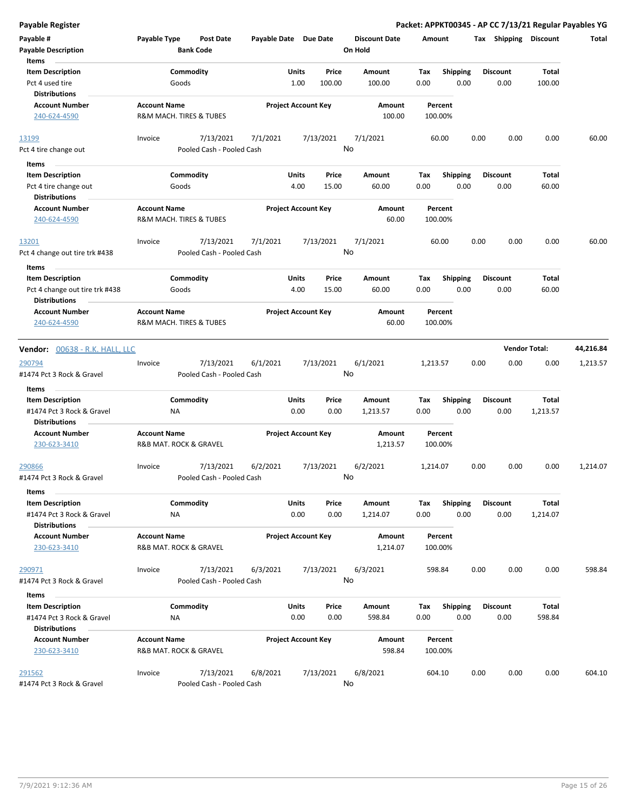| Payable #<br><b>Payable Description</b><br>Items                   | Payable Type           | <b>Post Date</b><br><b>Bank Code</b>   | Payable Date Due Date |                            |                 | <b>Discount Date</b><br>On Hold | Amount      |                    | Tax  | <b>Shipping</b>         | Discount             | Total     |
|--------------------------------------------------------------------|------------------------|----------------------------------------|-----------------------|----------------------------|-----------------|---------------------------------|-------------|--------------------|------|-------------------------|----------------------|-----------|
| <b>Item Description</b><br>Pct 4 used tire<br><b>Distributions</b> |                        | Commodity<br>Goods                     |                       | Units<br>1.00              | Price<br>100.00 | Amount<br>100.00                | Tax<br>0.00 | Shipping<br>0.00   |      | <b>Discount</b><br>0.00 | Total<br>100.00      |           |
| <b>Account Number</b><br>240-624-4590                              | <b>Account Name</b>    | R&M MACH. TIRES & TUBES                |                       | <b>Project Account Key</b> |                 | Amount<br>100.00                |             | Percent<br>100.00% |      |                         |                      |           |
| 13199                                                              | Invoice                | 7/13/2021                              | 7/1/2021              |                            | 7/13/2021       | 7/1/2021                        |             | 60.00              | 0.00 | 0.00                    | 0.00                 | 60.00     |
| Pct 4 tire change out                                              |                        | Pooled Cash - Pooled Cash              |                       |                            |                 | No                              |             |                    |      |                         |                      |           |
| Items                                                              |                        |                                        |                       |                            |                 |                                 |             |                    |      |                         |                      |           |
| <b>Item Description</b>                                            |                        | Commodity                              |                       | Units                      | Price           | Amount                          | Tax         | <b>Shipping</b>    |      | <b>Discount</b>         | Total                |           |
| Pct 4 tire change out                                              |                        | Goods                                  |                       | 4.00                       | 15.00           | 60.00                           | 0.00        | 0.00               |      | 0.00                    | 60.00                |           |
| <b>Distributions</b>                                               |                        |                                        |                       |                            |                 |                                 |             |                    |      |                         |                      |           |
| <b>Account Number</b>                                              | <b>Account Name</b>    |                                        |                       | <b>Project Account Key</b> |                 | Amount                          |             | Percent            |      |                         |                      |           |
| 240-624-4590                                                       |                        | R&M MACH. TIRES & TUBES                |                       |                            |                 | 60.00                           |             | 100.00%            |      |                         |                      |           |
| 13201                                                              | Invoice                | 7/13/2021                              | 7/1/2021              |                            | 7/13/2021       | 7/1/2021                        |             | 60.00              | 0.00 | 0.00                    | 0.00                 | 60.00     |
| Pct 4 change out tire trk #438                                     |                        | Pooled Cash - Pooled Cash              |                       |                            |                 | No                              |             |                    |      |                         |                      |           |
| Items                                                              |                        |                                        |                       |                            |                 |                                 |             |                    |      |                         |                      |           |
| <b>Item Description</b>                                            |                        | Commodity                              |                       | Units                      | Price           | Amount                          | Tax         | <b>Shipping</b>    |      | <b>Discount</b>         | Total                |           |
| Pct 4 change out tire trk #438<br><b>Distributions</b>             |                        | Goods                                  |                       | 4.00                       | 15.00           | 60.00                           | 0.00        | 0.00               |      | 0.00                    | 60.00                |           |
| <b>Account Number</b>                                              | <b>Account Name</b>    |                                        |                       | <b>Project Account Key</b> |                 | Amount                          |             | Percent            |      |                         |                      |           |
| 240-624-4590                                                       |                        | R&M MACH. TIRES & TUBES                |                       |                            |                 | 60.00                           |             | 100.00%            |      |                         |                      |           |
| Vendor: 00638 - R.K. HALL, LLC                                     |                        |                                        |                       |                            |                 |                                 |             |                    |      |                         | <b>Vendor Total:</b> | 44,216.84 |
|                                                                    |                        |                                        |                       |                            |                 |                                 |             |                    |      |                         |                      |           |
| 290794<br>#1474 Pct 3 Rock & Gravel                                | Invoice                | 7/13/2021<br>Pooled Cash - Pooled Cash | 6/1/2021              |                            | 7/13/2021       | 6/1/2021<br>No                  | 1,213.57    |                    | 0.00 | 0.00                    | 0.00                 | 1,213.57  |
|                                                                    |                        |                                        |                       |                            |                 |                                 |             |                    |      |                         |                      |           |
| Items                                                              |                        |                                        |                       |                            |                 |                                 |             |                    |      |                         |                      |           |
| <b>Item Description</b>                                            |                        | Commodity                              |                       | Units                      | Price           | Amount                          | Tax         | <b>Shipping</b>    |      | <b>Discount</b>         | Total                |           |
| #1474 Pct 3 Rock & Gravel<br><b>Distributions</b>                  | ΝA                     |                                        |                       | 0.00                       | 0.00            | 1,213.57                        | 0.00        | 0.00               |      | 0.00                    | 1,213.57             |           |
| <b>Account Number</b>                                              | <b>Account Name</b>    |                                        |                       | <b>Project Account Key</b> |                 | Amount                          |             | Percent            |      |                         |                      |           |
| 230-623-3410                                                       | R&B MAT. ROCK & GRAVEL |                                        |                       |                            |                 | 1,213.57                        |             | 100.00%            |      |                         |                      |           |
| 290866                                                             | Invoice                | 7/13/2021                              | 6/2/2021              |                            | 7/13/2021       | 6/2/2021                        | 1,214.07    |                    | 0.00 | 0.00                    | 0.00                 | 1,214.07  |
| #1474 Pct 3 Rock & Gravel                                          |                        | Pooled Cash - Pooled Cash              |                       |                            |                 | No                              |             |                    |      |                         |                      |           |
|                                                                    |                        |                                        |                       |                            |                 |                                 |             |                    |      |                         |                      |           |
| Items<br><b>Item Description</b>                                   |                        | Commodity                              |                       | Units                      | Price           | Amount                          | Тах         | Shipping           |      | <b>Discount</b>         | Total                |           |
| #1474 Pct 3 Rock & Gravel                                          | NA                     |                                        |                       | 0.00                       | 0.00            | 1,214.07                        | 0.00        | 0.00               |      | 0.00                    | 1,214.07             |           |
| <b>Distributions</b>                                               |                        |                                        |                       |                            |                 |                                 |             |                    |      |                         |                      |           |
| <b>Account Number</b>                                              | <b>Account Name</b>    |                                        |                       | <b>Project Account Key</b> |                 | Amount                          |             | Percent            |      |                         |                      |           |
| 230-623-3410                                                       | R&B MAT. ROCK & GRAVEL |                                        |                       |                            |                 | 1,214.07                        |             | 100.00%            |      |                         |                      |           |
| 290971                                                             | Invoice                | 7/13/2021                              | 6/3/2021              |                            | 7/13/2021       | 6/3/2021                        | 598.84      |                    | 0.00 | 0.00                    | 0.00                 | 598.84    |
| #1474 Pct 3 Rock & Gravel                                          |                        | Pooled Cash - Pooled Cash              |                       |                            |                 | No                              |             |                    |      |                         |                      |           |
| Items                                                              |                        |                                        |                       |                            |                 |                                 |             |                    |      |                         |                      |           |
| <b>Item Description</b>                                            |                        | Commodity                              |                       | Units                      | Price           | Amount                          | Tax         | <b>Shipping</b>    |      | <b>Discount</b>         | Total                |           |
| #1474 Pct 3 Rock & Gravel                                          | ΝA                     |                                        |                       | 0.00                       | 0.00            | 598.84                          | 0.00        | 0.00               |      | 0.00                    | 598.84               |           |
| <b>Distributions</b>                                               |                        |                                        |                       |                            |                 |                                 |             |                    |      |                         |                      |           |
| <b>Account Number</b>                                              | <b>Account Name</b>    |                                        |                       | <b>Project Account Key</b> |                 | Amount                          |             | Percent            |      |                         |                      |           |
| 230-623-3410                                                       |                        | R&B MAT. ROCK & GRAVEL                 |                       |                            |                 | 598.84                          |             | 100.00%            |      |                         |                      |           |
| 291562                                                             | Invoice                | 7/13/2021                              | 6/8/2021              |                            | 7/13/2021       | 6/8/2021                        |             | 604.10             | 0.00 | 0.00                    | 0.00                 | 604.10    |
| #1474 Pct 3 Rock & Gravel                                          |                        | Pooled Cash - Pooled Cash              |                       |                            |                 | No                              |             |                    |      |                         |                      |           |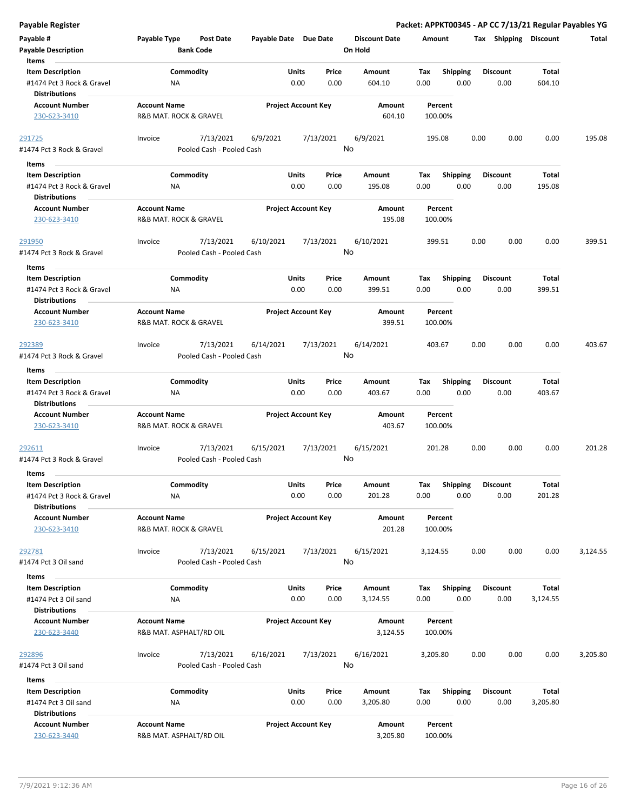**Payable Register Packet: APPKT00345 - AP CC 7/13/21 Regular Payables YG**

| Payable #                                         | Payable Type            | Post Date                 | Payable Date Due Date |                            | <b>Discount Date</b> | Amount   |                 |      | Tax Shipping    | Discount     | Total    |
|---------------------------------------------------|-------------------------|---------------------------|-----------------------|----------------------------|----------------------|----------|-----------------|------|-----------------|--------------|----------|
| <b>Payable Description</b><br>Items               |                         | <b>Bank Code</b>          |                       |                            | On Hold              |          |                 |      |                 |              |          |
| <b>Item Description</b>                           |                         | Commodity                 |                       | Units<br>Price             | Amount               | Tax      | <b>Shipping</b> |      | <b>Discount</b> | <b>Total</b> |          |
| #1474 Pct 3 Rock & Gravel<br><b>Distributions</b> | ΝA                      |                           |                       | 0.00<br>0.00               | 604.10               | 0.00     | 0.00            |      | 0.00            | 604.10       |          |
| <b>Account Number</b>                             | <b>Account Name</b>     |                           |                       | <b>Project Account Key</b> | Amount               | Percent  |                 |      |                 |              |          |
| 230-623-3410                                      | R&B MAT. ROCK & GRAVEL  |                           |                       |                            | 604.10               | 100.00%  |                 |      |                 |              |          |
| 291725                                            | Invoice                 | 7/13/2021                 | 6/9/2021              | 7/13/2021                  | 6/9/2021<br>No       | 195.08   |                 | 0.00 | 0.00            | 0.00         | 195.08   |
| #1474 Pct 3 Rock & Gravel                         |                         | Pooled Cash - Pooled Cash |                       |                            |                      |          |                 |      |                 |              |          |
| Items                                             |                         |                           |                       |                            |                      |          |                 |      |                 |              |          |
| <b>Item Description</b>                           |                         | Commodity                 |                       | Units<br>Price             | Amount               | Tax      | <b>Shipping</b> |      | <b>Discount</b> | Total        |          |
| #1474 Pct 3 Rock & Gravel                         | ΝA                      |                           |                       | 0.00<br>0.00               | 195.08               | 0.00     | 0.00            |      | 0.00            | 195.08       |          |
| <b>Distributions</b><br><b>Account Number</b>     | <b>Account Name</b>     |                           |                       |                            | Amount               | Percent  |                 |      |                 |              |          |
| 230-623-3410                                      | R&B MAT. ROCK & GRAVEL  |                           |                       | <b>Project Account Key</b> | 195.08               | 100.00%  |                 |      |                 |              |          |
| <u> 291950</u>                                    | Invoice                 | 7/13/2021                 | 6/10/2021             | 7/13/2021                  | 6/10/2021            | 399.51   |                 | 0.00 | 0.00            | 0.00         | 399.51   |
| #1474 Pct 3 Rock & Gravel                         |                         | Pooled Cash - Pooled Cash |                       |                            | No                   |          |                 |      |                 |              |          |
| Items                                             |                         |                           |                       |                            |                      |          |                 |      |                 |              |          |
| <b>Item Description</b>                           |                         | Commodity                 |                       | Price<br>Units             | Amount               | Tax      | <b>Shipping</b> |      | <b>Discount</b> | Total        |          |
| #1474 Pct 3 Rock & Gravel                         | NA                      |                           |                       | 0.00<br>0.00               | 399.51               | 0.00     | 0.00            |      | 0.00            | 399.51       |          |
| <b>Distributions</b>                              |                         |                           |                       |                            |                      |          |                 |      |                 |              |          |
| <b>Account Number</b>                             | <b>Account Name</b>     |                           |                       | <b>Project Account Key</b> | Amount               | Percent  |                 |      |                 |              |          |
| 230-623-3410                                      | R&B MAT. ROCK & GRAVEL  |                           |                       |                            | 399.51               | 100.00%  |                 |      |                 |              |          |
| 292389                                            | Invoice                 | 7/13/2021                 | 6/14/2021             | 7/13/2021                  | 6/14/2021            | 403.67   |                 | 0.00 | 0.00            | 0.00         | 403.67   |
| #1474 Pct 3 Rock & Gravel                         |                         | Pooled Cash - Pooled Cash |                       |                            | No                   |          |                 |      |                 |              |          |
| Items                                             |                         |                           |                       |                            |                      |          |                 |      |                 |              |          |
| <b>Item Description</b>                           |                         | Commodity                 |                       | Units<br>Price             | Amount               | Tax      | <b>Shipping</b> |      | <b>Discount</b> | Total        |          |
| #1474 Pct 3 Rock & Gravel                         | ΝA                      |                           |                       | 0.00<br>0.00               | 403.67               | 0.00     | 0.00            |      | 0.00            | 403.67       |          |
| <b>Distributions</b>                              |                         |                           |                       |                            |                      |          |                 |      |                 |              |          |
| <b>Account Number</b>                             | <b>Account Name</b>     |                           |                       | <b>Project Account Key</b> | Amount               | Percent  |                 |      |                 |              |          |
| 230-623-3410                                      | R&B MAT. ROCK & GRAVEL  |                           |                       |                            | 403.67               | 100.00%  |                 |      |                 |              |          |
| <u> 292611</u>                                    | Invoice                 | 7/13/2021                 | 6/15/2021             | 7/13/2021                  | 6/15/2021            | 201.28   |                 | 0.00 | 0.00            | 0.00         | 201.28   |
| #1474 Pct 3 Rock & Gravel                         |                         | Pooled Cash - Pooled Cash |                       |                            | No                   |          |                 |      |                 |              |          |
| Items                                             |                         |                           |                       |                            |                      |          |                 |      |                 |              |          |
| <b>Item Description</b>                           |                         | Commodity                 |                       | Units<br>Price             | Amount               | Тах      | <b>Shipping</b> |      | <b>Discount</b> | Total        |          |
| #1474 Pct 3 Rock & Gravel                         | <b>NA</b>               |                           |                       | 0.00<br>0.00               | 201.28               | 0.00     | 0.00            |      | 0.00            | 201.28       |          |
| <b>Distributions</b>                              |                         |                           |                       |                            |                      |          |                 |      |                 |              |          |
| <b>Account Number</b>                             | <b>Account Name</b>     |                           |                       | <b>Project Account Key</b> | Amount               | Percent  |                 |      |                 |              |          |
| 230-623-3410                                      | R&B MAT. ROCK & GRAVEL  |                           |                       |                            | 201.28               | 100.00%  |                 |      |                 |              |          |
| 292781                                            | Invoice                 | 7/13/2021                 | 6/15/2021             | 7/13/2021                  | 6/15/2021            | 3,124.55 |                 | 0.00 | 0.00            | 0.00         | 3,124.55 |
| #1474 Pct 3 Oil sand                              |                         | Pooled Cash - Pooled Cash |                       |                            | No                   |          |                 |      |                 |              |          |
| Items                                             |                         |                           |                       |                            |                      |          |                 |      |                 |              |          |
| <b>Item Description</b>                           |                         | Commodity                 |                       | Units<br>Price             | Amount               | Тах      | Shipping        |      | <b>Discount</b> | Total        |          |
| #1474 Pct 3 Oil sand                              | ΝA                      |                           |                       | 0.00<br>0.00               | 3,124.55             | 0.00     | 0.00            |      | 0.00            | 3,124.55     |          |
| <b>Distributions</b>                              |                         |                           |                       |                            |                      |          |                 |      |                 |              |          |
| <b>Account Number</b>                             | <b>Account Name</b>     |                           |                       | <b>Project Account Key</b> | Amount               | Percent  |                 |      |                 |              |          |
| 230-623-3440                                      | R&B MAT. ASPHALT/RD OIL |                           |                       |                            | 3,124.55             | 100.00%  |                 |      |                 |              |          |
| 292896                                            | Invoice                 | 7/13/2021                 | 6/16/2021             | 7/13/2021                  | 6/16/2021            | 3,205.80 |                 | 0.00 | 0.00            | 0.00         | 3,205.80 |
| #1474 Pct 3 Oil sand                              |                         | Pooled Cash - Pooled Cash |                       |                            | No                   |          |                 |      |                 |              |          |
|                                                   |                         |                           |                       |                            |                      |          |                 |      |                 |              |          |
| Items                                             |                         |                           |                       |                            |                      |          |                 |      |                 |              |          |
| <b>Item Description</b>                           |                         | Commodity                 |                       | Units<br>Price             | Amount               | Tax      | <b>Shipping</b> |      | <b>Discount</b> | Total        |          |
| #1474 Pct 3 Oil sand<br><b>Distributions</b>      | ΝA                      |                           |                       | 0.00<br>0.00               | 3,205.80             | 0.00     | 0.00            |      | 0.00            | 3,205.80     |          |
| <b>Account Number</b>                             | <b>Account Name</b>     |                           |                       | <b>Project Account Key</b> | Amount               | Percent  |                 |      |                 |              |          |
| 230-623-3440                                      | R&B MAT. ASPHALT/RD OIL |                           |                       |                            | 3,205.80             | 100.00%  |                 |      |                 |              |          |
|                                                   |                         |                           |                       |                            |                      |          |                 |      |                 |              |          |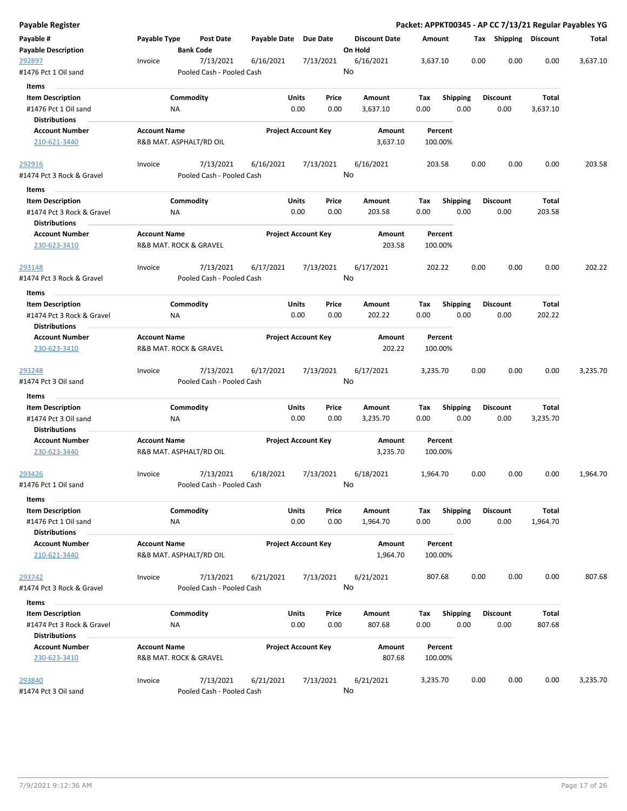| Payable Register                                                             |                                                |                                        |                       |                            |                                 |                    |                         |      |                         |                   | Packet: APPKT00345 - AP CC 7/13/21 Regular Payables YG |
|------------------------------------------------------------------------------|------------------------------------------------|----------------------------------------|-----------------------|----------------------------|---------------------------------|--------------------|-------------------------|------|-------------------------|-------------------|--------------------------------------------------------|
| Payable #<br><b>Payable Description</b>                                      | Payable Type                                   | <b>Post Date</b><br><b>Bank Code</b>   | Payable Date Due Date |                            | <b>Discount Date</b><br>On Hold | Amount             |                         |      | Tax Shipping Discount   |                   | Total                                                  |
| 292897<br>#1476 Pct 1 Oil sand                                               | Invoice                                        | 7/13/2021<br>Pooled Cash - Pooled Cash | 6/16/2021             | 7/13/2021                  | 6/16/2021<br>No                 | 3,637.10           |                         | 0.00 | 0.00                    | 0.00              | 3,637.10                                               |
| Items                                                                        |                                                |                                        |                       |                            |                                 |                    |                         |      |                         |                   |                                                        |
| <b>Item Description</b>                                                      |                                                | Commodity                              | Units                 | Price                      | Amount                          | Tax                | <b>Shipping</b>         |      | <b>Discount</b>         | Total             |                                                        |
| #1476 Pct 1 Oil sand                                                         | ΝA                                             |                                        |                       | 0.00<br>0.00               | 3,637.10                        | 0.00               | 0.00                    |      | 0.00                    | 3,637.10          |                                                        |
| <b>Distributions</b>                                                         |                                                |                                        |                       |                            |                                 |                    |                         |      |                         |                   |                                                        |
| <b>Account Number</b>                                                        | <b>Account Name</b>                            |                                        |                       | <b>Project Account Key</b> | Amount                          | Percent            |                         |      |                         |                   |                                                        |
| 210-621-3440                                                                 | R&B MAT. ASPHALT/RD OIL                        |                                        |                       |                            | 3,637.10                        | 100.00%            |                         |      |                         |                   |                                                        |
| <u> 292916</u>                                                               | Invoice                                        | 7/13/2021                              | 6/16/2021             | 7/13/2021                  | 6/16/2021                       | 203.58             |                         | 0.00 | 0.00                    | 0.00              | 203.58                                                 |
| #1474 Pct 3 Rock & Gravel                                                    |                                                | Pooled Cash - Pooled Cash              |                       |                            | No                              |                    |                         |      |                         |                   |                                                        |
| Items                                                                        |                                                |                                        |                       |                            |                                 |                    |                         |      |                         |                   |                                                        |
| <b>Item Description</b><br>#1474 Pct 3 Rock & Gravel<br><b>Distributions</b> | ΝA                                             | Commodity                              | Units                 | Price<br>0.00<br>0.00      | Amount<br>203.58                | Tax<br>0.00        | <b>Shipping</b><br>0.00 |      | <b>Discount</b><br>0.00 | Total<br>203.58   |                                                        |
| <b>Account Number</b><br>230-623-3410                                        | <b>Account Name</b><br>R&B MAT. ROCK & GRAVEL  |                                        |                       | <b>Project Account Key</b> | Amount<br>203.58                | Percent<br>100.00% |                         |      |                         |                   |                                                        |
| 293148                                                                       | Invoice                                        | 7/13/2021                              | 6/17/2021             | 7/13/2021                  | 6/17/2021                       | 202.22             |                         | 0.00 | 0.00                    | 0.00              | 202.22                                                 |
| #1474 Pct 3 Rock & Gravel                                                    |                                                | Pooled Cash - Pooled Cash              |                       |                            | No                              |                    |                         |      |                         |                   |                                                        |
| Items                                                                        |                                                |                                        |                       |                            |                                 |                    |                         |      |                         |                   |                                                        |
|                                                                              |                                                | Commodity                              | Units                 | Price                      | Amount                          | Tax                |                         |      | <b>Discount</b>         | Total             |                                                        |
| <b>Item Description</b><br>#1474 Pct 3 Rock & Gravel                         | NA                                             |                                        |                       | 0.00<br>0.00               | 202.22                          | 0.00               | <b>Shipping</b><br>0.00 |      | 0.00                    | 202.22            |                                                        |
| <b>Distributions</b>                                                         |                                                |                                        |                       |                            |                                 |                    |                         |      |                         |                   |                                                        |
| <b>Account Number</b>                                                        | <b>Account Name</b>                            |                                        |                       | <b>Project Account Key</b> | Amount                          | Percent            |                         |      |                         |                   |                                                        |
| 230-623-3410                                                                 | R&B MAT. ROCK & GRAVEL                         |                                        |                       |                            | 202.22                          | 100.00%            |                         |      |                         |                   |                                                        |
| 293248<br>#1474 Pct 3 Oil sand                                               | Invoice                                        | 7/13/2021<br>Pooled Cash - Pooled Cash | 6/17/2021             | 7/13/2021                  | 6/17/2021<br>No                 | 3,235.70           |                         | 0.00 | 0.00                    | 0.00              | 3,235.70                                               |
|                                                                              |                                                |                                        |                       |                            |                                 |                    |                         |      |                         |                   |                                                        |
| Items<br><b>Item Description</b>                                             |                                                | Commodity                              | Units                 | Price                      | Amount                          | Tax                | <b>Shipping</b>         |      | <b>Discount</b>         | Total             |                                                        |
| #1474 Pct 3 Oil sand                                                         | ΝA                                             |                                        |                       | 0.00<br>0.00               | 3,235.70                        | 0.00               | 0.00                    |      | 0.00                    | 3,235.70          |                                                        |
| <b>Distributions</b>                                                         |                                                |                                        |                       |                            |                                 |                    |                         |      |                         |                   |                                                        |
| <b>Account Number</b>                                                        | <b>Account Name</b>                            |                                        |                       | <b>Project Account Key</b> | Amount                          | Percent            |                         |      |                         |                   |                                                        |
| 230-623-3440                                                                 | R&B MAT. ASPHALT/RD OIL                        |                                        |                       |                            | 3,235.70                        | 100.00%            |                         |      |                         |                   |                                                        |
| 293426                                                                       | Invoice                                        | 7/13/2021                              | 6/18/2021             | 7/13/2021                  | 6/18/2021                       | 1,964.70           |                         | 0.00 | 0.00                    | 0.00              | 1,964.70                                               |
| #1476 Pct 1 Oil sand                                                         |                                                | Pooled Cash - Pooled Cash              |                       |                            | No                              |                    |                         |      |                         |                   |                                                        |
| Items                                                                        |                                                |                                        |                       |                            |                                 |                    |                         |      |                         |                   |                                                        |
| <b>Item Description</b><br>#1476 Pct 1 Oil sand                              | NA                                             | Commodity                              | Units                 | Price<br>0.00<br>0.00      | Amount<br>1,964.70              | Tax<br>0.00        | <b>Shipping</b><br>0.00 |      | <b>Discount</b><br>0.00 | Total<br>1,964.70 |                                                        |
| <b>Distributions</b>                                                         |                                                |                                        |                       |                            |                                 |                    |                         |      |                         |                   |                                                        |
| <b>Account Number</b><br>210-621-3440                                        | <b>Account Name</b><br>R&B MAT. ASPHALT/RD OIL |                                        |                       | <b>Project Account Key</b> | Amount<br>1,964.70              | Percent<br>100.00% |                         |      |                         |                   |                                                        |
| 293742                                                                       | Invoice                                        | 7/13/2021                              | 6/21/2021             | 7/13/2021                  | 6/21/2021                       | 807.68             |                         | 0.00 | 0.00                    | 0.00              | 807.68                                                 |
| #1474 Pct 3 Rock & Gravel                                                    |                                                | Pooled Cash - Pooled Cash              |                       |                            | No                              |                    |                         |      |                         |                   |                                                        |
| Items                                                                        |                                                |                                        |                       |                            |                                 |                    |                         |      |                         |                   |                                                        |
|                                                                              |                                                |                                        |                       |                            |                                 |                    |                         |      |                         |                   |                                                        |
| <b>Item Description</b><br>#1474 Pct 3 Rock & Gravel                         | ΝA                                             | Commodity                              | Units                 | Price<br>0.00<br>0.00      | Amount<br>807.68                | Тах<br>0.00        | <b>Shipping</b><br>0.00 |      | <b>Discount</b><br>0.00 | Total<br>807.68   |                                                        |
|                                                                              |                                                |                                        |                       |                            |                                 |                    |                         |      |                         |                   |                                                        |
| <b>Distributions</b>                                                         |                                                |                                        |                       |                            |                                 |                    |                         |      |                         |                   |                                                        |
| <b>Account Number</b><br>230-623-3410                                        | <b>Account Name</b><br>R&B MAT. ROCK & GRAVEL  |                                        |                       | <b>Project Account Key</b> | Amount<br>807.68                | Percent<br>100.00% |                         |      |                         |                   |                                                        |
| 293840                                                                       | Invoice                                        | 7/13/2021                              | 6/21/2021             | 7/13/2021                  | 6/21/2021                       | 3,235.70           |                         | 0.00 | 0.00                    | 0.00              | 3,235.70                                               |
| #1474 Pct 3 Oil sand                                                         |                                                | Pooled Cash - Pooled Cash              |                       |                            | No                              |                    |                         |      |                         |                   |                                                        |
|                                                                              |                                                |                                        |                       |                            |                                 |                    |                         |      |                         |                   |                                                        |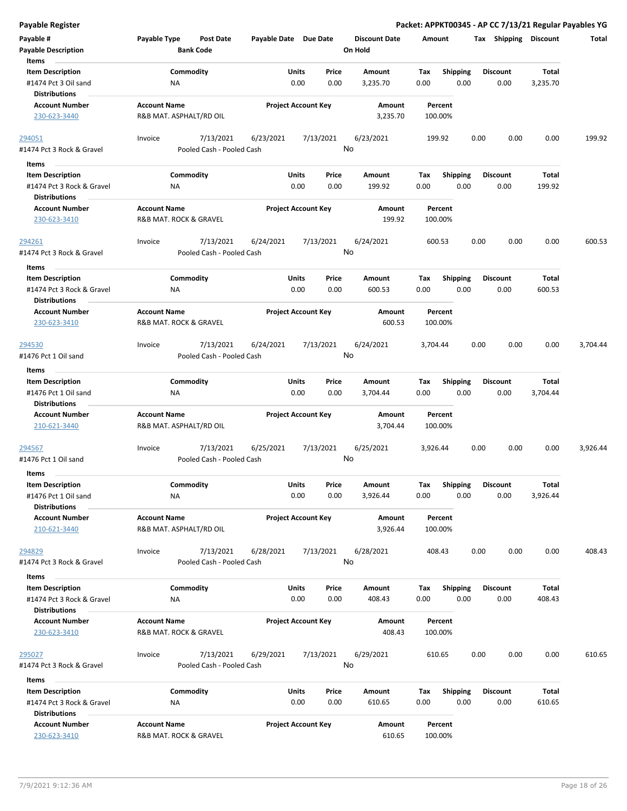|  | Payable Register |  |
|--|------------------|--|
|  |                  |  |

**Payable Register Packet: APPKT00345 - AP CC 7/13/21 Regular Payables YG**

| Payable #                                         | Payable Type            | <b>Post Date</b>          | Payable Date Due Date |                            | <b>Discount Date</b> | Amount   |                 | Tax  | Shipping        | <b>Discount</b> | <b>Total</b> |
|---------------------------------------------------|-------------------------|---------------------------|-----------------------|----------------------------|----------------------|----------|-----------------|------|-----------------|-----------------|--------------|
| <b>Payable Description</b>                        |                         | <b>Bank Code</b>          |                       |                            | On Hold              |          |                 |      |                 |                 |              |
| Items                                             |                         |                           |                       |                            |                      |          |                 |      |                 |                 |              |
| <b>Item Description</b>                           |                         | Commodity                 |                       | Units<br>Price             | Amount               | Tax      | <b>Shipping</b> |      | <b>Discount</b> | Total           |              |
| #1474 Pct 3 Oil sand                              | ΝA                      |                           |                       | 0.00<br>0.00               | 3,235.70             | 0.00     | 0.00            |      | 0.00            | 3,235.70        |              |
| <b>Distributions</b>                              |                         |                           |                       |                            |                      |          |                 |      |                 |                 |              |
| <b>Account Number</b>                             | <b>Account Name</b>     |                           |                       | <b>Project Account Key</b> | Amount               |          | Percent         |      |                 |                 |              |
| 230-623-3440                                      | R&B MAT. ASPHALT/RD OIL |                           |                       |                            | 3,235.70             | 100.00%  |                 |      |                 |                 |              |
|                                                   |                         |                           |                       |                            |                      |          |                 |      |                 |                 |              |
| 294051                                            | Invoice                 | 7/13/2021                 | 6/23/2021             | 7/13/2021                  | 6/23/2021            | 199.92   |                 | 0.00 | 0.00            | 0.00            | 199.92       |
| #1474 Pct 3 Rock & Gravel                         |                         | Pooled Cash - Pooled Cash |                       |                            | No                   |          |                 |      |                 |                 |              |
| Items                                             |                         |                           |                       |                            |                      |          |                 |      |                 |                 |              |
| <b>Item Description</b>                           |                         | Commodity                 |                       | Units<br>Price             | Amount               | Tax      | Shipping        |      | <b>Discount</b> | Total           |              |
| #1474 Pct 3 Rock & Gravel                         | NA                      |                           |                       | 0.00<br>0.00               | 199.92               | 0.00     | 0.00            |      | 0.00            | 199.92          |              |
| <b>Distributions</b>                              |                         |                           |                       |                            |                      |          |                 |      |                 |                 |              |
| <b>Account Number</b>                             | <b>Account Name</b>     |                           |                       | <b>Project Account Key</b> | Amount               |          | Percent         |      |                 |                 |              |
| 230-623-3410                                      | R&B MAT. ROCK & GRAVEL  |                           |                       |                            | 199.92               | 100.00%  |                 |      |                 |                 |              |
|                                                   |                         |                           |                       |                            |                      |          |                 |      |                 |                 |              |
| 294261                                            | Invoice                 | 7/13/2021                 | 6/24/2021             | 7/13/2021                  | 6/24/2021            | 600.53   |                 | 0.00 | 0.00            | 0.00            | 600.53       |
| #1474 Pct 3 Rock & Gravel                         |                         | Pooled Cash - Pooled Cash |                       |                            | No                   |          |                 |      |                 |                 |              |
|                                                   |                         |                           |                       |                            |                      |          |                 |      |                 |                 |              |
| Items                                             |                         |                           |                       |                            |                      |          |                 |      |                 |                 |              |
| <b>Item Description</b>                           |                         | Commodity                 |                       | Units<br>Price             | Amount               | Tax      | <b>Shipping</b> |      | <b>Discount</b> | Total           |              |
| #1474 Pct 3 Rock & Gravel                         | ΝA                      |                           |                       | 0.00<br>0.00               | 600.53               | 0.00     | 0.00            |      | 0.00            | 600.53          |              |
| <b>Distributions</b>                              |                         |                           |                       |                            |                      |          |                 |      |                 |                 |              |
| <b>Account Number</b>                             | <b>Account Name</b>     |                           |                       | <b>Project Account Key</b> | Amount               |          | Percent         |      |                 |                 |              |
| 230-623-3410                                      | R&B MAT. ROCK & GRAVEL  |                           |                       |                            | 600.53               | 100.00%  |                 |      |                 |                 |              |
|                                                   |                         |                           |                       |                            |                      |          |                 |      |                 |                 |              |
| 294530                                            | Invoice                 | 7/13/2021                 | 6/24/2021             | 7/13/2021                  | 6/24/2021            | 3,704.44 |                 | 0.00 | 0.00            | 0.00            | 3,704.44     |
| #1476 Pct 1 Oil sand                              |                         | Pooled Cash - Pooled Cash |                       |                            | No                   |          |                 |      |                 |                 |              |
| Items                                             |                         |                           |                       |                            |                      |          |                 |      |                 |                 |              |
| <b>Item Description</b>                           |                         | Commodity                 |                       | Units<br>Price             | Amount               | Tax      | <b>Shipping</b> |      | <b>Discount</b> | <b>Total</b>    |              |
| #1476 Pct 1 Oil sand                              | NA                      |                           |                       | 0.00<br>0.00               | 3,704.44             | 0.00     | 0.00            |      | 0.00            | 3,704.44        |              |
| <b>Distributions</b>                              |                         |                           |                       |                            |                      |          |                 |      |                 |                 |              |
| <b>Account Number</b>                             | <b>Account Name</b>     |                           |                       | <b>Project Account Key</b> | Amount               |          | Percent         |      |                 |                 |              |
| 210-621-3440                                      | R&B MAT. ASPHALT/RD OIL |                           |                       |                            | 3,704.44             | 100.00%  |                 |      |                 |                 |              |
|                                                   |                         |                           |                       |                            |                      |          |                 |      |                 |                 |              |
| 294567                                            | Invoice                 | 7/13/2021                 | 6/25/2021             | 7/13/2021                  | 6/25/2021            | 3,926.44 |                 | 0.00 | 0.00            | 0.00            | 3,926.44     |
| #1476 Pct 1 Oil sand                              |                         | Pooled Cash - Pooled Cash |                       |                            | No                   |          |                 |      |                 |                 |              |
| Items                                             |                         |                           |                       |                            |                      |          |                 |      |                 |                 |              |
| <b>Item Description</b>                           |                         | Commodity                 |                       | Units<br>Price             | Amount               | Тах      | <b>Shipping</b> |      | <b>Discount</b> | <b>Total</b>    |              |
| #1476 Pct 1 Oil sand                              | ΝA                      |                           |                       | 0.00<br>0.00               | 3,926.44             | 0.00     | 0.00            |      | 0.00            | 3,926.44        |              |
| <b>Distributions</b>                              |                         |                           |                       |                            |                      |          |                 |      |                 |                 |              |
| <b>Account Number</b>                             | <b>Account Name</b>     |                           |                       | <b>Project Account Key</b> | Amount               |          | Percent         |      |                 |                 |              |
| 210-621-3440                                      | R&B MAT. ASPHALT/RD OIL |                           |                       |                            | 3,926.44             | 100.00%  |                 |      |                 |                 |              |
|                                                   |                         |                           |                       |                            |                      |          |                 |      |                 |                 |              |
| 294829                                            | Invoice                 | 7/13/2021                 | 6/28/2021             | 7/13/2021                  | 6/28/2021            | 408.43   |                 | 0.00 | 0.00            | 0.00            | 408.43       |
| #1474 Pct 3 Rock & Gravel                         |                         | Pooled Cash - Pooled Cash |                       |                            | No                   |          |                 |      |                 |                 |              |
| Items                                             |                         |                           |                       |                            |                      |          |                 |      |                 |                 |              |
|                                                   |                         | Commodity                 |                       |                            |                      |          |                 |      |                 |                 |              |
| <b>Item Description</b>                           |                         |                           |                       | Units<br>Price             | Amount               | Tax      | <b>Shipping</b> |      | <b>Discount</b> | Total           |              |
| #1474 Pct 3 Rock & Gravel<br><b>Distributions</b> | ΝA                      |                           |                       | 0.00<br>0.00               | 408.43               | 0.00     | 0.00            |      | 0.00            | 408.43          |              |
|                                                   | <b>Account Name</b>     |                           |                       |                            |                      |          |                 |      |                 |                 |              |
| <b>Account Number</b><br>230-623-3410             | R&B MAT. ROCK & GRAVEL  |                           |                       | <b>Project Account Key</b> | Amount<br>408.43     | 100.00%  | Percent         |      |                 |                 |              |
|                                                   |                         |                           |                       |                            |                      |          |                 |      |                 |                 |              |
|                                                   | Invoice                 | 7/13/2021                 |                       | 7/13/2021                  | 6/29/2021            | 610.65   |                 | 0.00 | 0.00            | 0.00            | 610.65       |
| <u> 295027</u><br>#1474 Pct 3 Rock & Gravel       |                         | Pooled Cash - Pooled Cash | 6/29/2021             |                            | No                   |          |                 |      |                 |                 |              |
|                                                   |                         |                           |                       |                            |                      |          |                 |      |                 |                 |              |
| Items                                             |                         |                           |                       |                            |                      |          |                 |      |                 |                 |              |
| <b>Item Description</b>                           |                         | Commodity                 |                       | Units<br>Price             | Amount               | Tax      | <b>Shipping</b> |      | <b>Discount</b> | Total           |              |
| #1474 Pct 3 Rock & Gravel                         | NA                      |                           |                       | 0.00<br>0.00               | 610.65               | 0.00     | 0.00            |      | 0.00            | 610.65          |              |
| <b>Distributions</b>                              |                         |                           |                       |                            |                      |          |                 |      |                 |                 |              |
| <b>Account Number</b>                             | <b>Account Name</b>     |                           |                       | <b>Project Account Key</b> | Amount               |          | Percent         |      |                 |                 |              |
| 230-623-3410                                      | R&B MAT. ROCK & GRAVEL  |                           |                       |                            | 610.65               | 100.00%  |                 |      |                 |                 |              |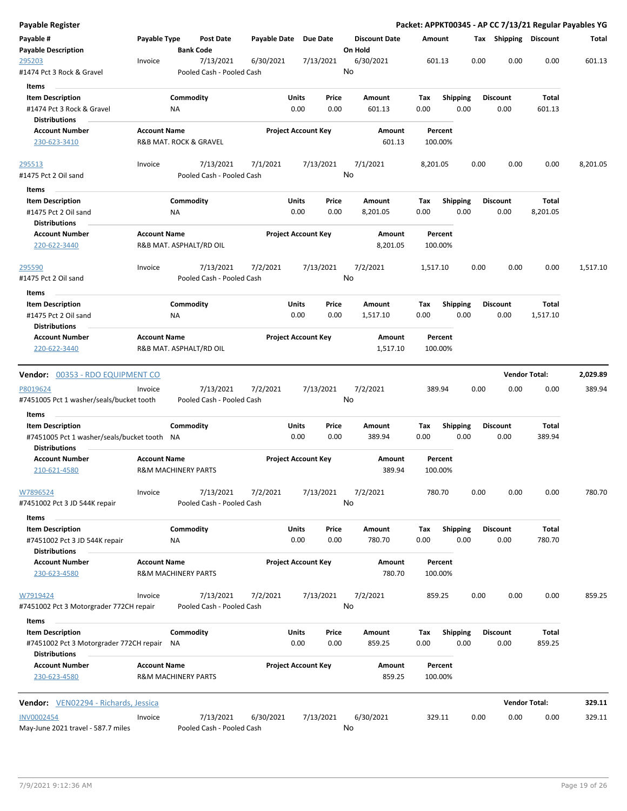| <b>Payable Register</b>                                            |                     |                                |                                        |              |                            |                 |                                 |             |                         |      |                         |                      | Packet: APPKT00345 - AP CC 7/13/21 Regular Payables YG |
|--------------------------------------------------------------------|---------------------|--------------------------------|----------------------------------------|--------------|----------------------------|-----------------|---------------------------------|-------------|-------------------------|------|-------------------------|----------------------|--------------------------------------------------------|
| Payable #<br><b>Payable Description</b>                            | Payable Type        | <b>Bank Code</b>               | <b>Post Date</b>                       | Payable Date |                            | <b>Due Date</b> | <b>Discount Date</b><br>On Hold |             | Amount                  |      | Tax Shipping Discount   |                      | Total                                                  |
| 295203                                                             | Invoice             |                                | 7/13/2021                              | 6/30/2021    |                            | 7/13/2021       | 6/30/2021                       |             | 601.13                  | 0.00 | 0.00                    | 0.00                 | 601.13                                                 |
| #1474 Pct 3 Rock & Gravel                                          |                     |                                | Pooled Cash - Pooled Cash              |              |                            |                 | No                              |             |                         |      |                         |                      |                                                        |
| Items                                                              |                     |                                |                                        |              |                            |                 |                                 |             |                         |      |                         |                      |                                                        |
| <b>Item Description</b><br>#1474 Pct 3 Rock & Gravel               |                     | Commodity<br>ΝA                |                                        |              | Units<br>0.00              | Price<br>0.00   | Amount<br>601.13                | Tax<br>0.00 | <b>Shipping</b><br>0.00 |      | <b>Discount</b><br>0.00 | Total<br>601.13      |                                                        |
| <b>Distributions</b>                                               |                     |                                |                                        |              |                            |                 |                                 |             |                         |      |                         |                      |                                                        |
| <b>Account Number</b><br>230-623-3410                              | <b>Account Name</b> | R&B MAT. ROCK & GRAVEL         |                                        |              | <b>Project Account Key</b> |                 | Amount<br>601.13                |             | Percent<br>100.00%      |      |                         |                      |                                                        |
| 295513                                                             | Invoice             |                                | 7/13/2021                              | 7/1/2021     |                            | 7/13/2021       | 7/1/2021                        |             | 8,201.05                | 0.00 | 0.00                    | 0.00                 | 8,201.05                                               |
| #1475 Pct 2 Oil sand                                               |                     |                                | Pooled Cash - Pooled Cash              |              |                            |                 | No                              |             |                         |      |                         |                      |                                                        |
| Items                                                              |                     |                                |                                        |              |                            |                 |                                 |             |                         |      |                         |                      |                                                        |
| <b>Item Description</b>                                            |                     | Commodity                      |                                        |              | <b>Units</b>               | Price           | Amount                          | Tax         | <b>Shipping</b>         |      | <b>Discount</b>         | Total                |                                                        |
| #1475 Pct 2 Oil sand<br><b>Distributions</b>                       |                     | ΝA                             |                                        |              | 0.00                       | 0.00            | 8,201.05                        | 0.00        | 0.00                    |      | 0.00                    | 8,201.05             |                                                        |
| <b>Account Number</b>                                              | <b>Account Name</b> |                                |                                        |              | <b>Project Account Key</b> |                 | Amount                          |             | Percent                 |      |                         |                      |                                                        |
| 220-622-3440                                                       |                     | R&B MAT. ASPHALT/RD OIL        |                                        |              |                            |                 | 8,201.05                        |             | 100.00%                 |      |                         |                      |                                                        |
| 295590                                                             | Invoice             |                                | 7/13/2021                              | 7/2/2021     |                            | 7/13/2021       | 7/2/2021                        |             | 1,517.10                | 0.00 | 0.00                    | 0.00                 | 1,517.10                                               |
| #1475 Pct 2 Oil sand                                               |                     |                                | Pooled Cash - Pooled Cash              |              |                            |                 | No                              |             |                         |      |                         |                      |                                                        |
| Items                                                              |                     |                                |                                        |              |                            |                 |                                 |             |                         |      |                         |                      |                                                        |
| <b>Item Description</b>                                            |                     | Commodity                      |                                        |              | Units                      | Price           | Amount                          | Tax         | <b>Shipping</b>         |      | <b>Discount</b>         | Total                |                                                        |
| #1475 Pct 2 Oil sand                                               |                     | ΝA                             |                                        |              | 0.00                       | 0.00            | 1,517.10                        | 0.00        | 0.00                    |      | 0.00                    | 1,517.10             |                                                        |
| <b>Distributions</b>                                               |                     |                                |                                        |              |                            |                 |                                 |             |                         |      |                         |                      |                                                        |
| <b>Account Number</b><br>220-622-3440                              | <b>Account Name</b> | R&B MAT. ASPHALT/RD OIL        |                                        |              | <b>Project Account Key</b> |                 | Amount<br>1,517.10              |             | Percent<br>100.00%      |      |                         |                      |                                                        |
|                                                                    |                     |                                |                                        |              |                            |                 |                                 |             |                         |      |                         |                      |                                                        |
| Vendor: 00353 - RDO EQUIPMENT CO                                   |                     |                                |                                        |              |                            |                 |                                 |             |                         |      |                         | <b>Vendor Total:</b> | 2,029.89                                               |
| P8019624<br>#7451005 Pct 1 washer/seals/bucket tooth               | Invoice             |                                | 7/13/2021<br>Pooled Cash - Pooled Cash | 7/2/2021     |                            | 7/13/2021       | 7/2/2021<br>No                  |             | 389.94                  | 0.00 | 0.00                    | 0.00                 | 389.94                                                 |
| Items                                                              |                     |                                |                                        |              |                            |                 |                                 |             |                         |      |                         |                      |                                                        |
| <b>Item Description</b>                                            |                     | Commodity                      |                                        |              | Units                      | Price           | Amount                          | Tax         | <b>Shipping</b>         |      | <b>Discount</b>         | Total                |                                                        |
| #7451005 Pct 1 washer/seals/bucket tooth NA                        |                     |                                |                                        |              | 0.00                       | 0.00            | 389.94                          | 0.00        | 0.00                    |      | 0.00                    | 389.94               |                                                        |
| <b>Distributions</b>                                               |                     |                                |                                        |              |                            |                 |                                 |             |                         |      |                         |                      |                                                        |
| <b>Account Number</b><br>210-621-4580                              | <b>Account Name</b> | <b>R&amp;M MACHINERY PARTS</b> |                                        |              | <b>Project Account Key</b> |                 | Amount<br>389.94                |             | Percent<br>100.00%      |      |                         |                      |                                                        |
| W7896524                                                           | Invoice             |                                | 7/13/2021                              | 7/2/2021     |                            | 7/13/2021       | 7/2/2021                        |             | 780.70                  | 0.00 | 0.00                    | 0.00                 | 780.70                                                 |
| #7451002 Pct 3 JD 544K repair                                      |                     |                                | Pooled Cash - Pooled Cash              |              |                            |                 | No                              |             |                         |      |                         |                      |                                                        |
| Items                                                              |                     |                                |                                        |              |                            |                 |                                 |             |                         |      |                         |                      |                                                        |
| <b>Item Description</b>                                            |                     | Commodity                      |                                        |              | Units                      | Price           | Amount                          | Tax         | Shipping                |      | <b>Discount</b>         | Total                |                                                        |
| #7451002 Pct 3 JD 544K repair<br><b>Distributions</b>              |                     | NA                             |                                        |              | 0.00                       | 0.00            | 780.70                          | 0.00        | 0.00                    |      | 0.00                    | 780.70               |                                                        |
| <b>Account Number</b>                                              | <b>Account Name</b> |                                |                                        |              | <b>Project Account Key</b> |                 | Amount                          |             | Percent                 |      |                         |                      |                                                        |
| 230-623-4580                                                       |                     | R&M MACHINERY PARTS            |                                        |              |                            |                 | 780.70                          |             | 100.00%                 |      |                         |                      |                                                        |
| W7919424                                                           | Invoice             |                                | 7/13/2021                              | 7/2/2021     |                            | 7/13/2021       | 7/2/2021                        |             | 859.25                  | 0.00 | 0.00                    | 0.00                 | 859.25                                                 |
| #7451002 Pct 3 Motorgrader 772CH repair                            |                     |                                | Pooled Cash - Pooled Cash              |              |                            |                 | No                              |             |                         |      |                         |                      |                                                        |
| Items                                                              |                     |                                |                                        |              |                            |                 |                                 |             |                         |      |                         |                      |                                                        |
| <b>Item Description</b><br>#7451002 Pct 3 Motorgrader 772CH repair |                     | Commodity<br>ΝA                |                                        |              | Units<br>0.00              | Price<br>0.00   | Amount<br>859.25                | Tax<br>0.00 | <b>Shipping</b><br>0.00 |      | <b>Discount</b><br>0.00 | Total<br>859.25      |                                                        |
| <b>Distributions</b>                                               |                     |                                |                                        |              |                            |                 |                                 |             |                         |      |                         |                      |                                                        |
| <b>Account Number</b><br>230-623-4580                              | <b>Account Name</b> | <b>R&amp;M MACHINERY PARTS</b> |                                        |              | <b>Project Account Key</b> |                 | Amount<br>859.25                |             | Percent<br>100.00%      |      |                         |                      |                                                        |
|                                                                    |                     |                                |                                        |              |                            |                 |                                 |             |                         |      |                         |                      |                                                        |
| Vendor: VEN02294 - Richards, Jessica                               |                     |                                |                                        |              |                            |                 |                                 |             |                         |      |                         | <b>Vendor Total:</b> | 329.11                                                 |
| <b>INV0002454</b><br>May-June 2021 travel - 587.7 miles            | Invoice             |                                | 7/13/2021<br>Pooled Cash - Pooled Cash | 6/30/2021    |                            | 7/13/2021       | 6/30/2021<br>No                 |             | 329.11                  | 0.00 | 0.00                    | 0.00                 | 329.11                                                 |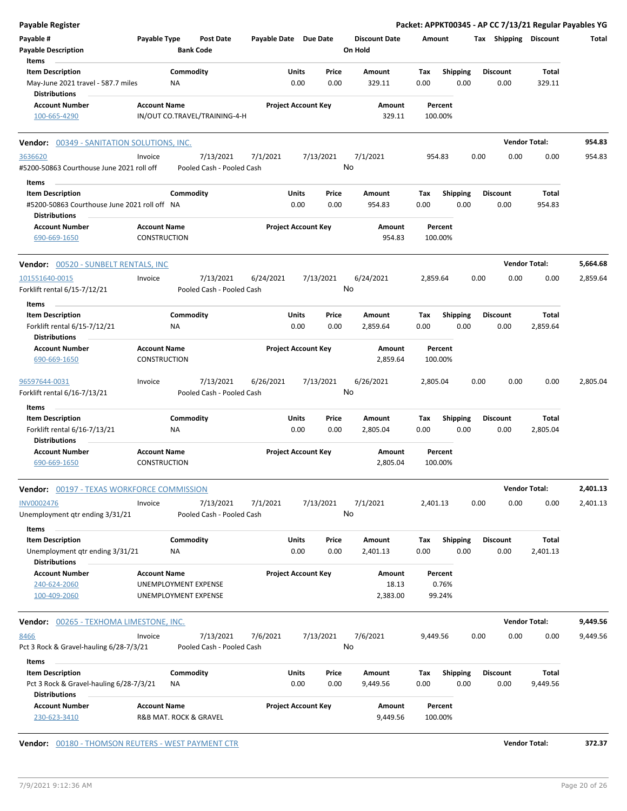| Payable Register                                                        |                                               |                  |                                        |                       |               |                            |                      |             |                    |      |                         | Packet: APPKT00345 - AP CC 7/13/21 Regular Payables YG |          |
|-------------------------------------------------------------------------|-----------------------------------------------|------------------|----------------------------------------|-----------------------|---------------|----------------------------|----------------------|-------------|--------------------|------|-------------------------|--------------------------------------------------------|----------|
| Payable #                                                               | Payable Type                                  |                  | <b>Post Date</b>                       | Payable Date Due Date |               |                            | <b>Discount Date</b> |             | Amount             |      | Tax Shipping Discount   |                                                        | Total    |
| <b>Payable Description</b>                                              |                                               | <b>Bank Code</b> |                                        |                       |               |                            | On Hold              |             |                    |      |                         |                                                        |          |
| Items                                                                   |                                               |                  |                                        |                       |               |                            |                      |             |                    |      |                         |                                                        |          |
| <b>Item Description</b>                                                 |                                               | Commodity        |                                        |                       | Units         | Price                      | Amount               | Tax         | <b>Shipping</b>    |      | <b>Discount</b>         | Total                                                  |          |
| May-June 2021 travel - 587.7 miles<br><b>Distributions</b>              |                                               | ΝA               |                                        |                       | 0.00          | 0.00                       | 329.11               | 0.00        | 0.00               |      | 0.00                    | 329.11                                                 |          |
| <b>Account Number</b>                                                   | <b>Account Name</b>                           |                  |                                        |                       |               | <b>Project Account Key</b> | Amount               |             | Percent            |      |                         |                                                        |          |
| 100-665-4290                                                            |                                               |                  | IN/OUT CO.TRAVEL/TRAINING-4-H          |                       |               |                            | 329.11               |             | 100.00%            |      |                         |                                                        |          |
| <b>Vendor: 00349 - SANITATION SOLUTIONS, INC.</b>                       |                                               |                  |                                        |                       |               |                            |                      |             |                    |      |                         | <b>Vendor Total:</b>                                   | 954.83   |
| 3636620<br>#5200-50863 Courthouse June 2021 roll off                    | Invoice                                       |                  | 7/13/2021<br>Pooled Cash - Pooled Cash | 7/1/2021              |               | 7/13/2021                  | 7/1/2021<br>No       |             | 954.83             | 0.00 | 0.00                    | 0.00                                                   | 954.83   |
|                                                                         |                                               |                  |                                        |                       |               |                            |                      |             |                    |      |                         |                                                        |          |
| Items                                                                   |                                               |                  |                                        |                       |               |                            |                      |             |                    |      |                         |                                                        |          |
| <b>Item Description</b><br>#5200-50863 Courthouse June 2021 roll off NA |                                               | Commodity        |                                        |                       | Units<br>0.00 | Price<br>0.00              | Amount<br>954.83     | Tax<br>0.00 | Shipping<br>0.00   |      | <b>Discount</b><br>0.00 | Total<br>954.83                                        |          |
| <b>Distributions</b>                                                    |                                               |                  |                                        |                       |               |                            |                      |             |                    |      |                         |                                                        |          |
| <b>Account Number</b><br>690-669-1650                                   | <b>Account Name</b><br>CONSTRUCTION           |                  |                                        |                       |               | <b>Project Account Key</b> | Amount<br>954.83     |             | Percent<br>100.00% |      |                         |                                                        |          |
| Vendor: 00520 - SUNBELT RENTALS, INC                                    |                                               |                  |                                        |                       |               |                            |                      |             |                    |      |                         | <b>Vendor Total:</b>                                   | 5,664.68 |
| 101551640-0015                                                          | Invoice                                       |                  | 7/13/2021                              | 6/24/2021             |               | 7/13/2021                  | 6/24/2021            | 2.859.64    |                    | 0.00 | 0.00                    | 0.00                                                   | 2,859.64 |
| Forklift rental 6/15-7/12/21                                            |                                               |                  | Pooled Cash - Pooled Cash              |                       |               |                            | No                   |             |                    |      |                         |                                                        |          |
| Items<br><b>Item Description</b>                                        |                                               | Commodity        |                                        |                       | Units         | Price                      | Amount               | Tax         | Shipping           |      | <b>Discount</b>         | Total                                                  |          |
| Forklift rental 6/15-7/12/21<br><b>Distributions</b>                    |                                               | ΝA               |                                        |                       | 0.00          | 0.00                       | 2,859.64             | 0.00        | 0.00               |      | 0.00                    | 2,859.64                                               |          |
| <b>Account Number</b>                                                   | <b>Account Name</b>                           |                  |                                        |                       |               | <b>Project Account Key</b> | Amount               |             | Percent            |      |                         |                                                        |          |
| 690-669-1650                                                            | <b>CONSTRUCTION</b>                           |                  |                                        |                       |               |                            | 2,859.64             |             | 100.00%            |      |                         |                                                        |          |
| 96597644-0031                                                           | Invoice                                       |                  | 7/13/2021                              | 6/26/2021             |               | 7/13/2021                  | 6/26/2021            | 2,805.04    |                    | 0.00 | 0.00                    | 0.00                                                   | 2,805.04 |
| Forklift rental 6/16-7/13/21                                            |                                               |                  | Pooled Cash - Pooled Cash              |                       |               |                            | No                   |             |                    |      |                         |                                                        |          |
| Items                                                                   |                                               |                  |                                        |                       |               |                            |                      |             |                    |      |                         |                                                        |          |
| <b>Item Description</b>                                                 |                                               | Commodity        |                                        |                       | Units         | Price                      | Amount               | Tax         | <b>Shipping</b>    |      | <b>Discount</b>         | Total                                                  |          |
| Forklift rental 6/16-7/13/21<br><b>Distributions</b>                    |                                               | ΝA               |                                        |                       | 0.00          | 0.00                       | 2,805.04             | 0.00        | 0.00               |      | 0.00                    | 2,805.04                                               |          |
| <b>Account Number</b>                                                   | <b>Account Name</b>                           |                  |                                        |                       |               | <b>Project Account Key</b> | Amount               |             | Percent            |      |                         |                                                        |          |
| 690-669-1650                                                            | <b>CONSTRUCTION</b>                           |                  |                                        |                       |               |                            | 2,805.04             |             | 100.00%            |      |                         |                                                        |          |
| <b>Vendor: 00197 - TEXAS WORKFORCE COMMISSION</b>                       |                                               |                  |                                        |                       |               |                            |                      |             |                    |      |                         | <b>Vendor Total:</b>                                   | 2,401.13 |
| INV0002476                                                              | Invoice                                       |                  | 7/13/2021                              | 7/1/2021              |               | 7/13/2021                  | 7/1/2021             | 2,401.13    |                    | 0.00 | 0.00                    | 0.00                                                   | 2,401.13 |
| Unemployment qtr ending 3/31/21<br><b>Items</b>                         |                                               |                  | Pooled Cash - Pooled Cash              |                       |               |                            | No                   |             |                    |      |                         |                                                        |          |
| <b>Item Description</b>                                                 |                                               | Commodity        |                                        |                       | Units         | Price                      | Amount               | Tax         | <b>Shipping</b>    |      | <b>Discount</b>         | Total                                                  |          |
| Unemployment qtr ending 3/31/21<br><b>Distributions</b>                 |                                               | NA               |                                        |                       | 0.00          | 0.00                       | 2,401.13             | 0.00        | 0.00               |      | 0.00                    | 2,401.13                                               |          |
| <b>Account Number</b>                                                   | <b>Account Name</b>                           |                  |                                        |                       |               | <b>Project Account Key</b> | Amount               |             | Percent            |      |                         |                                                        |          |
| 240-624-2060                                                            | UNEMPLOYMENT EXPENSE                          |                  |                                        |                       |               |                            | 18.13                |             | 0.76%              |      |                         |                                                        |          |
| 100-409-2060                                                            | UNEMPLOYMENT EXPENSE                          |                  |                                        |                       |               |                            | 2,383.00             |             | 99.24%             |      |                         |                                                        |          |
| <b>Vendor:</b> 00265 - TEXHOMA LIMESTONE, INC.                          |                                               |                  |                                        |                       |               |                            |                      |             |                    |      |                         | <b>Vendor Total:</b>                                   | 9,449.56 |
| 8466                                                                    | Invoice                                       |                  | 7/13/2021                              | 7/6/2021              |               | 7/13/2021                  | 7/6/2021             | 9,449.56    |                    | 0.00 | 0.00                    | 0.00                                                   | 9,449.56 |
| Pct 3 Rock & Gravel-hauling 6/28-7/3/21                                 |                                               |                  | Pooled Cash - Pooled Cash              |                       |               |                            | No                   |             |                    |      |                         |                                                        |          |
| Items                                                                   |                                               |                  |                                        |                       |               |                            |                      |             |                    |      |                         |                                                        |          |
| <b>Item Description</b>                                                 |                                               | Commodity        |                                        |                       | Units         | Price                      | Amount               | Тах         | <b>Shipping</b>    |      | <b>Discount</b>         | Total                                                  |          |
| Pct 3 Rock & Gravel-hauling 6/28-7/3/21                                 |                                               | ΝA               |                                        |                       | 0.00          | 0.00                       | 9,449.56             | 0.00        | 0.00               |      | 0.00                    | 9,449.56                                               |          |
| <b>Distributions</b>                                                    |                                               |                  |                                        |                       |               |                            |                      |             |                    |      |                         |                                                        |          |
| <b>Account Number</b><br>230-623-3410                                   | <b>Account Name</b><br>R&B MAT. ROCK & GRAVEL |                  |                                        |                       |               | <b>Project Account Key</b> | Amount<br>9,449.56   |             | Percent<br>100.00% |      |                         |                                                        |          |
| Vendor: 00180 - THOMSON REUTERS - WEST PAYMENT CTR                      |                                               |                  |                                        |                       |               |                            |                      |             |                    |      |                         | <b>Vendor Total:</b>                                   | 372.37   |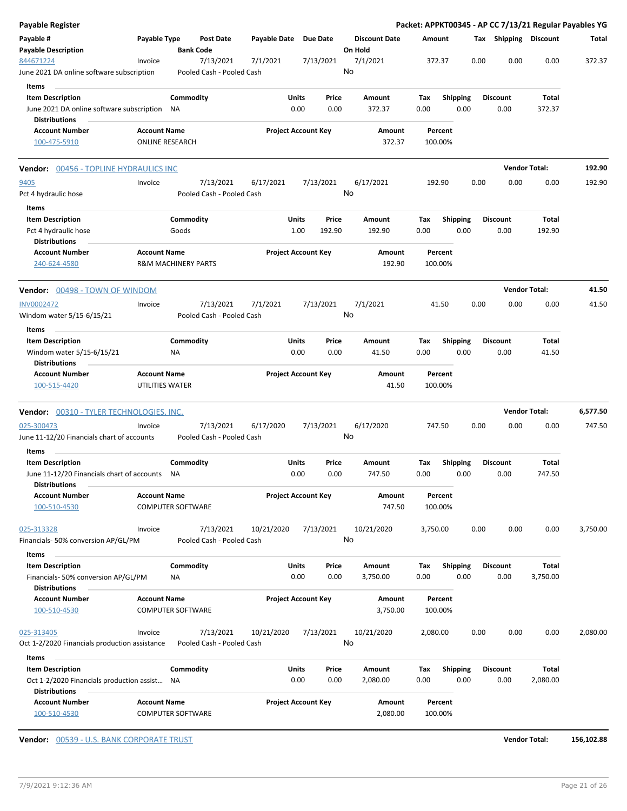| Payable #<br><b>Payable Description</b>                                                         | Payable Type                           |                                        |              |                            |                                 |                    |                         |                         |                      |          |
|-------------------------------------------------------------------------------------------------|----------------------------------------|----------------------------------------|--------------|----------------------------|---------------------------------|--------------------|-------------------------|-------------------------|----------------------|----------|
|                                                                                                 |                                        | Post Date<br><b>Bank Code</b>          | Payable Date | <b>Due Date</b>            | <b>Discount Date</b><br>On Hold | Amount             |                         | Tax Shipping Discount   |                      | Total    |
| 844671224<br>June 2021 DA online software subscription                                          | Invoice                                | 7/13/2021<br>Pooled Cash - Pooled Cash | 7/1/2021     | 7/13/2021                  | 7/1/2021<br>No                  | 372.37             | 0.00                    | 0.00                    | 0.00                 | 372.37   |
| Items                                                                                           |                                        |                                        |              |                            |                                 |                    |                         |                         |                      |          |
| <b>Item Description</b><br>June 2021 DA online software subscription                            |                                        | Commodity<br>NA                        | Units        | Price<br>0.00<br>0.00      | Amount<br>372.37                | Tax<br>0.00        | <b>Shipping</b><br>0.00 | <b>Discount</b><br>0.00 | Total<br>372.37      |          |
| <b>Distributions</b><br><b>Account Number</b>                                                   | <b>Account Name</b>                    |                                        |              | <b>Project Account Key</b> | Amount                          | Percent            |                         |                         |                      |          |
| 100-475-5910                                                                                    | <b>ONLINE RESEARCH</b>                 |                                        |              |                            | 372.37                          | 100.00%            |                         |                         |                      |          |
| <b>Vendor:</b> 00456 - TOPLINE HYDRAULICS INC                                                   |                                        |                                        |              |                            |                                 |                    |                         |                         | <b>Vendor Total:</b> | 192.90   |
| <u>9405</u><br>Pct 4 hydraulic hose                                                             | Invoice                                | 7/13/2021<br>Pooled Cash - Pooled Cash | 6/17/2021    | 7/13/2021                  | 6/17/2021<br>No                 | 192.90             | 0.00                    | 0.00                    | 0.00                 | 192.90   |
| Items<br><b>Item Description</b>                                                                |                                        | Commodity                              | Units        | Price                      | Amount                          | Tax                | <b>Shipping</b>         | <b>Discount</b>         | <b>Total</b>         |          |
| Pct 4 hydraulic hose<br><b>Distributions</b>                                                    |                                        | Goods                                  |              | 1.00<br>192.90             | 192.90                          | 0.00               | 0.00                    | 0.00                    | 192.90               |          |
| <b>Account Number</b><br>240-624-4580                                                           | <b>Account Name</b>                    | <b>R&amp;M MACHINERY PARTS</b>         |              | <b>Project Account Key</b> | Amount<br>192.90                | Percent<br>100.00% |                         |                         |                      |          |
| <b>Vendor:</b> 00498 - TOWN OF WINDOM                                                           |                                        |                                        |              |                            |                                 |                    |                         |                         | <b>Vendor Total:</b> | 41.50    |
| <b>INV0002472</b>                                                                               | Invoice                                | 7/13/2021                              | 7/1/2021     | 7/13/2021                  | 7/1/2021                        | 41.50              | 0.00                    | 0.00                    | 0.00                 | 41.50    |
| Windom water 5/15-6/15/21<br>Items                                                              |                                        | Pooled Cash - Pooled Cash              |              |                            | No                              |                    |                         |                         |                      |          |
| <b>Item Description</b>                                                                         |                                        | Commodity                              | Units        | Price                      | Amount                          | Tax                | <b>Shipping</b>         | <b>Discount</b>         | Total                |          |
| Windom water 5/15-6/15/21<br><b>Distributions</b>                                               |                                        | NA                                     |              | 0.00<br>0.00               | 41.50                           | 0.00               | 0.00                    | 0.00                    | 41.50                |          |
| <b>Account Number</b><br>100-515-4420                                                           | <b>Account Name</b><br>UTILITIES WATER |                                        |              | <b>Project Account Key</b> | Amount<br>41.50                 | Percent<br>100.00% |                         |                         |                      |          |
| Vendor: 00310 - TYLER TECHNOLOGIES, INC.                                                        |                                        |                                        |              |                            |                                 |                    |                         |                         | <b>Vendor Total:</b> | 6,577.50 |
| 025-300473<br>June 11-12/20 Financials chart of accounts                                        | Invoice                                | 7/13/2021<br>Pooled Cash - Pooled Cash | 6/17/2020    | 7/13/2021                  | 6/17/2020<br>No                 | 747.50             | 0.00                    | 0.00                    | 0.00                 | 747.50   |
| Items<br><b>Item Description</b>                                                                |                                        | Commodity                              | Units        | Price                      | Amount                          | Tax                | <b>Shipping</b>         | <b>Discount</b>         | Total                |          |
| June 11-12/20 Financials chart of accounts<br><b>Distributions</b>                              |                                        | <b>NA</b>                              |              | 0.00<br>0.00               | 747.50                          | 0.00               | 0.00                    | 0.00                    | 747.50               |          |
| <b>Account Number</b><br>100-510-4530                                                           | <b>Account Name</b>                    | <b>COMPUTER SOFTWARE</b>               |              | <b>Project Account Key</b> | Amount<br>747.50                | Percent<br>100.00% |                         |                         |                      |          |
| 025-313328<br>Financials- 50% conversion AP/GL/PM                                               | Invoice                                | 7/13/2021<br>Pooled Cash - Pooled Cash | 10/21/2020   | 7/13/2021                  | 10/21/2020<br>No                | 3,750.00           | 0.00                    | 0.00                    | 0.00                 | 3,750.00 |
| Items                                                                                           |                                        |                                        |              |                            |                                 |                    |                         |                         |                      |          |
| <b>Item Description</b><br>Financials- 50% conversion AP/GL/PM<br><b>Distributions</b>          |                                        | Commodity<br>ΝA                        | Units        | Price<br>0.00<br>0.00      | Amount<br>3,750.00              | Tax<br>0.00        | <b>Shipping</b><br>0.00 | <b>Discount</b><br>0.00 | Total<br>3,750.00    |          |
| <b>Account Number</b><br>100-510-4530                                                           | <b>Account Name</b>                    | <b>COMPUTER SOFTWARE</b>               |              | <b>Project Account Key</b> | Amount<br>3,750.00              | Percent<br>100.00% |                         |                         |                      |          |
| 025-313405<br>Oct 1-2/2020 Financials production assistance                                     | Invoice                                | 7/13/2021<br>Pooled Cash - Pooled Cash | 10/21/2020   | 7/13/2021                  | 10/21/2020<br>No                | 2,080.00           | 0.00                    | 0.00                    | 0.00                 | 2,080.00 |
| Items                                                                                           |                                        |                                        |              |                            |                                 |                    |                         |                         |                      |          |
|                                                                                                 |                                        | Commodity                              | Units        | Price                      | Amount                          | Tax                | <b>Shipping</b>         | <b>Discount</b>         | <b>Total</b>         |          |
| <b>Item Description</b><br>Oct 1-2/2020 Financials production assist NA<br><b>Distributions</b> |                                        |                                        |              | 0.00<br>0.00               | 2,080.00                        | 0.00               | 0.00                    | 0.00                    | 2,080.00             |          |

**Vendor:** 00539 - U.S. BANK CORPORATE TRUST **Vendor Total: 156,102.88**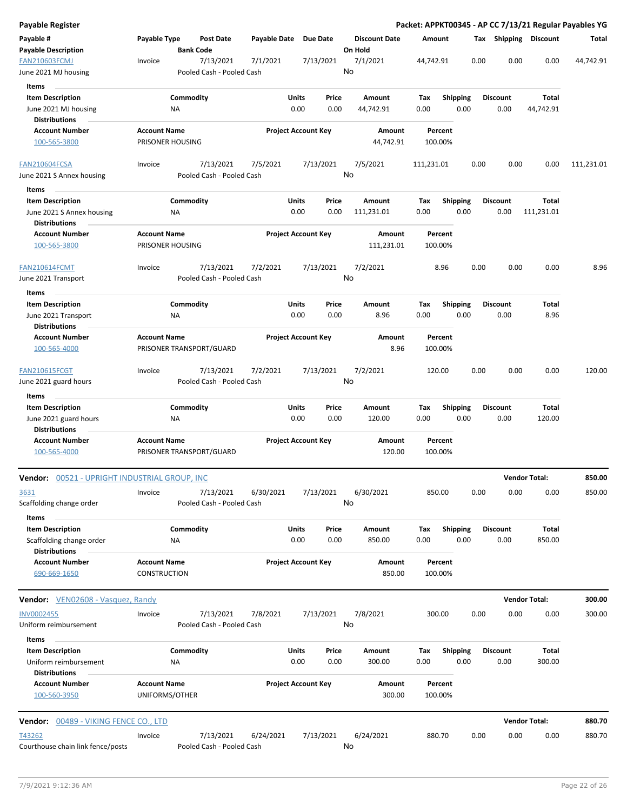| Payable Register                                              |                                                 |                           |           |                                |                      | Packet: APPKT00345 - AP CC 7/13/21 Regular Payables YG |                         |                         |                       |            |
|---------------------------------------------------------------|-------------------------------------------------|---------------------------|-----------|--------------------------------|----------------------|--------------------------------------------------------|-------------------------|-------------------------|-----------------------|------------|
| Payable #                                                     | Payable Type                                    | <b>Post Date</b>          |           | Payable Date Due Date          | <b>Discount Date</b> | Amount                                                 |                         |                         | Tax Shipping Discount | Total      |
| <b>Payable Description</b>                                    |                                                 | <b>Bank Code</b>          |           |                                | On Hold              |                                                        |                         |                         |                       |            |
| <b>FAN210603FCMJ</b>                                          | Invoice                                         | 7/13/2021                 | 7/1/2021  | 7/13/2021                      | 7/1/2021<br>No       | 44,742.91                                              | 0.00                    | 0.00                    | 0.00                  | 44,742.91  |
| June 2021 MJ housing                                          |                                                 | Pooled Cash - Pooled Cash |           |                                |                      |                                                        |                         |                         |                       |            |
| <b>Items</b>                                                  |                                                 |                           |           |                                |                      |                                                        |                         |                         |                       |            |
| <b>Item Description</b><br>June 2021 MJ housing               | Commodity<br>ΝA                                 |                           |           | Units<br>Price<br>0.00<br>0.00 | Amount<br>44,742.91  | Tax<br>0.00                                            | <b>Shipping</b><br>0.00 | <b>Discount</b><br>0.00 | Total<br>44,742.91    |            |
| <b>Distributions</b>                                          |                                                 |                           |           |                                |                      |                                                        |                         |                         |                       |            |
| <b>Account Number</b>                                         | <b>Account Name</b>                             |                           |           | <b>Project Account Key</b>     | Amount               | Percent                                                |                         |                         |                       |            |
| 100-565-3800                                                  | PRISONER HOUSING                                |                           |           |                                | 44,742.91            | 100.00%                                                |                         |                         |                       |            |
| FAN210604FCSA                                                 | Invoice                                         | 7/13/2021                 | 7/5/2021  | 7/13/2021                      | 7/5/2021             | 111,231.01                                             | 0.00                    | 0.00                    | 0.00                  | 111,231.01 |
| June 2021 S Annex housing                                     |                                                 | Pooled Cash - Pooled Cash |           |                                | No                   |                                                        |                         |                         |                       |            |
| Items                                                         |                                                 |                           |           |                                |                      |                                                        |                         |                         |                       |            |
| <b>Item Description</b>                                       | Commodity                                       |                           |           | <b>Units</b><br>Price          | Amount               | Tax                                                    | <b>Shipping</b>         | <b>Discount</b>         | Total                 |            |
| June 2021 S Annex housing                                     | NA                                              |                           |           | 0.00<br>0.00                   | 111,231.01           | 0.00                                                   | 0.00                    | 0.00                    | 111,231.01            |            |
| <b>Distributions</b>                                          |                                                 |                           |           |                                |                      |                                                        |                         |                         |                       |            |
| <b>Account Number</b><br>100-565-3800                         | <b>Account Name</b><br>PRISONER HOUSING         |                           |           | <b>Project Account Key</b>     | Amount<br>111,231.01 | Percent<br>100.00%                                     |                         |                         |                       |            |
| <b>FAN210614FCMT</b>                                          | Invoice                                         | 7/13/2021                 | 7/2/2021  | 7/13/2021                      | 7/2/2021             | 8.96                                                   | 0.00                    | 0.00                    | 0.00                  | 8.96       |
| June 2021 Transport                                           |                                                 | Pooled Cash - Pooled Cash |           |                                | No                   |                                                        |                         |                         |                       |            |
| Items                                                         |                                                 |                           |           |                                |                      |                                                        |                         |                         |                       |            |
| <b>Item Description</b>                                       | Commodity                                       |                           |           | Units<br>Price                 | Amount               | Tax                                                    | <b>Shipping</b>         | <b>Discount</b>         | Total                 |            |
| June 2021 Transport<br><b>Distributions</b>                   | ΝA                                              |                           |           | 0.00<br>0.00                   | 8.96                 | 0.00                                                   | 0.00                    | 0.00                    | 8.96                  |            |
| <b>Account Number</b>                                         | <b>Account Name</b>                             |                           |           | <b>Project Account Key</b>     | Amount               | Percent                                                |                         |                         |                       |            |
| 100-565-4000                                                  | PRISONER TRANSPORT/GUARD                        |                           |           |                                | 8.96                 | 100.00%                                                |                         |                         |                       |            |
| FAN210615FCGT                                                 | Invoice                                         | 7/13/2021                 | 7/2/2021  | 7/13/2021                      | 7/2/2021             | 120.00                                                 | 0.00                    | 0.00                    | 0.00                  | 120.00     |
| June 2021 guard hours                                         |                                                 | Pooled Cash - Pooled Cash |           |                                | No                   |                                                        |                         |                         |                       |            |
| Items<br><b>Item Description</b>                              | Commodity                                       |                           |           | Units<br>Price                 | Amount               | Tax                                                    | Shipping                | <b>Discount</b>         | <b>Total</b>          |            |
| June 2021 guard hours<br><b>Distributions</b>                 | ΝA                                              |                           |           | 0.00<br>0.00                   | 120.00               | 0.00                                                   | 0.00                    | 0.00                    | 120.00                |            |
| <b>Account Number</b><br>100-565-4000                         | <b>Account Name</b><br>PRISONER TRANSPORT/GUARD |                           |           | <b>Project Account Key</b>     | Amount<br>120.00     | Percent<br>100.00%                                     |                         |                         |                       |            |
| <b>Vendor:</b> 00521 - UPRIGHT INDUSTRIAL GROUP, INC          |                                                 |                           |           |                                |                      |                                                        |                         |                         | <b>Vendor Total:</b>  | 850.00     |
| <u>3631</u>                                                   | Invoice                                         | 7/13/2021                 | 6/30/2021 | 7/13/2021                      | 6/30/2021            | 850.00                                                 | 0.00                    | 0.00                    | 0.00                  | 850.00     |
| Scaffolding change order                                      |                                                 | Pooled Cash - Pooled Cash |           |                                | No                   |                                                        |                         |                         |                       |            |
| Items                                                         |                                                 |                           |           |                                |                      |                                                        |                         |                         |                       |            |
| <b>Item Description</b>                                       | Commodity                                       |                           |           | Units<br>Price                 | Amount               | Tax                                                    | <b>Shipping</b>         | <b>Discount</b>         | Total                 |            |
| Scaffolding change order                                      | ΝA                                              |                           |           | 0.00<br>0.00                   | 850.00               | 0.00                                                   | 0.00                    | 0.00                    | 850.00                |            |
| <b>Distributions</b><br><b>Account Number</b><br>690-669-1650 | <b>Account Name</b><br><b>CONSTRUCTION</b>      |                           |           | <b>Project Account Key</b>     | Amount<br>850.00     | Percent<br>100.00%                                     |                         |                         |                       |            |
|                                                               |                                                 |                           |           |                                |                      |                                                        |                         |                         | <b>Vendor Total:</b>  |            |
| Vendor: VEN02608 - Vasquez, Randy                             |                                                 |                           |           |                                |                      |                                                        |                         |                         |                       | 300.00     |
| <b>INV0002455</b>                                             | Invoice                                         | 7/13/2021                 | 7/8/2021  | 7/13/2021                      | 7/8/2021<br>No       | 300.00                                                 | 0.00                    | 0.00                    | 0.00                  | 300.00     |
| Uniform reimbursement                                         |                                                 | Pooled Cash - Pooled Cash |           |                                |                      |                                                        |                         |                         |                       |            |
| <b>Items</b>                                                  |                                                 |                           |           |                                |                      |                                                        |                         |                         |                       |            |
| <b>Item Description</b><br>Uniform reimbursement              | Commodity<br>ΝA                                 |                           |           | Units<br>Price<br>0.00<br>0.00 | Amount<br>300.00     | Tax<br>0.00                                            | <b>Shipping</b><br>0.00 | <b>Discount</b><br>0.00 | Total<br>300.00       |            |
| <b>Distributions</b>                                          |                                                 |                           |           |                                |                      |                                                        |                         |                         |                       |            |
| <b>Account Number</b>                                         | <b>Account Name</b>                             |                           |           | <b>Project Account Key</b>     | Amount               | Percent                                                |                         |                         |                       |            |
| 100-560-3950                                                  | UNIFORMS/OTHER                                  |                           |           |                                | 300.00               | 100.00%                                                |                         |                         |                       |            |
| <b>Vendor:</b> 00489 - VIKING FENCE CO., LTD                  |                                                 |                           |           |                                |                      |                                                        |                         |                         | <b>Vendor Total:</b>  | 880.70     |
| T43262                                                        | Invoice                                         | 7/13/2021                 | 6/24/2021 | 7/13/2021                      | 6/24/2021            | 880.70                                                 | 0.00                    | 0.00                    | 0.00                  | 880.70     |
| Courthouse chain link fence/posts                             |                                                 | Pooled Cash - Pooled Cash |           |                                | No                   |                                                        |                         |                         |                       |            |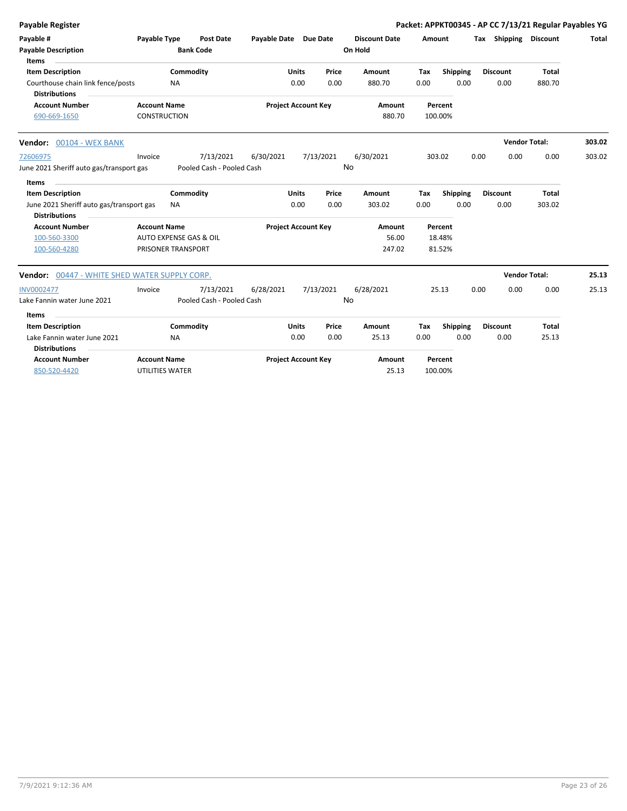| <b>Payable Register</b>                                   |                     |                           |                       |                            |           |                      |         |                 |                       | Packet: APPKT00345 - AP CC 7/13/21 Regular Payables YG |              |
|-----------------------------------------------------------|---------------------|---------------------------|-----------------------|----------------------------|-----------|----------------------|---------|-----------------|-----------------------|--------------------------------------------------------|--------------|
| Payable #                                                 | Payable Type        | <b>Post Date</b>          | Payable Date Due Date |                            |           | <b>Discount Date</b> | Amount  |                 | Tax Shipping Discount |                                                        | <b>Total</b> |
| <b>Payable Description</b>                                |                     | <b>Bank Code</b>          |                       |                            |           | On Hold              |         |                 |                       |                                                        |              |
| Items                                                     |                     |                           |                       |                            |           |                      |         |                 |                       |                                                        |              |
| <b>Item Description</b>                                   |                     | Commodity                 |                       | <b>Units</b>               | Price     | Amount               | Tax     | <b>Shipping</b> | <b>Discount</b>       | Total                                                  |              |
| Courthouse chain link fence/posts<br><b>Distributions</b> |                     | <b>NA</b>                 |                       | 0.00                       | 0.00      | 880.70               | 0.00    | 0.00            | 0.00                  | 880.70                                                 |              |
| <b>Account Number</b>                                     | <b>Account Name</b> |                           |                       | <b>Project Account Key</b> |           | Amount               | Percent |                 |                       |                                                        |              |
| 690-669-1650                                              | <b>CONSTRUCTION</b> |                           |                       |                            |           | 880.70               | 100.00% |                 |                       |                                                        |              |
| Vendor: 00104 - WEX BANK                                  |                     |                           |                       |                            |           |                      |         |                 |                       | <b>Vendor Total:</b>                                   | 303.02       |
| 72606975                                                  | Invoice             | 7/13/2021                 | 6/30/2021             |                            | 7/13/2021 | 6/30/2021            | 303.02  |                 | 0.00<br>0.00          | 0.00                                                   | 303.02       |
| June 2021 Sheriff auto gas/transport gas                  |                     | Pooled Cash - Pooled Cash |                       |                            | No        |                      |         |                 |                       |                                                        |              |
| Items                                                     |                     |                           |                       |                            |           |                      |         |                 |                       |                                                        |              |
| <b>Item Description</b>                                   |                     | Commodity                 |                       | Units                      | Price     | Amount               | Tax     | Shipping        | <b>Discount</b>       | Total                                                  |              |
| June 2021 Sheriff auto gas/transport gas                  |                     | <b>NA</b>                 |                       | 0.00                       | 0.00      | 303.02               | 0.00    | 0.00            | 0.00                  | 303.02                                                 |              |
| <b>Distributions</b>                                      |                     |                           |                       |                            |           |                      |         |                 |                       |                                                        |              |
| <b>Account Number</b>                                     | <b>Account Name</b> |                           |                       | <b>Project Account Key</b> |           | Amount               | Percent |                 |                       |                                                        |              |
| 100-560-3300                                              |                     | AUTO EXPENSE GAS & OIL    |                       |                            |           | 56.00                |         | 18.48%          |                       |                                                        |              |
| 100-560-4280                                              |                     | PRISONER TRANSPORT        |                       |                            |           | 247.02               |         | 81.52%          |                       |                                                        |              |
| Vendor: 00447 - WHITE SHED WATER SUPPLY CORP.             |                     |                           |                       |                            |           |                      |         |                 |                       | <b>Vendor Total:</b>                                   | 25.13        |
| <b>INV0002477</b>                                         | Invoice             | 7/13/2021                 | 6/28/2021             |                            | 7/13/2021 | 6/28/2021            | 25.13   |                 | 0.00<br>0.00          | 0.00                                                   | 25.13        |
| Lake Fannin water June 2021                               |                     | Pooled Cash - Pooled Cash |                       |                            | No        |                      |         |                 |                       |                                                        |              |
| Items                                                     |                     |                           |                       |                            |           |                      |         |                 |                       |                                                        |              |
| <b>Item Description</b>                                   |                     | Commodity                 |                       | <b>Units</b>               | Price     | Amount               | Tax     | <b>Shipping</b> | <b>Discount</b>       | Total                                                  |              |
| Lake Fannin water June 2021                               |                     | NA                        |                       | 0.00                       | 0.00      | 25.13                | 0.00    | 0.00            | 0.00                  | 25.13                                                  |              |
| <b>Distributions</b>                                      |                     |                           |                       |                            |           |                      |         |                 |                       |                                                        |              |
| <b>Account Number</b>                                     | <b>Account Name</b> |                           |                       | <b>Project Account Key</b> |           | Amount               | Percent |                 |                       |                                                        |              |
| 850-520-4420                                              | UTILITIES WATER     |                           |                       |                            |           | 25.13                | 100.00% |                 |                       |                                                        |              |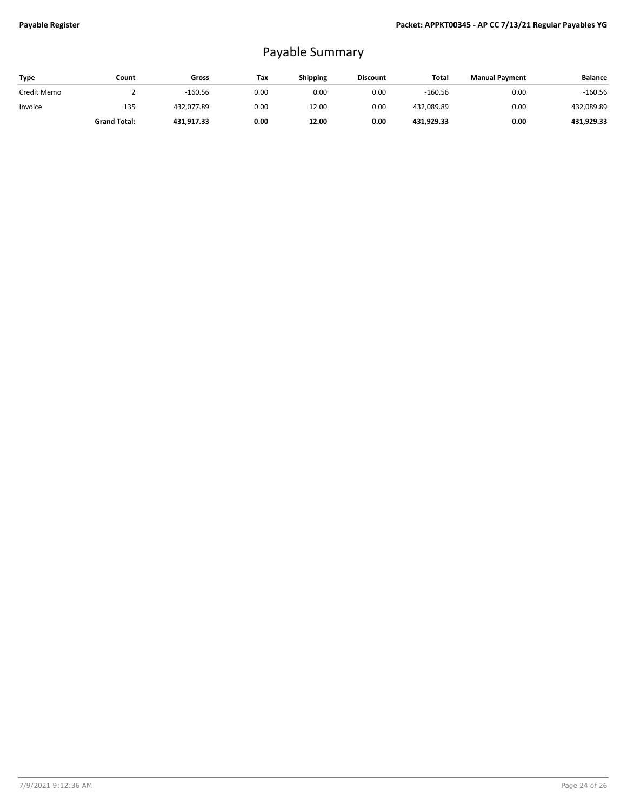## Payable Summary

| Type        | Count               | Gross      | Tax  | <b>Shipping</b> | <b>Discount</b> | Total      | <b>Manual Payment</b> | <b>Balance</b> |
|-------------|---------------------|------------|------|-----------------|-----------------|------------|-----------------------|----------------|
| Credit Memo |                     | $-160.56$  | 0.00 | 0.00            | 0.00            | $-160.56$  | 0.00                  | $-160.56$      |
| Invoice     | 135                 | 432.077.89 | 0.00 | 12.00           | 0.00            | 432,089.89 | 0.00                  | 432,089.89     |
|             | <b>Grand Total:</b> | 431.917.33 | 0.00 | 12.00           | 0.00            | 431.929.33 | 0.00                  | 431.929.33     |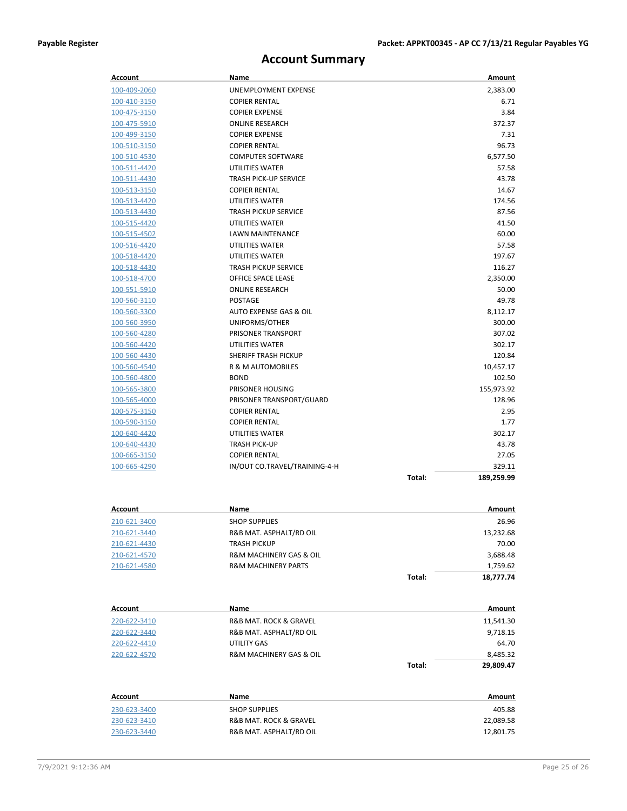### **Account Summary**

| Account        | Name                                   | Amount               |
|----------------|----------------------------------------|----------------------|
| 100-409-2060   | UNEMPLOYMENT EXPENSE                   | 2,383.00             |
| 100-410-3150   | <b>COPIER RENTAL</b>                   | 6.71                 |
| 100-475-3150   | <b>COPIER EXPENSE</b>                  | 3.84                 |
| 100-475-5910   | <b>ONLINE RESEARCH</b>                 | 372.37               |
| 100-499-3150   | <b>COPIER EXPENSE</b>                  | 7.31                 |
| 100-510-3150   | <b>COPIER RENTAL</b>                   | 96.73                |
| 100-510-4530   | <b>COMPUTER SOFTWARE</b>               | 6,577.50             |
| 100-511-4420   | UTILITIES WATER                        | 57.58                |
| 100-511-4430   | <b>TRASH PICK-UP SERVICE</b>           | 43.78                |
| 100-513-3150   | <b>COPIER RENTAL</b>                   | 14.67                |
| 100-513-4420   | UTILITIES WATER                        | 174.56               |
| 100-513-4430   | <b>TRASH PICKUP SERVICE</b>            | 87.56                |
| 100-515-4420   | UTILITIES WATER                        | 41.50                |
| 100-515-4502   | <b>LAWN MAINTENANCE</b>                | 60.00                |
| 100-516-4420   | UTILITIES WATER                        | 57.58                |
| 100-518-4420   | UTILITIES WATER                        | 197.67               |
| 100-518-4430   | <b>TRASH PICKUP SERVICE</b>            | 116.27               |
| 100-518-4700   | OFFICE SPACE LEASE                     | 2,350.00             |
| 100-551-5910   | <b>ONLINE RESEARCH</b>                 | 50.00                |
| 100-560-3110   | POSTAGE                                | 49.78                |
| 100-560-3300   | AUTO EXPENSE GAS & OIL                 | 8,112.17             |
| 100-560-3950   | UNIFORMS/OTHER                         | 300.00               |
| 100-560-4280   | <b>PRISONER TRANSPORT</b>              | 307.02               |
| 100-560-4420   | UTILITIES WATER                        | 302.17               |
| 100-560-4430   | SHERIFF TRASH PICKUP                   | 120.84               |
| 100-560-4540   | R & M AUTOMOBILES                      | 10,457.17            |
| 100-560-4800   | <b>BOND</b>                            | 102.50               |
| 100-565-3800   | PRISONER HOUSING                       | 155,973.92           |
| 100-565-4000   | PRISONER TRANSPORT/GUARD               | 128.96               |
| 100-575-3150   | <b>COPIER RENTAL</b>                   | 2.95                 |
| 100-590-3150   | <b>COPIER RENTAL</b>                   | 1.77                 |
| 100-640-4420   | UTILITIES WATER                        | 302.17               |
| 100-640-4430   | <b>TRASH PICK-UP</b>                   | 43.78                |
| 100-665-3150   | <b>COPIER RENTAL</b>                   | 27.05                |
| 100-665-4290   | IN/OUT CO.TRAVEL/TRAINING-4-H          | 329.11               |
|                |                                        | Total:<br>189,259.99 |
|                |                                        |                      |
| <b>Account</b> | Name                                   | Amount               |
| 210-621-3400   | <b>SHOP SUPPLIES</b>                   | 26.96                |
| 210-621-3440   | R&B MAT. ASPHALT/RD OIL                | 13,232.68            |
| 210-621-4430   | <b>TRASH PICKUP</b>                    | 70.00                |
| 210-621-4570   | R&M MACHINERY GAS & OIL                | 3,688.48             |
| 210-621-4580   | <b>R&amp;M MACHINERY PARTS</b>         | 1,759.62             |
|                |                                        | Total:<br>18,777.74  |
|                |                                        |                      |
| Account        | Name                                   | Amount               |
| 220-622-3410   | R&B MAT. ROCK & GRAVEL                 | 11,541.30            |
| 220-622-3440   | R&B MAT. ASPHALT/RD OIL                | 9,718.15             |
| 220-622-4410   | UTILITY GAS                            | 64.70                |
| 220-622-4570   | <b>R&amp;M MACHINERY GAS &amp; OIL</b> | 8,485.32             |
|                |                                        | Total:<br>29,809.47  |
| <b>Account</b> | Name                                   | Amount               |
| 230-623-3400   | <b>SHOP SUPPLIES</b>                   | 405.88               |
| 230-623-3410   | R&B MAT. ROCK & GRAVEL                 | 22,089.58            |
|                |                                        |                      |

230-623-3440 R&B MAT. ASPHALT/RD OIL 12,801.75